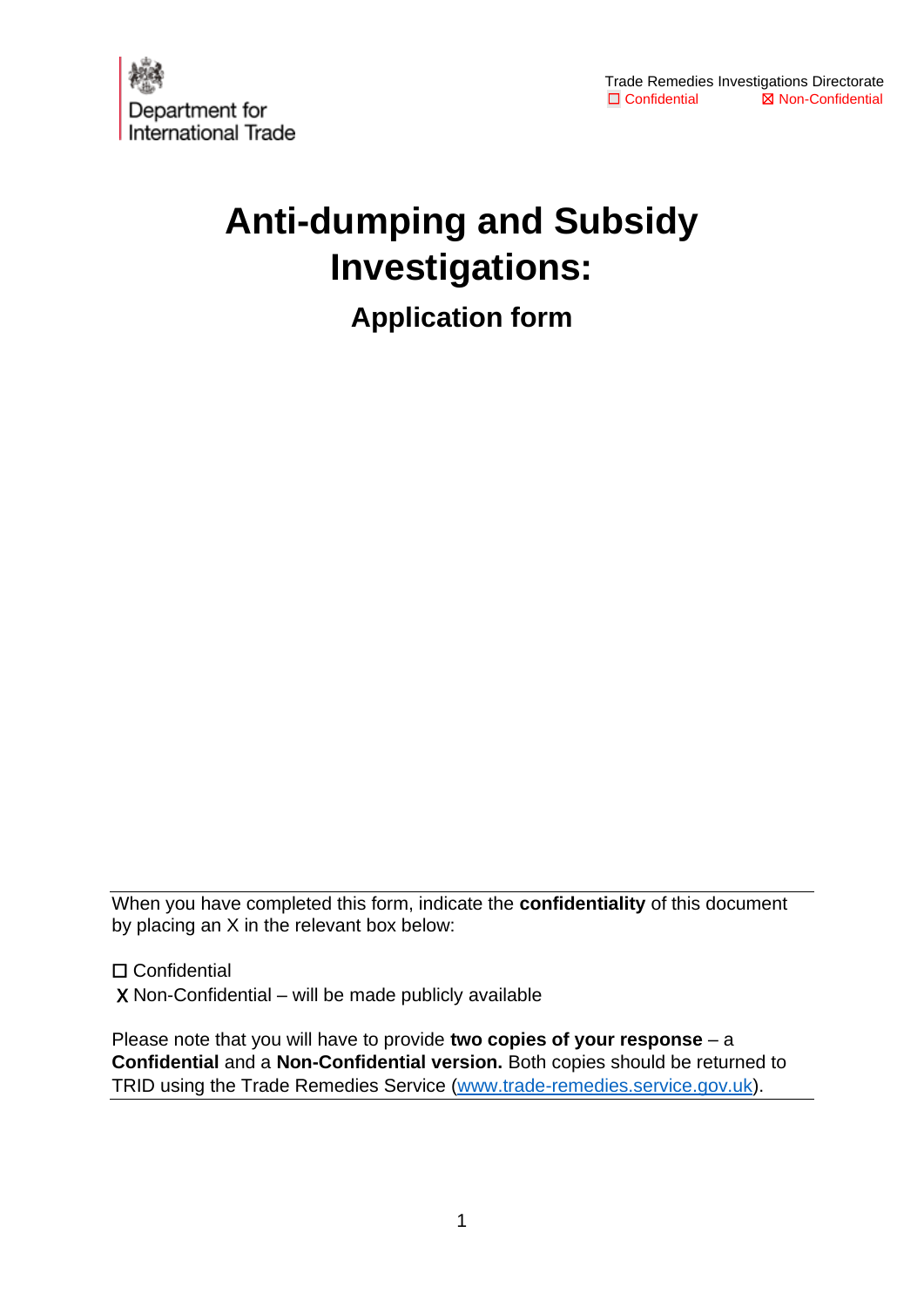

# **Anti-dumping and Subsidy Investigations:**

**Application form**

When you have completed this form, indicate the **confidentiality** of this document by placing an X in the relevant box below:

☐ Confidential X Non-Confidential – will be made publicly available

Please note that you will have to provide **two copies of your response** – a **Confidential** and a **Non-Confidential version.** Both copies should be returned to TRID using the Trade Remedies Service [\(www.trade-remedies.service.gov.uk\)](http://www.trade-remedies.service.gov.uk/).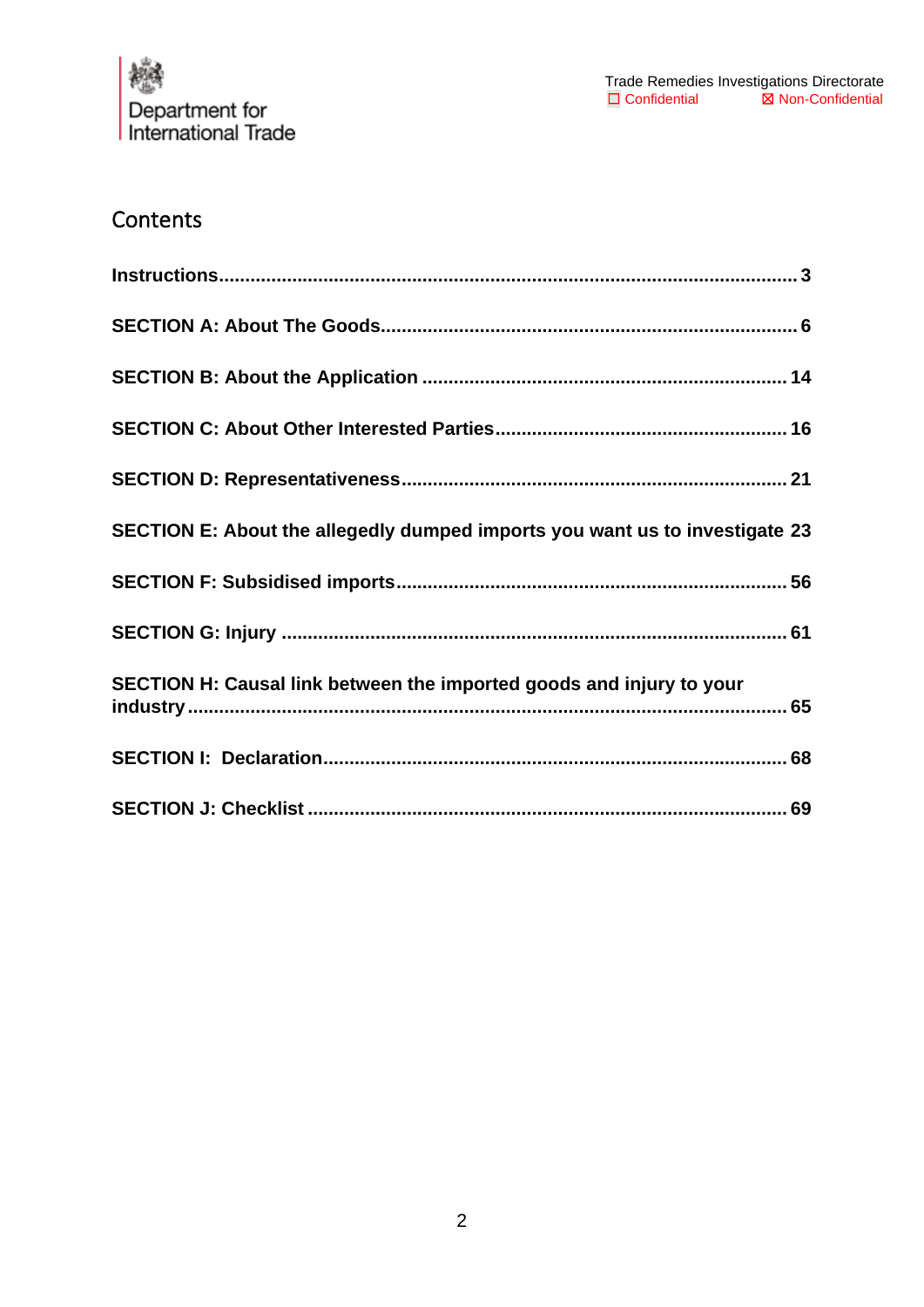

## **Contents**

| SECTION E: About the allegedly dumped imports you want us to investigate 23 |  |
|-----------------------------------------------------------------------------|--|
|                                                                             |  |
|                                                                             |  |
| SECTION H: Causal link between the imported goods and injury to your        |  |
|                                                                             |  |
|                                                                             |  |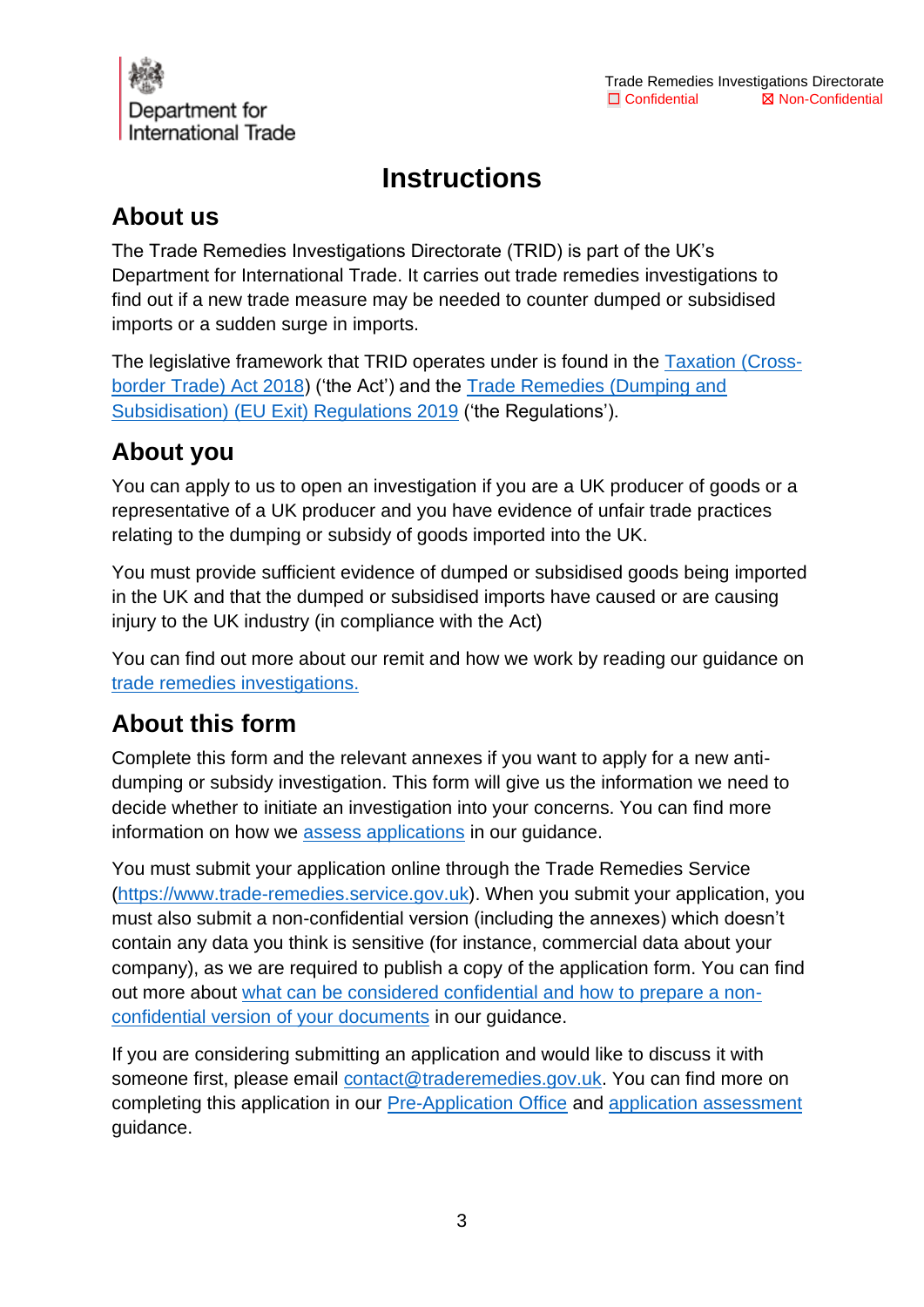

# **Instructions**

## <span id="page-2-0"></span>**About us**

The Trade Remedies Investigations Directorate (TRID) is part of the UK's Department for International Trade. It carries out trade remedies investigations to find out if a new trade measure may be needed to counter dumped or subsidised imports or a sudden surge in imports.

The legislative framework that TRID operates under is found in the [Taxation \(Cross](https://www.legislation.gov.uk/ukpga/2018/22/contents/enacted)[border Trade\) Act 2018\)](https://www.legislation.gov.uk/ukpga/2018/22/contents/enacted) ('the Act') and the [Trade Remedies \(Dumping and](https://www.legislation.gov.uk/uksi/2019/450/contents/made)  Subsidisation) [\(EU Exit\) Regulations 2019](https://www.legislation.gov.uk/uksi/2019/450/contents/made) ('the Regulations').

# **About you**

You can apply to us to open an investigation if you are a UK producer of goods or a representative of a UK producer and you have evidence of unfair trade practices relating to the dumping or subsidy of goods imported into the UK.

You must provide sufficient evidence of dumped or subsidised goods being imported in the UK and that the dumped or subsidised imports have caused or are causing injury to the UK industry (in compliance with the Act)

You can find out more about our remit and how we work by reading our guidance on [trade remedies investigations.](https://www.gov.uk/government/publications/the-uk-trade-remedies-investigations-process/an-introduction-to-our-investigations-process)

## **About this form**

Complete this form and the relevant annexes if you want to apply for a new antidumping or subsidy investigation. This form will give us the information we need to decide whether to initiate an investigation into your concerns. You can find more information on how we [assess applications](https://www.gov.uk/government/publications/the-uk-trade-remedies-investigations-process/how-to-make-an-application-for-a-trade-remedies-investigation#how-we-assess-your-application) in our guidance.

You must submit your application online through the Trade Remedies Service [\(https://www.trade-remedies.service.gov.uk\)](https://www.trade-remedies.service.gov.uk/). When you submit your application, you must also submit a non-confidential version (including the annexes) which doesn't contain any data you think is sensitive (for instance, commercial data about your company), as we are required to publish a copy of the application form. You can find out more about [what can be considered confidential and how to prepare a non](https://www.gov.uk/government/publications/the-uk-trade-remedies-investigations-process/an-introduction-to-our-investigations-process#how-we-handle-confidential-information)[confidential version](https://www.gov.uk/government/publications/the-uk-trade-remedies-investigations-process/an-introduction-to-our-investigations-process#how-we-handle-confidential-information) of your documents in our guidance.

If you are considering submitting an application and would like to discuss it with someone first, please email [contact@traderemedies.gov.uk.](mailto:contact@traderemedies.gov.uk) You can find more on completing this application in our [Pre-Application Office](https://www.gov.uk/government/publications/the-uk-trade-remedies-investigations-process/the-trid-pre-application-office) and [application assessment](https://www.gov.uk/government/publications/the-uk-trade-remedies-investigations-process/how-to-make-an-application-for-a-trade-remedies-investigation) guidance.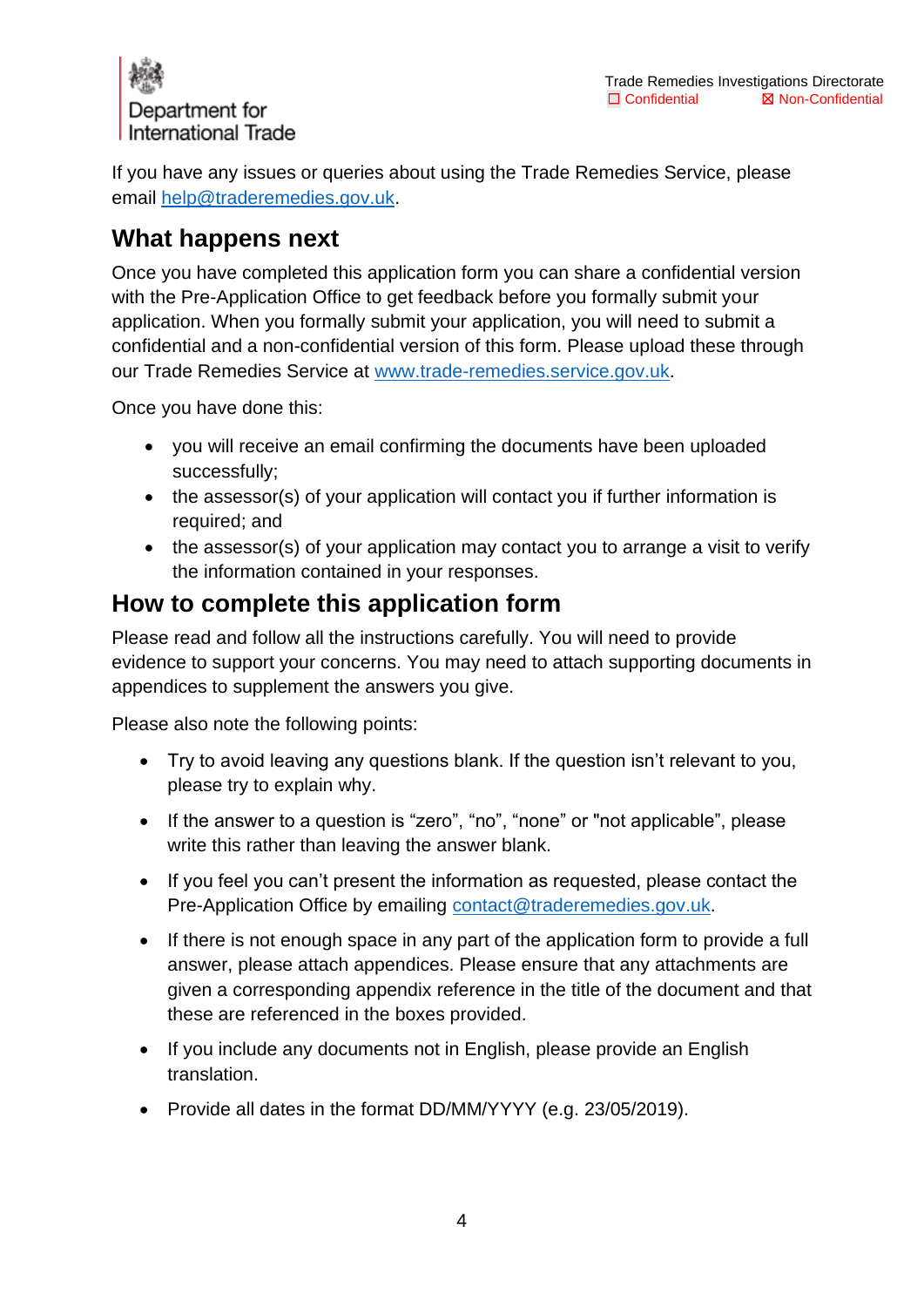

If you have any issues or queries about using the Trade Remedies Service, please email [help@traderemedies.gov.uk.](mailto:help@traderemedies.gov.uk)

## **What happens next**

Once you have completed this application form you can share a confidential version with the Pre-Application Office to get feedback before you formally submit your application. When you formally submit your application, you will need to submit a confidential and a non-confidential version of this form. Please upload these through our Trade Remedies Service at [www.trade-remedies.service.gov.uk.](http://www.trade-remedies.service.gov.uk/)

Once you have done this:

- you will receive an email confirming the documents have been uploaded successfully;
- the assessor(s) of your application will contact you if further information is required; and
- the assessor(s) of your application may contact you to arrange a visit to verify the information contained in your responses.

## **How to complete this application form**

Please read and follow all the instructions carefully. You will need to provide evidence to support your concerns. You may need to attach supporting documents in appendices to supplement the answers you give.

Please also note the following points:

- Try to avoid leaving any questions blank. If the question isn't relevant to you, please try to explain why.
- If the answer to a question is "zero", "no", "none" or "not applicable", please write this rather than leaving the answer blank.
- If you feel you can't present the information as requested, please contact the Pre-Application Office by emailing [contact@traderemedies.gov.uk.](mailto:contact@traderemedies.gov.uk)
- If there is not enough space in any part of the application form to provide a full answer, please attach appendices. Please ensure that any attachments are given a corresponding appendix reference in the title of the document and that these are referenced in the boxes provided.
- If you include any documents not in English, please provide an English translation.
- Provide all dates in the format DD/MM/YYYY (e.g. 23/05/2019).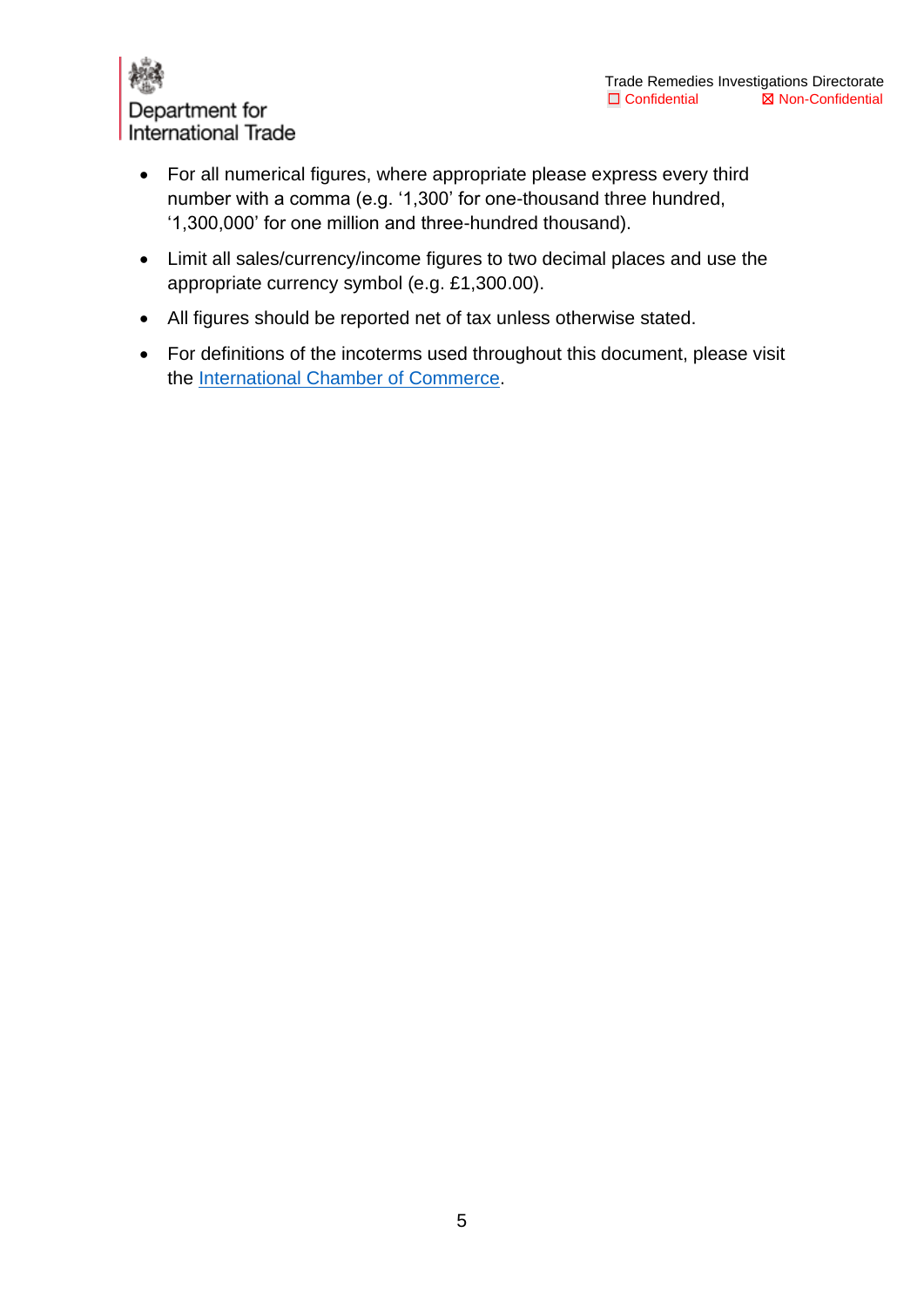

- For all numerical figures, where appropriate please express every third number with a comma (e.g. '1,300' for one-thousand three hundred, '1,300,000' for one million and three-hundred thousand).
- Limit all sales/currency/income figures to two decimal places and use the appropriate currency symbol (e.g. £1,300.00).
- All figures should be reported net of tax unless otherwise stated.
- For definitions of the incoterms used throughout this document, please visit the [International Chamber of Commerce.](https://iccwbo.org/resources-for-business/incoterms-rules/incoterms-rules-2010/)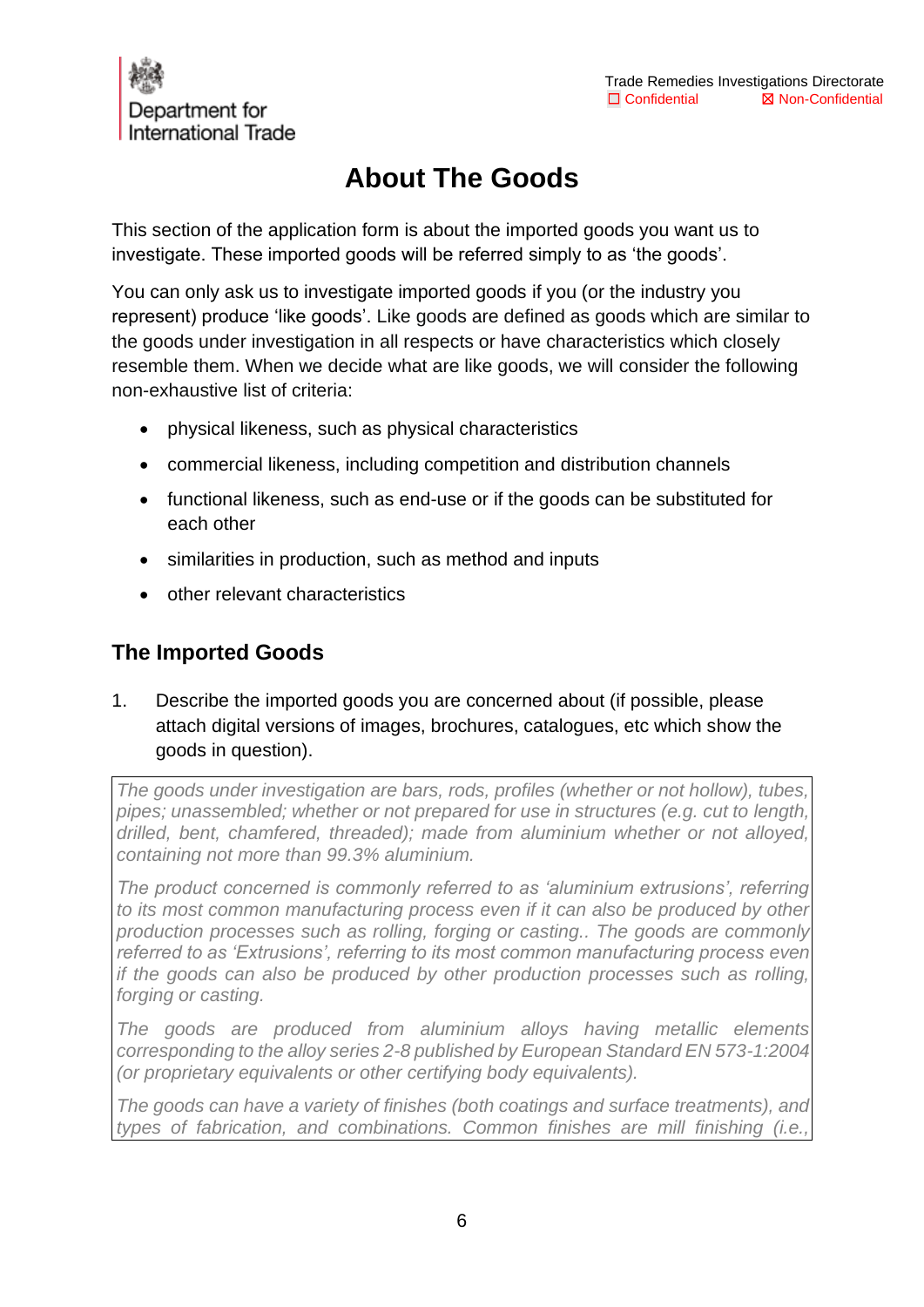

# **About The Goods**

<span id="page-5-0"></span>This section of the application form is about the imported goods you want us to investigate. These imported goods will be referred simply to as 'the goods'.

You can only ask us to investigate imported goods if you (or the industry you represent) produce 'like goods'. Like goods are defined as goods which are similar to the goods under investigation in all respects or have characteristics which closely resemble them. When we decide what are like goods, we will consider the following non-exhaustive list of criteria:

- physical likeness, such as physical characteristics
- commercial likeness, including competition and distribution channels
- functional likeness, such as end-use or if the goods can be substituted for each other
- similarities in production, such as method and inputs
- other relevant characteristics

## **The Imported Goods**

1. Describe the imported goods you are concerned about (if possible, please attach digital versions of images, brochures, catalogues, etc which show the goods in question).

*The goods under investigation are bars, rods, profiles (whether or not hollow), tubes, pipes; unassembled; whether or not prepared for use in structures (e.g. cut to length, drilled, bent, chamfered, threaded); made from aluminium whether or not alloyed, containing not more than 99.3% aluminium.* 

*The product concerned is commonly referred to as 'aluminium extrusions', referring*  to its most common manufacturing process even if it can also be produced by other *production processes such as rolling, forging or casting.. The goods are commonly referred to as 'Extrusions', referring to its most common manufacturing process even if the goods can also be produced by other production processes such as rolling, forging or casting.*

*The goods are produced from aluminium alloys having metallic elements corresponding to the alloy series 2-8 published by European Standard EN 573-1:2004 (or proprietary equivalents or other certifying body equivalents).*

*The goods can have a variety of finishes (both coatings and surface treatments), and types of fabrication, and combinations. Common finishes are mill finishing (i.e.,*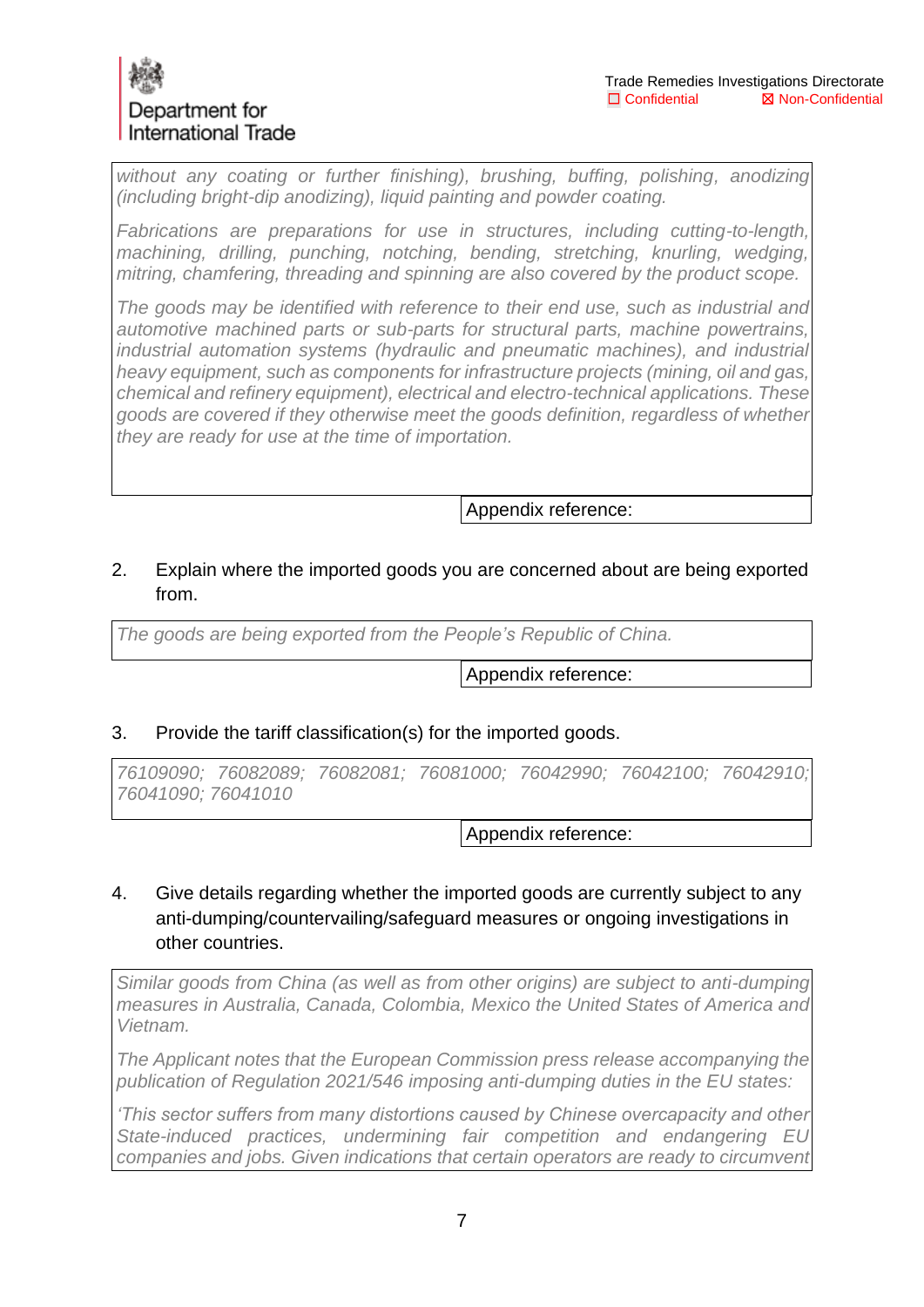without any coating or further finishing), brushing, buffing, polishing, anodizing *(including bright-dip anodizing), liquid painting and powder coating.*

*Fabrications are preparations for use in structures, including cutting-to-length, machining, drilling, punching, notching, bending, stretching, knurling, wedging, mitring, chamfering, threading and spinning are also covered by the product scope.*

*The goods may be identified with reference to their end use, such as industrial and automotive machined parts or sub-parts for structural parts, machine powertrains, industrial automation systems (hydraulic and pneumatic machines), and industrial heavy equipment, such as components for infrastructure projects (mining, oil and gas, chemical and refinery equipment), electrical and electro-technical applications. These goods are covered if they otherwise meet the goods definition, regardless of whether they are ready for use at the time of importation.*

Appendix reference:

#### 2. Explain where the imported goods you are concerned about are being exported from.

*The goods are being exported from the People's Republic of China.*

Appendix reference:

#### 3. Provide the tariff classification(s) for the imported goods.

*76109090; 76082089; 76082081; 76081000; 76042990; 76042100; 76042910; 76041090; 76041010*

Appendix reference:

#### 4. Give details regarding whether the imported goods are currently subject to any anti-dumping/countervailing/safeguard measures or ongoing investigations in other countries.

*Similar goods from China (as well as from other origins) are subject to anti-dumping measures in Australia, Canada, Colombia, Mexico the United States of America and Vietnam.* 

*The Applicant notes that the European Commission press release accompanying the publication of Regulation 2021/546 imposing anti-dumping duties in the EU states:* 

*'This sector suffers from many distortions caused by Chinese overcapacity and other State-induced practices, undermining fair competition and endangering EU companies and jobs. Given indications that certain operators are ready to circumvent*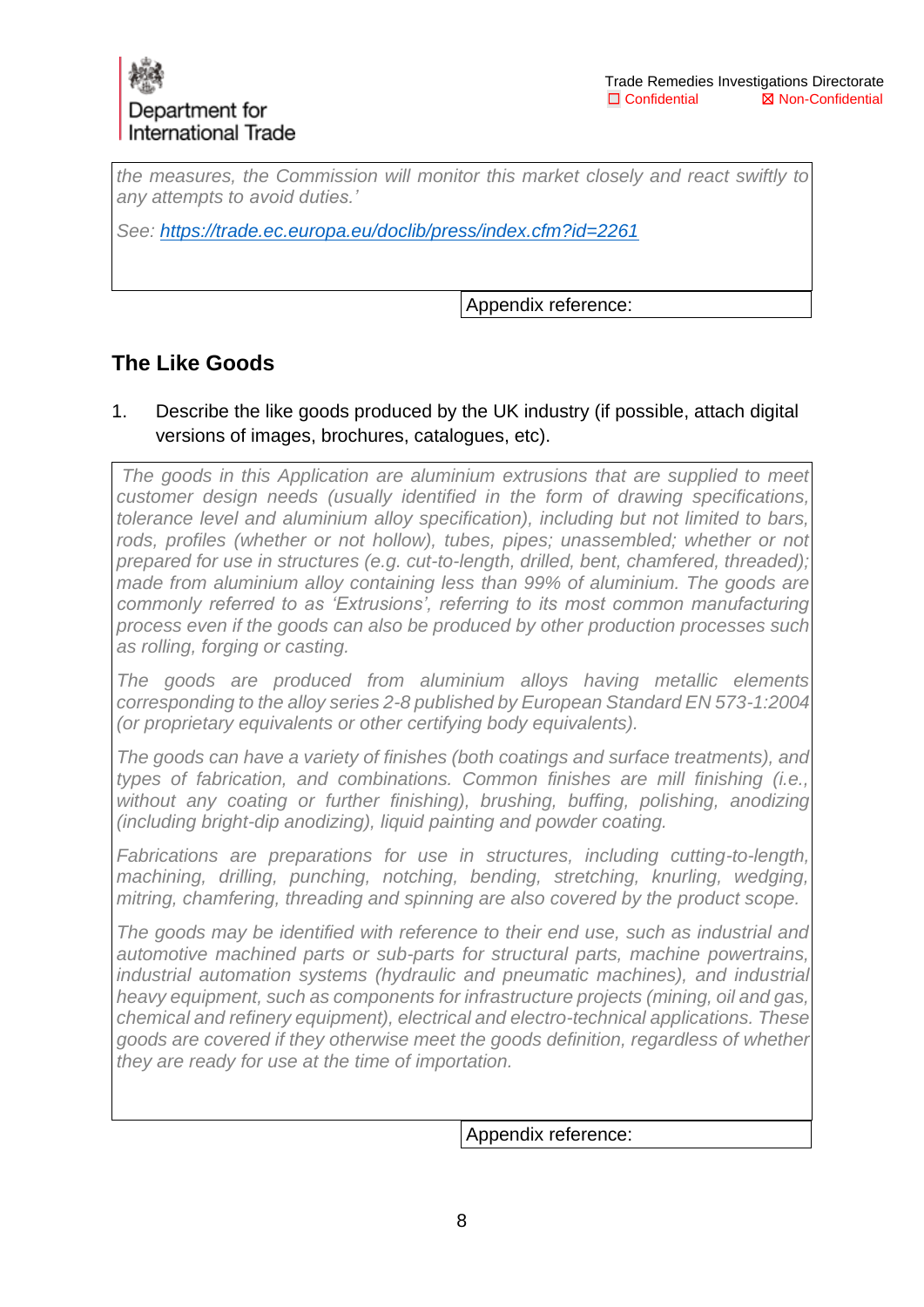*the measures, the Commission will monitor this market closely and react swiftly to any attempts to avoid duties.'*

*See:<https://trade.ec.europa.eu/doclib/press/index.cfm?id=2261>*

Appendix reference:

## **The Like Goods**

#### 1. Describe the like goods produced by the UK industry (if possible, attach digital versions of images, brochures, catalogues, etc).

*The goods in this Application are aluminium extrusions that are supplied to meet customer design needs (usually identified in the form of drawing specifications, tolerance level and aluminium alloy specification), including but not limited to bars,*  rods, profiles (whether or not hollow), tubes, pipes; unassembled; whether or not *prepared for use in structures (e.g. cut-to-length, drilled, bent, chamfered, threaded); made from aluminium alloy containing less than 99% of aluminium. The goods are commonly referred to as 'Extrusions', referring to its most common manufacturing process even if the goods can also be produced by other production processes such as rolling, forging or casting.* 

*The goods are produced from aluminium alloys having metallic elements corresponding to the alloy series 2-8 published by European Standard EN 573-1:2004 (or proprietary equivalents or other certifying body equivalents).*

*The goods can have a variety of finishes (both coatings and surface treatments), and types of fabrication, and combinations. Common finishes are mill finishing (i.e.,*  without any coating or further finishing), brushing, buffing, polishing, anodizing *(including bright-dip anodizing), liquid painting and powder coating.*

*Fabrications are preparations for use in structures, including cutting-to-length, machining, drilling, punching, notching, bending, stretching, knurling, wedging, mitring, chamfering, threading and spinning are also covered by the product scope.*

*The goods may be identified with reference to their end use, such as industrial and automotive machined parts or sub-parts for structural parts, machine powertrains, industrial automation systems (hydraulic and pneumatic machines), and industrial heavy equipment, such as components for infrastructure projects (mining, oil and gas, chemical and refinery equipment), electrical and electro-technical applications. These goods are covered if they otherwise meet the goods definition, regardless of whether they are ready for use at the time of importation.*

Appendix reference: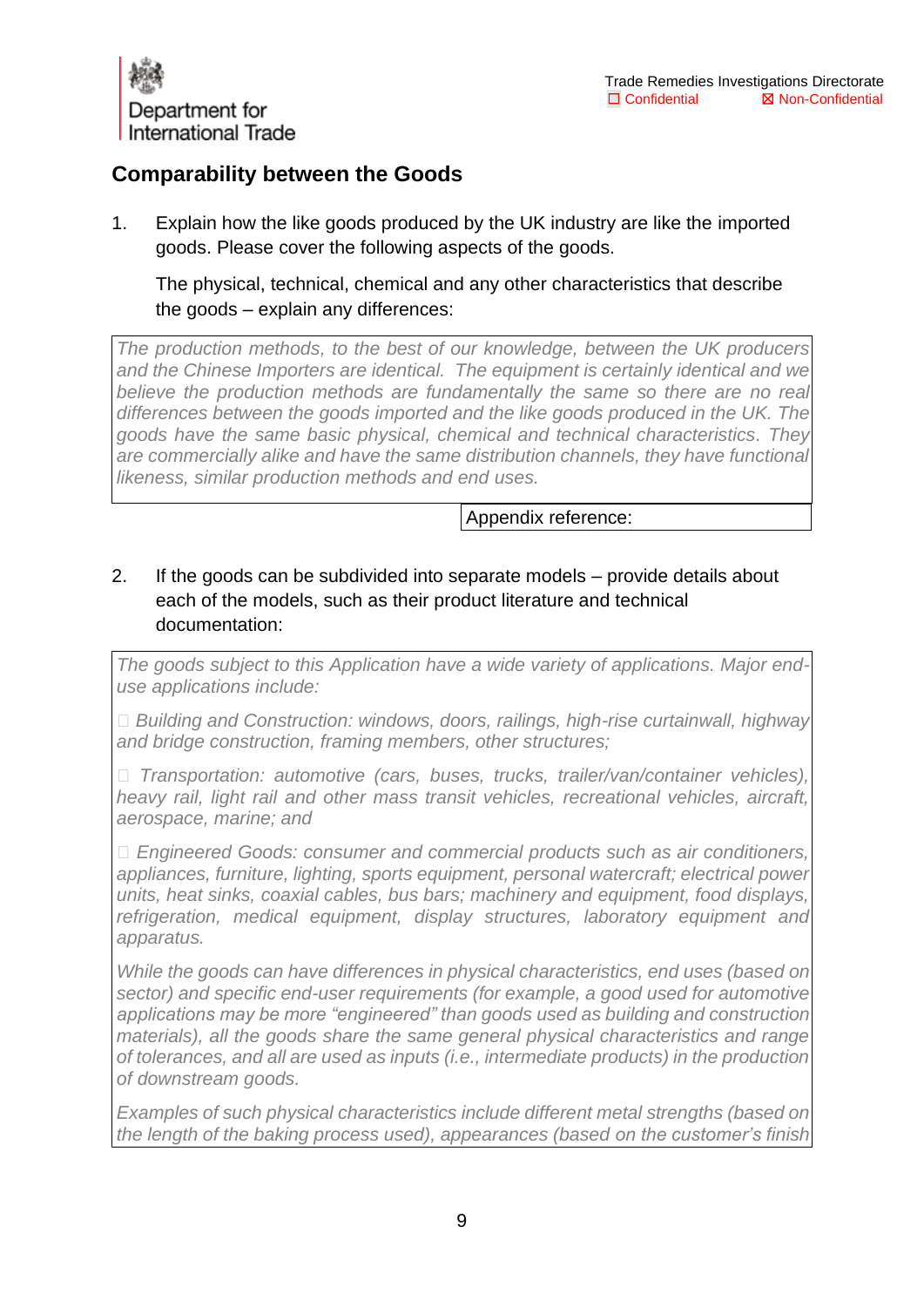

### **Comparability between the Goods**

1. Explain how the like goods produced by the UK industry are like the imported goods. Please cover the following aspects of the goods.

The physical, technical, chemical and any other characteristics that describe the goods – explain any differences:

*The production methods, to the best of our knowledge, between the UK producers and the Chinese Importers are identical. The equipment is certainly identical and we believe the production methods are fundamentally the same so there are no real differences between the goods imported and the like goods produced in the UK. The goods have the same basic physical, chemical and technical characteristics. They are commercially alike and have the same distribution channels, they have functional likeness, similar production methods and end uses.*

Appendix reference:

#### 2. If the goods can be subdivided into separate models – provide details about each of the models, such as their product literature and technical documentation:

*The goods subject to this Application have a wide variety of applications. Major enduse applications include:*

 *Building and Construction: windows, doors, railings, high-rise curtainwall, highway and bridge construction, framing members, other structures;*

 *Transportation: automotive (cars, buses, trucks, trailer/van/container vehicles), heavy rail, light rail and other mass transit vehicles, recreational vehicles, aircraft, aerospace, marine; and*

 *Engineered Goods: consumer and commercial products such as air conditioners, appliances, furniture, lighting, sports equipment, personal watercraft; electrical power units, heat sinks, coaxial cables, bus bars; machinery and equipment, food displays, refrigeration, medical equipment, display structures, laboratory equipment and apparatus.*

*While the goods can have differences in physical characteristics, end uses (based on sector) and specific end-user requirements (for example, a good used for automotive applications may be more "engineered" than goods used as building and construction materials), all the goods share the same general physical characteristics and range of tolerances, and all are used as inputs (i.e., intermediate products) in the production of downstream goods.*

*Examples of such physical characteristics include different metal strengths (based on the length of the baking process used), appearances (based on the customer's finish*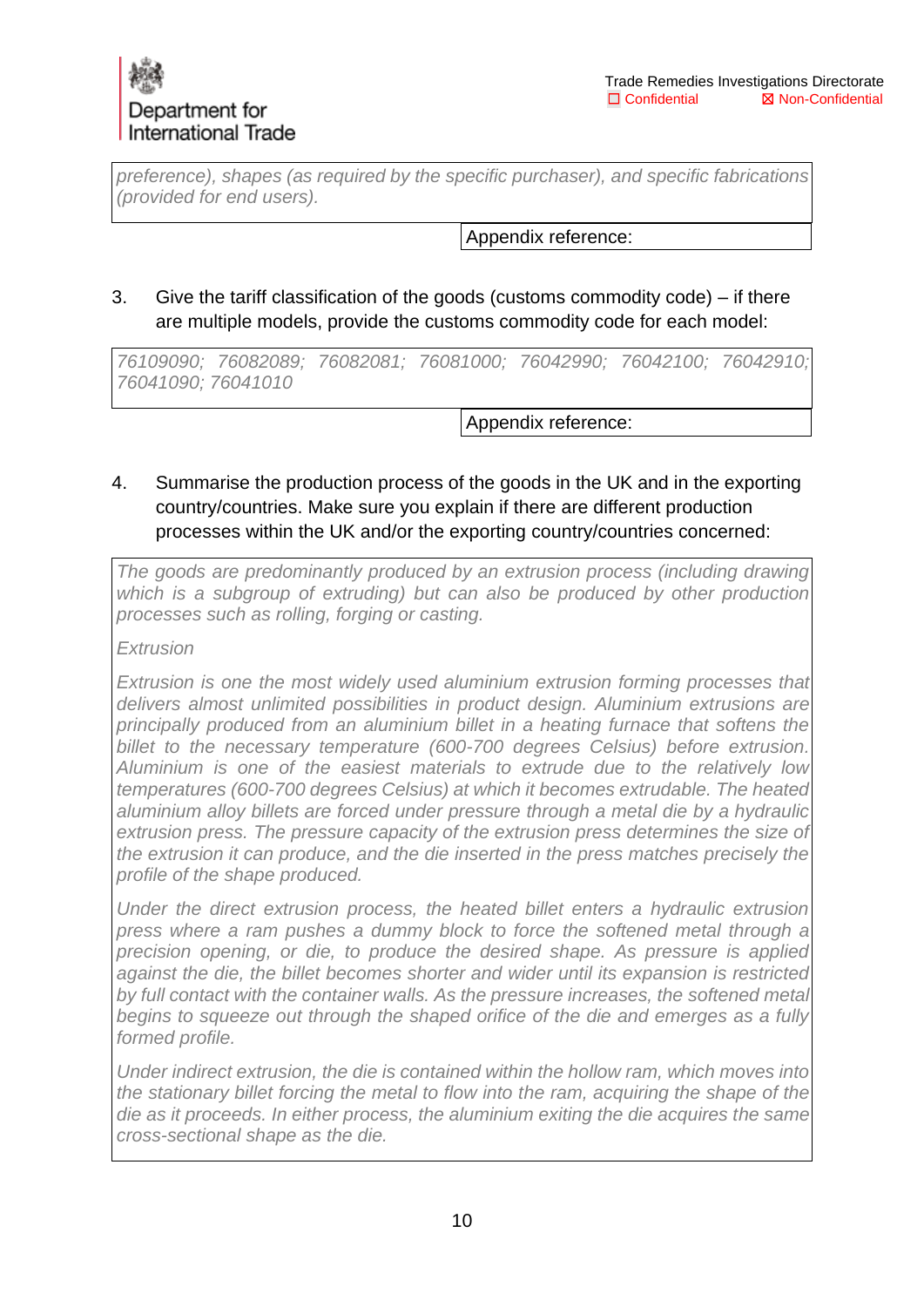*preference), shapes (as required by the specific purchaser), and specific fabrications (provided for end users).*

Appendix reference:

#### 3. Give the tariff classification of the goods (customs commodity code) – if there are multiple models, provide the customs commodity code for each model:

*76109090; 76082089; 76082081; 76081000; 76042990; 76042100; 76042910; 76041090; 76041010*

Appendix reference:

#### 4. Summarise the production process of the goods in the UK and in the exporting country/countries. Make sure you explain if there are different production processes within the UK and/or the exporting country/countries concerned:

*The goods are predominantly produced by an extrusion process (including drawing which is a subgroup of extruding) but can also be produced by other production processes such as rolling, forging or casting.*

*Extrusion*

*Extrusion is one the most widely used aluminium extrusion forming processes that delivers almost unlimited possibilities in product design. Aluminium extrusions are principally produced from an aluminium billet in a heating furnace that softens the billet to the necessary temperature (600-700 degrees Celsius) before extrusion. Aluminium is one of the easiest materials to extrude due to the relatively low temperatures (600-700 degrees Celsius) at which it becomes extrudable. The heated aluminium alloy billets are forced under pressure through a metal die by a hydraulic extrusion press. The pressure capacity of the extrusion press determines the size of the extrusion it can produce, and the die inserted in the press matches precisely the profile of the shape produced.*

*Under the direct extrusion process, the heated billet enters a hydraulic extrusion press where a ram pushes a dummy block to force the softened metal through a precision opening, or die, to produce the desired shape. As pressure is applied against the die, the billet becomes shorter and wider until its expansion is restricted by full contact with the container walls. As the pressure increases, the softened metal begins to squeeze out through the shaped orifice of the die and emerges as a fully formed profile.*

*Under indirect extrusion, the die is contained within the hollow ram, which moves into the stationary billet forcing the metal to flow into the ram, acquiring the shape of the die as it proceeds. In either process, the aluminium exiting the die acquires the same cross-sectional shape as the die.*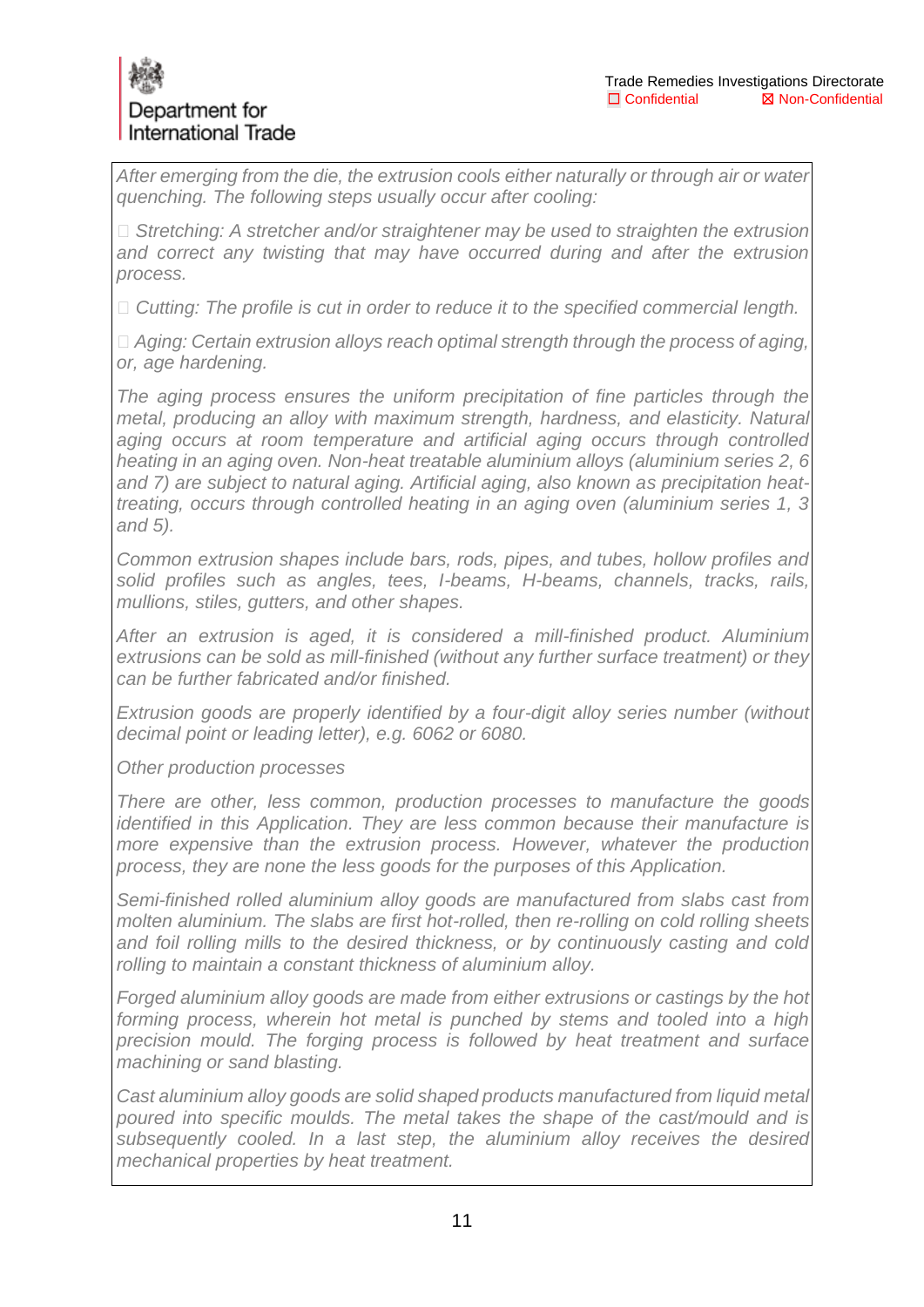*After emerging from the die, the extrusion cools either naturally or through air or water quenching. The following steps usually occur after cooling:*

□ Stretching: A stretcher and/or straightener may be used to straighten the extrusion *and correct any twisting that may have occurred during and after the extrusion process.*

*Cutting: The profile is cut in order to reduce it to the specified commercial length.*

□ Aging: Certain extrusion alloys reach optimal strength through the process of aging, *or, age hardening.*

*The aging process ensures the uniform precipitation of fine particles through the metal, producing an alloy with maximum strength, hardness, and elasticity. Natural aging occurs at room temperature and artificial aging occurs through controlled heating in an aging oven. Non-heat treatable aluminium alloys (aluminium series 2, 6 and 7) are subject to natural aging. Artificial aging, also known as precipitation heattreating, occurs through controlled heating in an aging oven (aluminium series 1, 3 and 5).*

*Common extrusion shapes include bars, rods, pipes, and tubes, hollow profiles and solid profiles such as angles, tees, I-beams, H-beams, channels, tracks, rails, mullions, stiles, gutters, and other shapes.*

*After an extrusion is aged, it is considered a mill-finished product. Aluminium extrusions can be sold as mill-finished (without any further surface treatment) or they can be further fabricated and/or finished.*

*Extrusion goods are properly identified by a four-digit alloy series number (without decimal point or leading letter), e.g. 6062 or 6080.*

*Other production processes*

*There are other, less common, production processes to manufacture the goods identified in this Application. They are less common because their manufacture is more expensive than the extrusion process. However, whatever the production process, they are none the less goods for the purposes of this Application.*

*Semi-finished rolled aluminium alloy goods are manufactured from slabs cast from molten aluminium. The slabs are first hot-rolled, then re-rolling on cold rolling sheets and foil rolling mills to the desired thickness, or by continuously casting and cold rolling to maintain a constant thickness of aluminium alloy.*

*Forged aluminium alloy goods are made from either extrusions or castings by the hot forming process, wherein hot metal is punched by stems and tooled into a high precision mould. The forging process is followed by heat treatment and surface machining or sand blasting.*

*Cast aluminium alloy goods are solid shaped products manufactured from liquid metal poured into specific moulds. The metal takes the shape of the cast/mould and is subsequently cooled. In a last step, the aluminium alloy receives the desired mechanical properties by heat treatment.*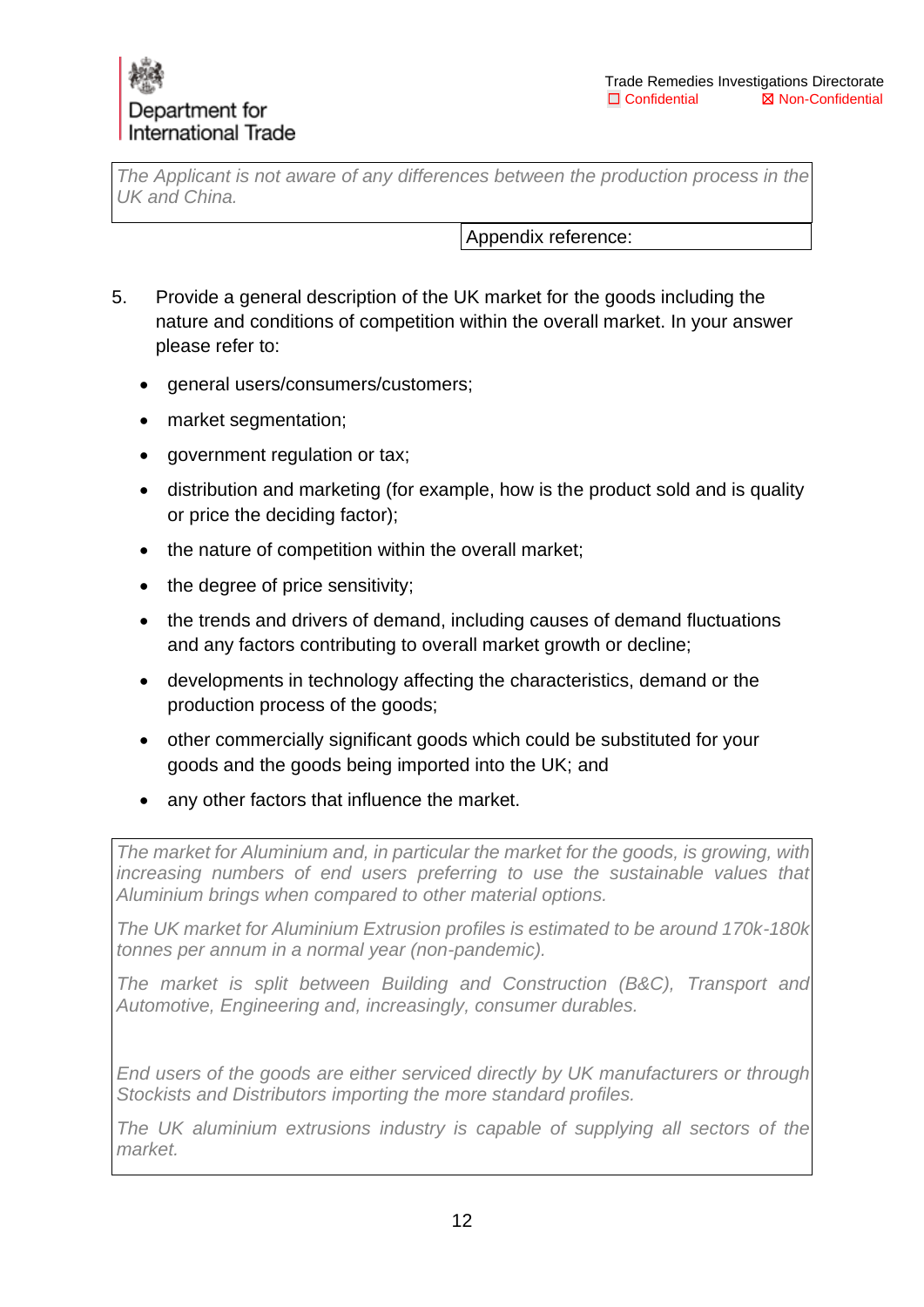*The Applicant is not aware of any differences between the production process in the UK and China.*

Appendix reference:

- 5. Provide a general description of the UK market for the goods including the nature and conditions of competition within the overall market. In your answer please refer to:
	- general users/consumers/customers;
	- market segmentation;
	- government regulation or tax;
	- distribution and marketing (for example, how is the product sold and is quality or price the deciding factor);
	- the nature of competition within the overall market;
	- the degree of price sensitivity;
	- the trends and drivers of demand, including causes of demand fluctuations and any factors contributing to overall market growth or decline;
	- developments in technology affecting the characteristics, demand or the production process of the goods;
	- other commercially significant goods which could be substituted for your goods and the goods being imported into the UK; and
	- any other factors that influence the market.

*The market for Aluminium and, in particular the market for the goods, is growing, with increasing numbers of end users preferring to use the sustainable values that Aluminium brings when compared to other material options.*

*The UK market for Aluminium Extrusion profiles is estimated to be around 170k-180k tonnes per annum in a normal year (non-pandemic).* 

*The market is split between Building and Construction (B&C), Transport and Automotive, Engineering and, increasingly, consumer durables.*

*End users of the goods are either serviced directly by UK manufacturers or through Stockists and Distributors importing the more standard profiles.*

*The UK aluminium extrusions industry is capable of supplying all sectors of the market.*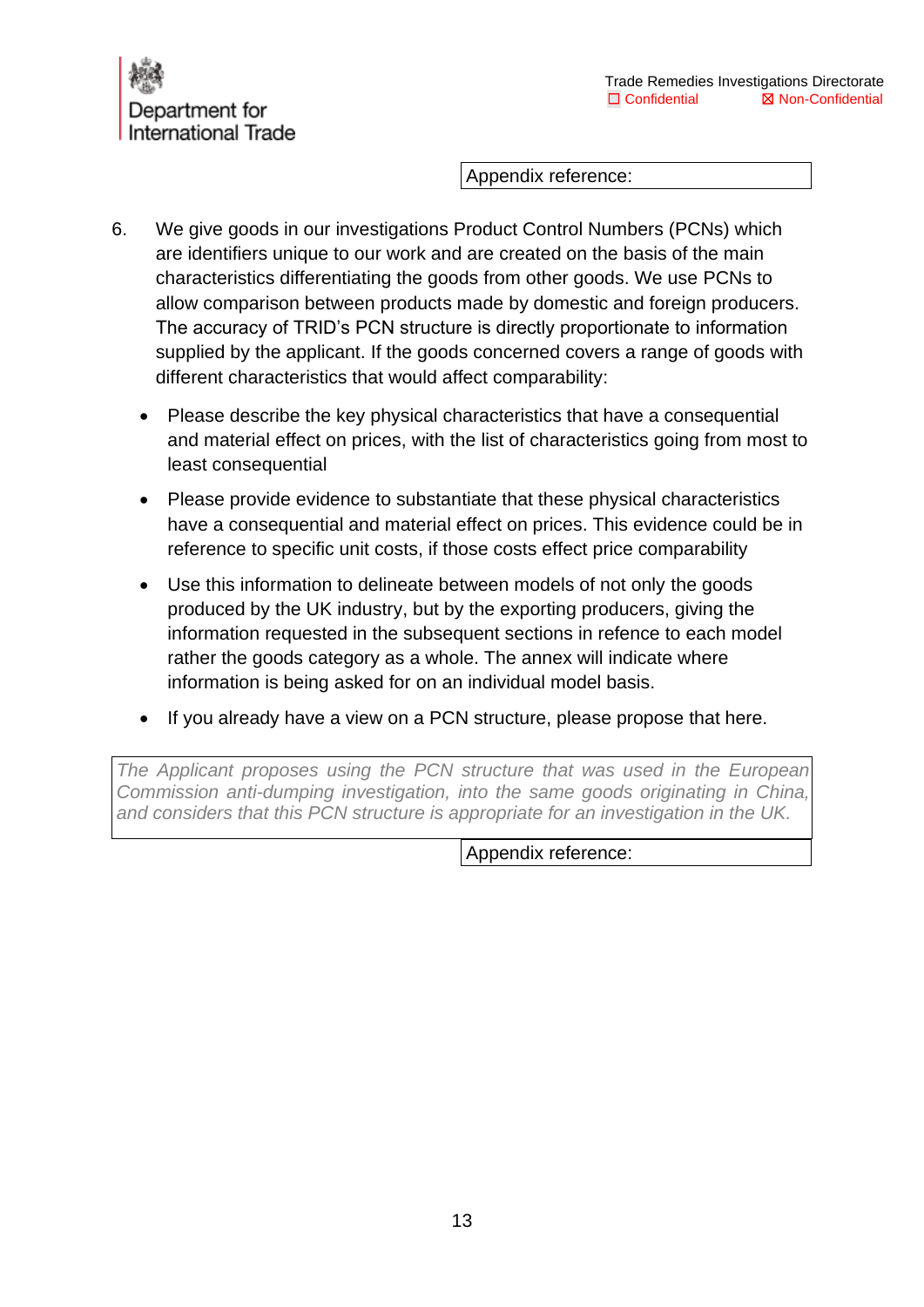Appendix reference:

- 6. We give goods in our investigations Product Control Numbers (PCNs) which are identifiers unique to our work and are created on the basis of the main characteristics differentiating the goods from other goods. We use PCNs to allow comparison between products made by domestic and foreign producers. The accuracy of TRID's PCN structure is directly proportionate to information supplied by the applicant. If the goods concerned covers a range of goods with different characteristics that would affect comparability:
	- Please describe the key physical characteristics that have a consequential and material effect on prices, with the list of characteristics going from most to least consequential
	- Please provide evidence to substantiate that these physical characteristics have a consequential and material effect on prices. This evidence could be in reference to specific unit costs, if those costs effect price comparability
	- Use this information to delineate between models of not only the goods produced by the UK industry, but by the exporting producers, giving the information requested in the subsequent sections in refence to each model rather the goods category as a whole. The annex will indicate where information is being asked for on an individual model basis.
	- If you already have a view on a PCN structure, please propose that here.

<span id="page-12-0"></span>*The Applicant proposes using the PCN structure that was used in the European Commission anti-dumping investigation, into the same goods originating in China, and considers that this PCN structure is appropriate for an investigation in the UK.*

Appendix reference: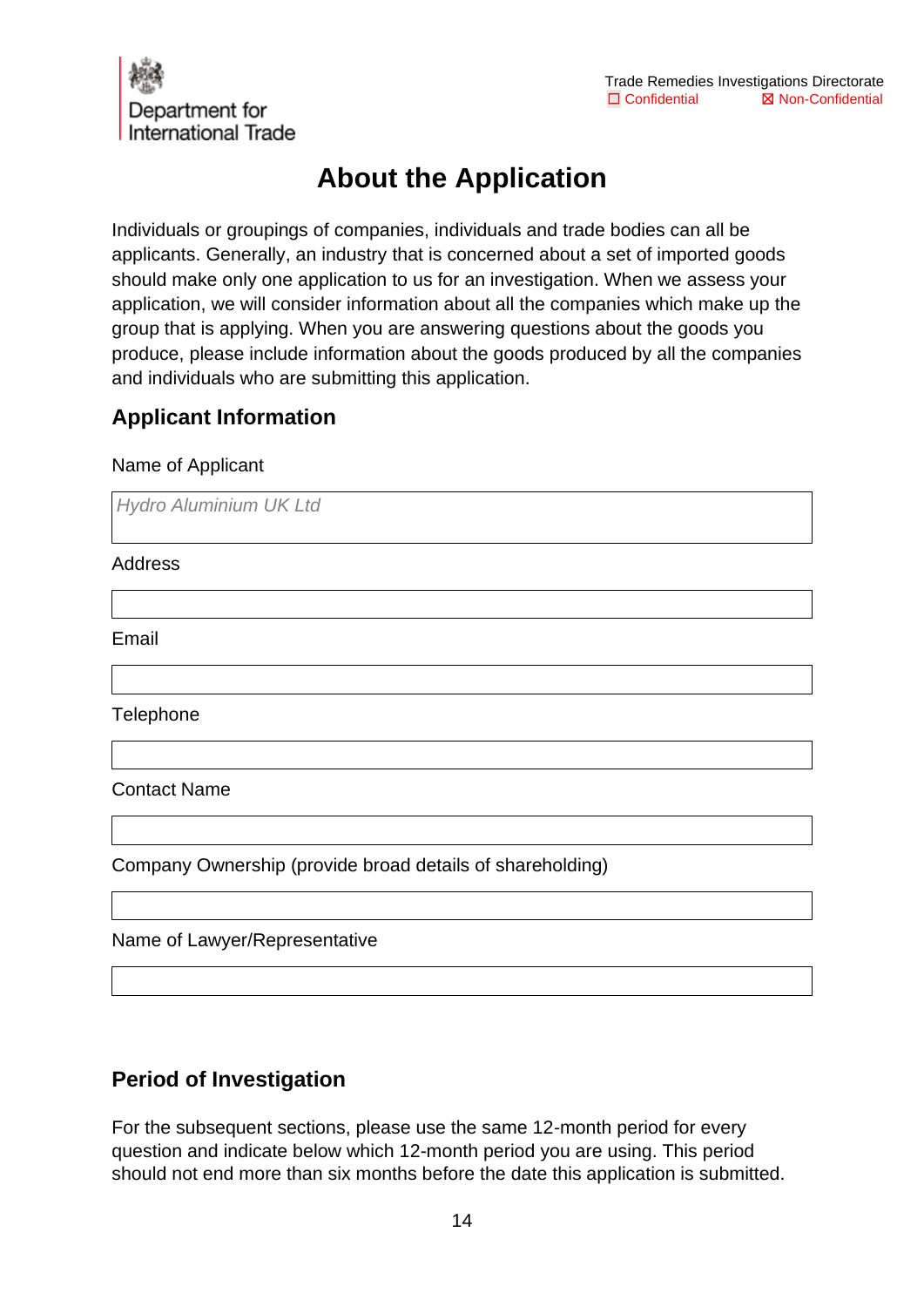

# **About the Application**

Individuals or groupings of companies, individuals and trade bodies can all be applicants. Generally, an industry that is concerned about a set of imported goods should make only one application to us for an investigation. When we assess your application, we will consider information about all the companies which make up the group that is applying. When you are answering questions about the goods you produce, please include information about the goods produced by all the companies and individuals who are submitting this application.

## **Applicant Information**

#### Name of Applicant

*Hydro Aluminium UK Ltd*

Address

Email

**Telephone** 

Contact Name

Company Ownership (provide broad details of shareholding)

Name of Lawyer/Representative

## **Period of Investigation**

For the subsequent sections, please use the same 12-month period for every question and indicate below which 12-month period you are using. This period should not end more than six months before the date this application is submitted.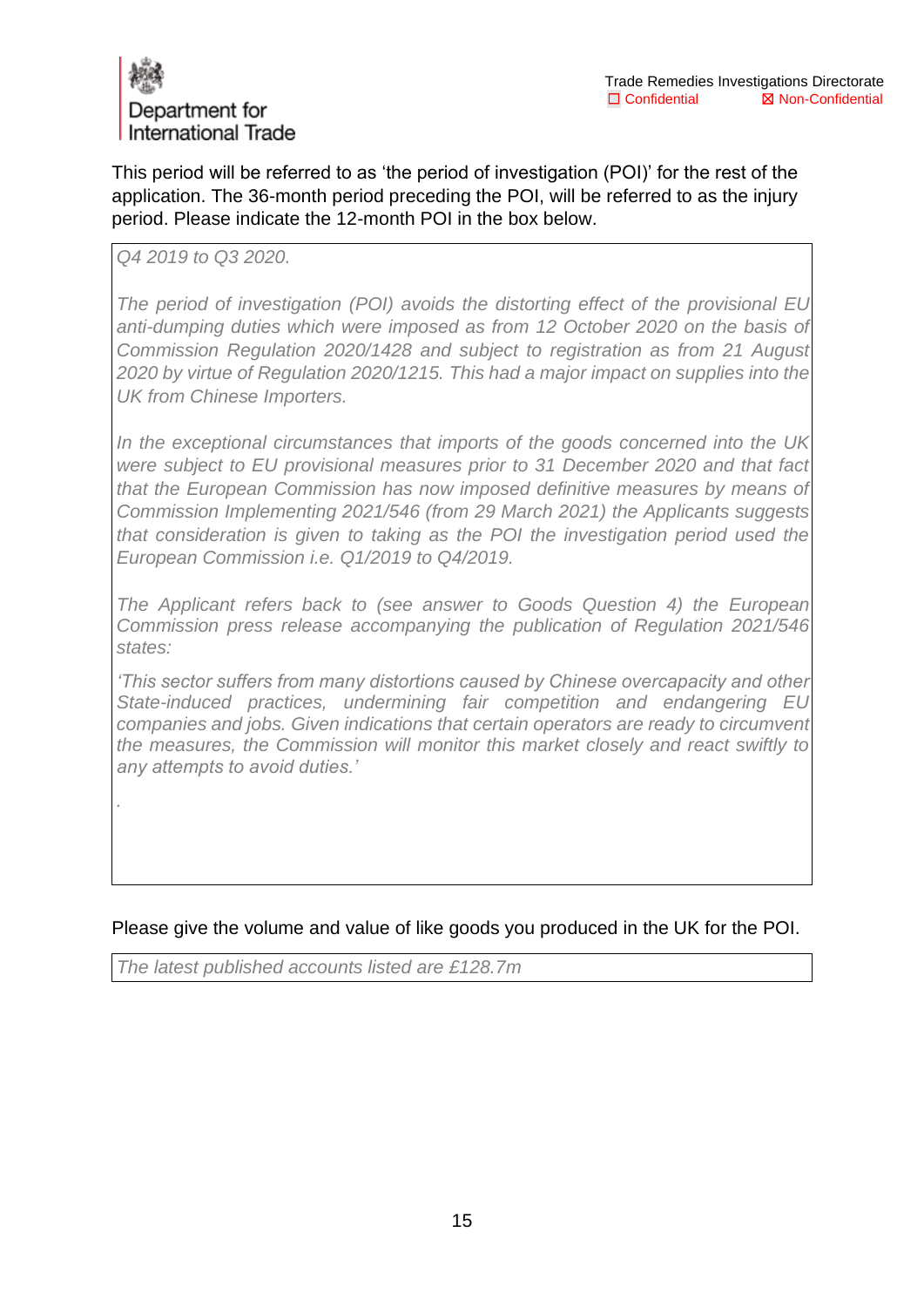

This period will be referred to as 'the period of investigation (POI)' for the rest of the application. The 36-month period preceding the POI, will be referred to as the injury period. Please indicate the 12-month POI in the box below.

#### *Q4 2019 to Q3 2020.*

*.*

*The period of investigation (POI) avoids the distorting effect of the provisional EU anti-dumping duties which were imposed as from 12 October 2020 on the basis of Commission Regulation 2020/1428 and subject to registration as from 21 August 2020 by virtue of Regulation 2020/1215. This had a major impact on supplies into the UK from Chinese Importers.*

*In the exceptional circumstances that imports of the goods concerned into the UK were subject to EU provisional measures prior to 31 December 2020 and that fact that the European Commission has now imposed definitive measures by means of Commission Implementing 2021/546 (from 29 March 2021) the Applicants suggests that consideration is given to taking as the POI the investigation period used the European Commission i.e. Q1/2019 to Q4/2019.* 

*The Applicant refers back to (see answer to Goods Question 4) the European Commission press release accompanying the publication of Regulation 2021/546 states:* 

*'This sector suffers from many distortions caused by Chinese overcapacity and other State-induced practices, undermining fair competition and endangering EU companies and jobs. Given indications that certain operators are ready to circumvent the measures, the Commission will monitor this market closely and react swiftly to any attempts to avoid duties.'*

Please give the volume and value of like goods you produced in the UK for the POI.

*The latest published accounts listed are £128.7m*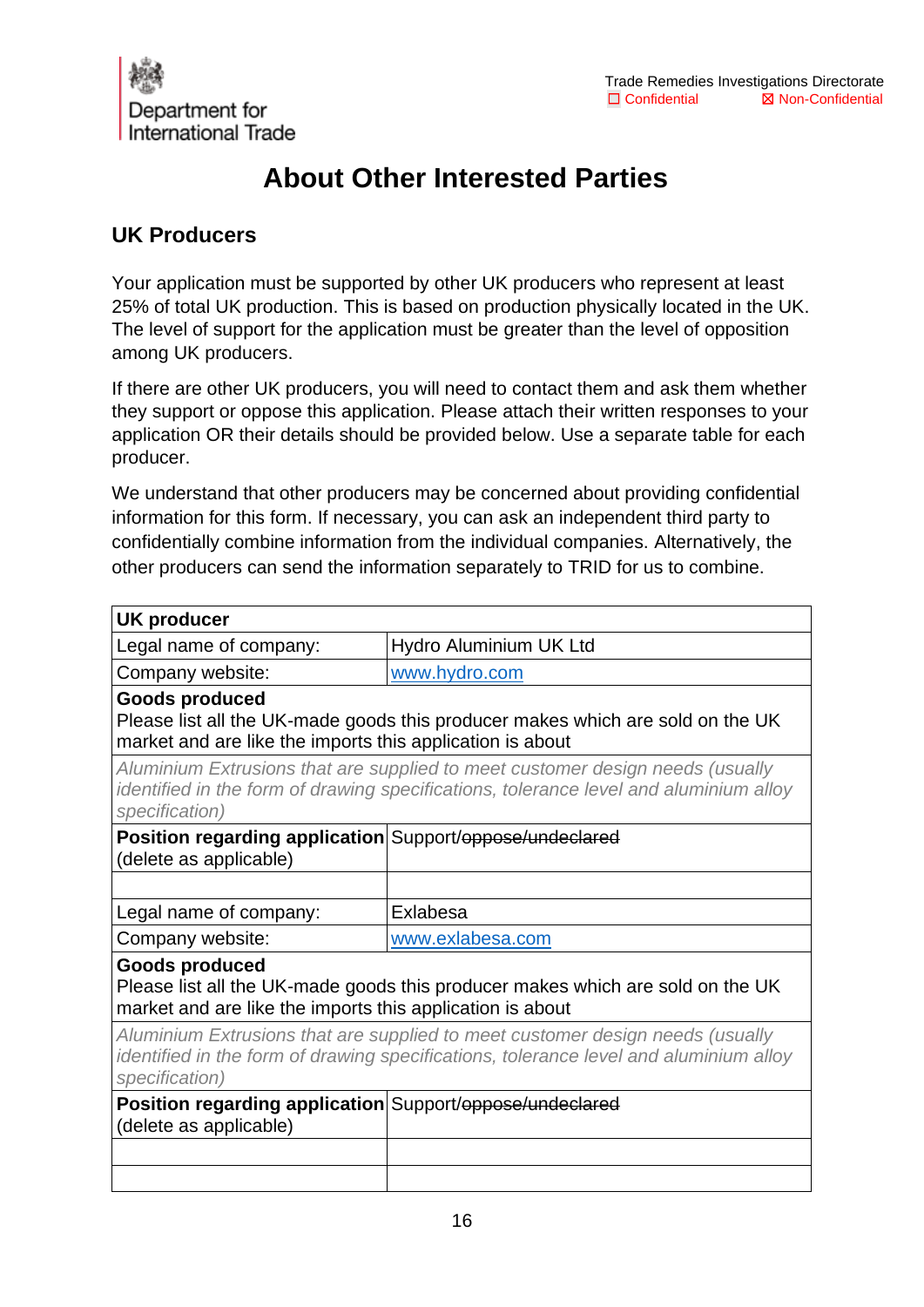

# <span id="page-15-0"></span>**About Other Interested Parties**

#### **UK Producers**

Your application must be supported by other UK producers who represent at least 25% of total UK production. This is based on production physically located in the UK. The level of support for the application must be greater than the level of opposition among UK producers.

If there are other UK producers, you will need to contact them and ask them whether they support or oppose this application. Please attach their written responses to your application OR their details should be provided below. Use a separate table for each producer.

We understand that other producers may be concerned about providing confidential information for this form. If necessary, you can ask an independent third party to confidentially combine information from the individual companies. Alternatively, the other producers can send the information separately to TRID for us to combine.

| <b>UK producer</b>                                                                 |                                                                                                                                                                        |
|------------------------------------------------------------------------------------|------------------------------------------------------------------------------------------------------------------------------------------------------------------------|
| Legal name of company:                                                             | Hydro Aluminium UK Ltd                                                                                                                                                 |
| Company website:                                                                   | www.hydro.com                                                                                                                                                          |
| <b>Goods produced</b><br>market and are like the imports this application is about | Please list all the UK-made goods this producer makes which are sold on the UK                                                                                         |
| specification)                                                                     | Aluminium Extrusions that are supplied to meet customer design needs (usually<br>identified in the form of drawing specifications, tolerance level and aluminium alloy |
| Position regarding application Support/oppose/undeclared<br>(delete as applicable) |                                                                                                                                                                        |
|                                                                                    |                                                                                                                                                                        |
|                                                                                    |                                                                                                                                                                        |
| Legal name of company:                                                             | Exlabesa                                                                                                                                                               |
| Company website:                                                                   | www.exlabesa.com                                                                                                                                                       |
| <b>Goods produced</b><br>market and are like the imports this application is about | Please list all the UK-made goods this producer makes which are sold on the UK                                                                                         |
| specification)                                                                     | Aluminium Extrusions that are supplied to meet customer design needs (usually<br>identified in the form of drawing specifications, tolerance level and aluminium alloy |
| Position regarding application Support/oppose/undeclared<br>(delete as applicable) |                                                                                                                                                                        |
|                                                                                    |                                                                                                                                                                        |
|                                                                                    |                                                                                                                                                                        |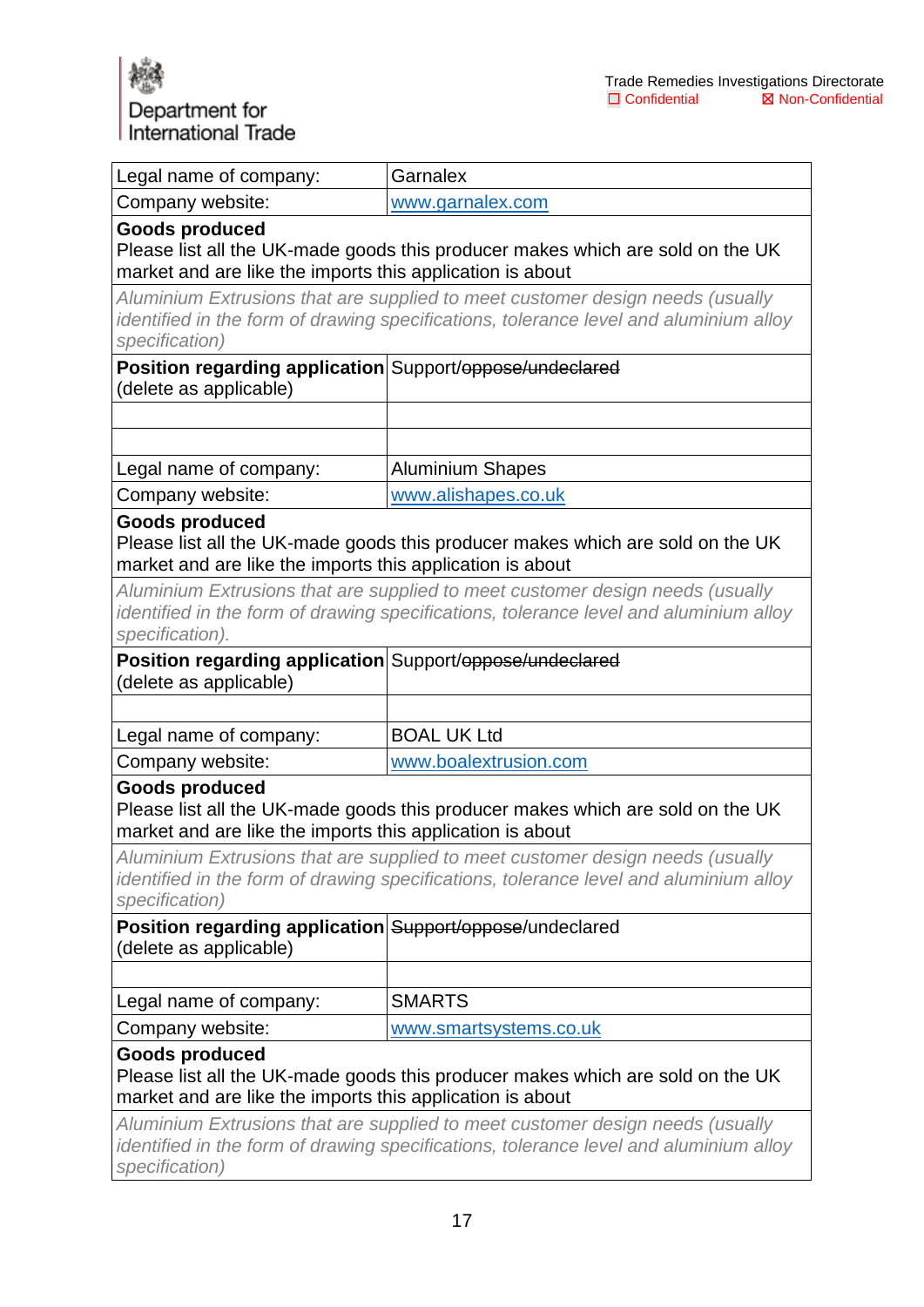| Legal name of company:                                                                                                                                                                                                                                                                                                                                           | Garnalex                                                                       |  |  |  |
|------------------------------------------------------------------------------------------------------------------------------------------------------------------------------------------------------------------------------------------------------------------------------------------------------------------------------------------------------------------|--------------------------------------------------------------------------------|--|--|--|
| Company website:                                                                                                                                                                                                                                                                                                                                                 | www.garnalex.com                                                               |  |  |  |
| <b>Goods produced</b><br>Please list all the UK-made goods this producer makes which are sold on the UK<br>market and are like the imports this application is about                                                                                                                                                                                             |                                                                                |  |  |  |
| Aluminium Extrusions that are supplied to meet customer design needs (usually<br>identified in the form of drawing specifications, tolerance level and aluminium alloy<br>specification)                                                                                                                                                                         |                                                                                |  |  |  |
| Position regarding application Support/oppose/undeclared<br>(delete as applicable)                                                                                                                                                                                                                                                                               |                                                                                |  |  |  |
|                                                                                                                                                                                                                                                                                                                                                                  |                                                                                |  |  |  |
| Legal name of company:                                                                                                                                                                                                                                                                                                                                           | <b>Aluminium Shapes</b>                                                        |  |  |  |
| Company website:                                                                                                                                                                                                                                                                                                                                                 | www.alishapes.co.uk                                                            |  |  |  |
| <b>Goods produced</b><br>market and are like the imports this application is about                                                                                                                                                                                                                                                                               | Please list all the UK-made goods this producer makes which are sold on the UK |  |  |  |
| Aluminium Extrusions that are supplied to meet customer design needs (usually<br>identified in the form of drawing specifications, tolerance level and aluminium alloy<br>specification).                                                                                                                                                                        |                                                                                |  |  |  |
| Position regarding application Support/oppose/undeclared<br>(delete as applicable)                                                                                                                                                                                                                                                                               |                                                                                |  |  |  |
| Legal name of company:                                                                                                                                                                                                                                                                                                                                           | <b>BOAL UK Ltd</b>                                                             |  |  |  |
| Company website:                                                                                                                                                                                                                                                                                                                                                 | www.boalextrusion.com                                                          |  |  |  |
| <b>Goods produced</b><br>Please list all the UK-made goods this producer makes which are sold on the UK<br>market and are like the imports this application is about<br>Aluminium Extrusions that are supplied to meet customer design needs (usually<br>identified in the form of drawing specifications, tolerance level and aluminium alloy<br>specification) |                                                                                |  |  |  |
| Position regarding application Support/oppose/undeclared<br>(delete as applicable)                                                                                                                                                                                                                                                                               |                                                                                |  |  |  |
| Legal name of company:                                                                                                                                                                                                                                                                                                                                           | <b>SMARTS</b>                                                                  |  |  |  |
| Company website:                                                                                                                                                                                                                                                                                                                                                 | www.smartsystems.co.uk                                                         |  |  |  |
| <b>Goods produced</b><br>market and are like the imports this application is about                                                                                                                                                                                                                                                                               | Please list all the UK-made goods this producer makes which are sold on the UK |  |  |  |
| Aluminium Extrusions that are supplied to meet customer design needs (usually<br>identified in the form of drawing specifications, tolerance level and aluminium alloy<br>specification)                                                                                                                                                                         |                                                                                |  |  |  |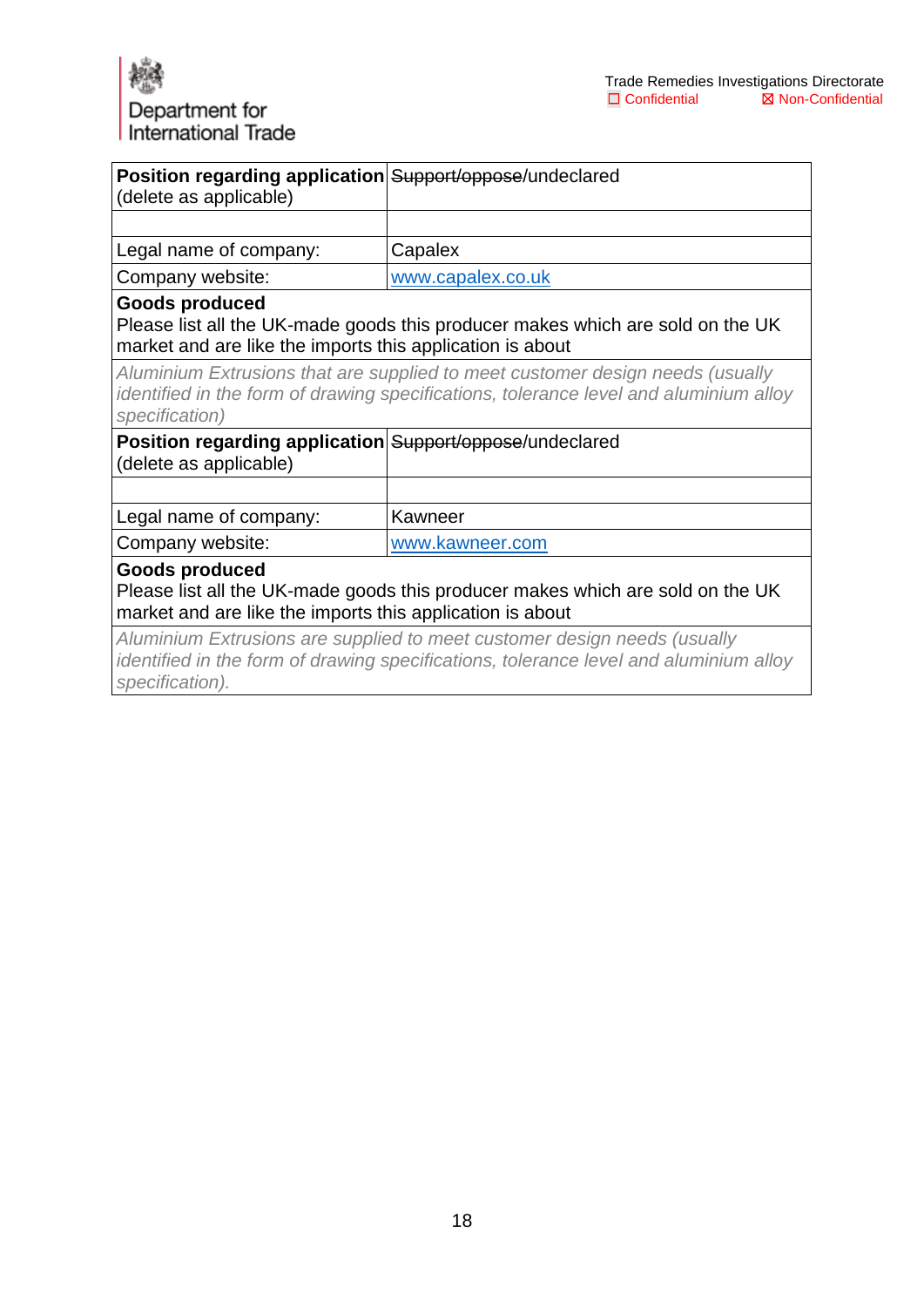| Position regarding application Support/oppose/undeclared<br>(delete as applicable)                                                                                                       |                                                                                |  |  |
|------------------------------------------------------------------------------------------------------------------------------------------------------------------------------------------|--------------------------------------------------------------------------------|--|--|
|                                                                                                                                                                                          |                                                                                |  |  |
| Legal name of company:                                                                                                                                                                   | Capalex                                                                        |  |  |
| Company website:                                                                                                                                                                         | www.capalex.co.uk                                                              |  |  |
| <b>Goods produced</b><br>market and are like the imports this application is about                                                                                                       | Please list all the UK-made goods this producer makes which are sold on the UK |  |  |
| Aluminium Extrusions that are supplied to meet customer design needs (usually<br>identified in the form of drawing specifications, tolerance level and aluminium alloy<br>specification) |                                                                                |  |  |
| <b>Position regarding application Support/oppose/undeclared</b><br>(delete as applicable)                                                                                                |                                                                                |  |  |
|                                                                                                                                                                                          |                                                                                |  |  |
| Legal name of company:                                                                                                                                                                   | Kawneer                                                                        |  |  |
| Company website:                                                                                                                                                                         | www.kawneer.com                                                                |  |  |
| <b>Goods produced</b><br>Please list all the UK-made goods this producer makes which are sold on the UK<br>market and are like the imports this application is about                     |                                                                                |  |  |
| Aluminium Extrusions are supplied to meet customer design needs (usually<br>identified in the form of drawing specifications, tolerance level and aluminium alloy<br>specification).     |                                                                                |  |  |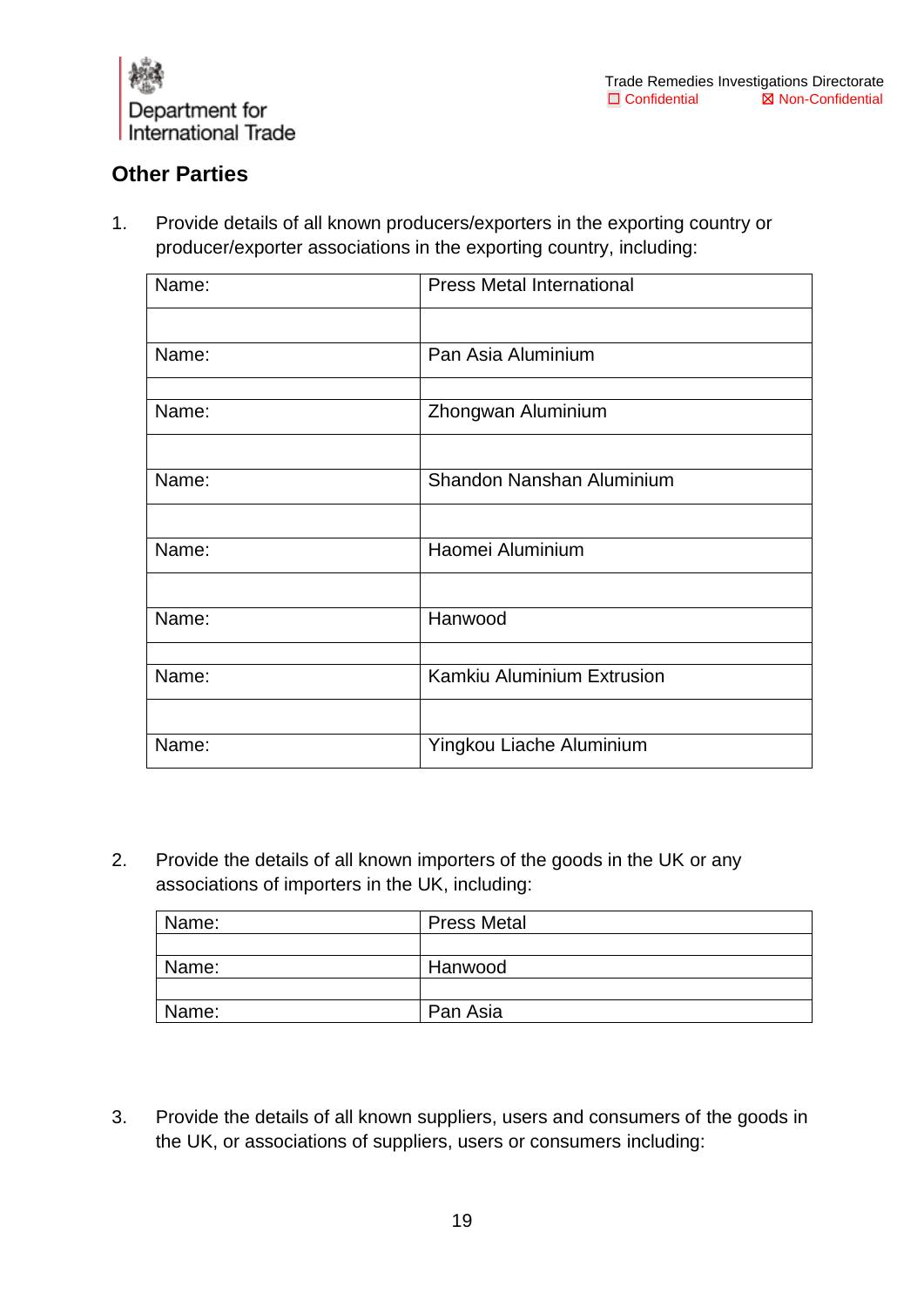

## **Other Parties**

1. Provide details of all known producers/exporters in the exporting country or producer/exporter associations in the exporting country, including:

| Name: | <b>Press Metal International</b> |
|-------|----------------------------------|
|       |                                  |
| Name: | Pan Asia Aluminium               |
|       |                                  |
| Name: | Zhongwan Aluminium               |
|       |                                  |
| Name: | Shandon Nanshan Aluminium        |
|       |                                  |
| Name: | Haomei Aluminium                 |
|       |                                  |
| Name: | Hanwood                          |
|       |                                  |
| Name: | Kamkiu Aluminium Extrusion       |
|       |                                  |
| Name: | Yingkou Liache Aluminium         |

2. Provide the details of all known importers of the goods in the UK or any associations of importers in the UK, including:

| Name: | <b>Press Metal</b> |
|-------|--------------------|
|       |                    |
| Name: | Hanwood            |
|       |                    |
| Name: | Pan Asia           |

3. Provide the details of all known suppliers, users and consumers of the goods in the UK, or associations of suppliers, users or consumers including: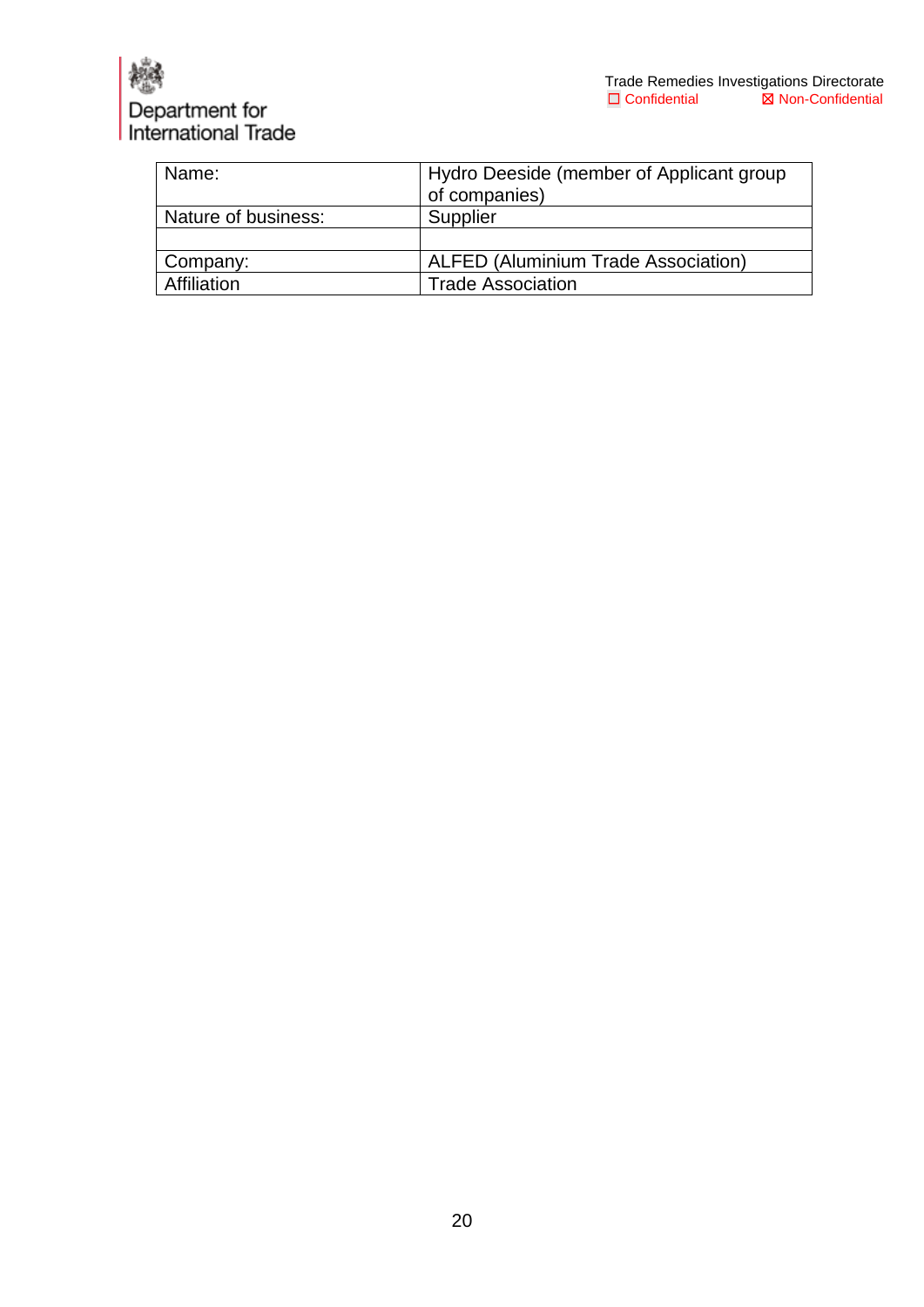

<span id="page-19-0"></span>

| Name:               | Hydro Deeside (member of Applicant group<br>of companies) |
|---------------------|-----------------------------------------------------------|
| Nature of business: | Supplier                                                  |
|                     |                                                           |
| Company:            | <b>ALFED (Aluminium Trade Association)</b>                |
| Affiliation         | <b>Trade Association</b>                                  |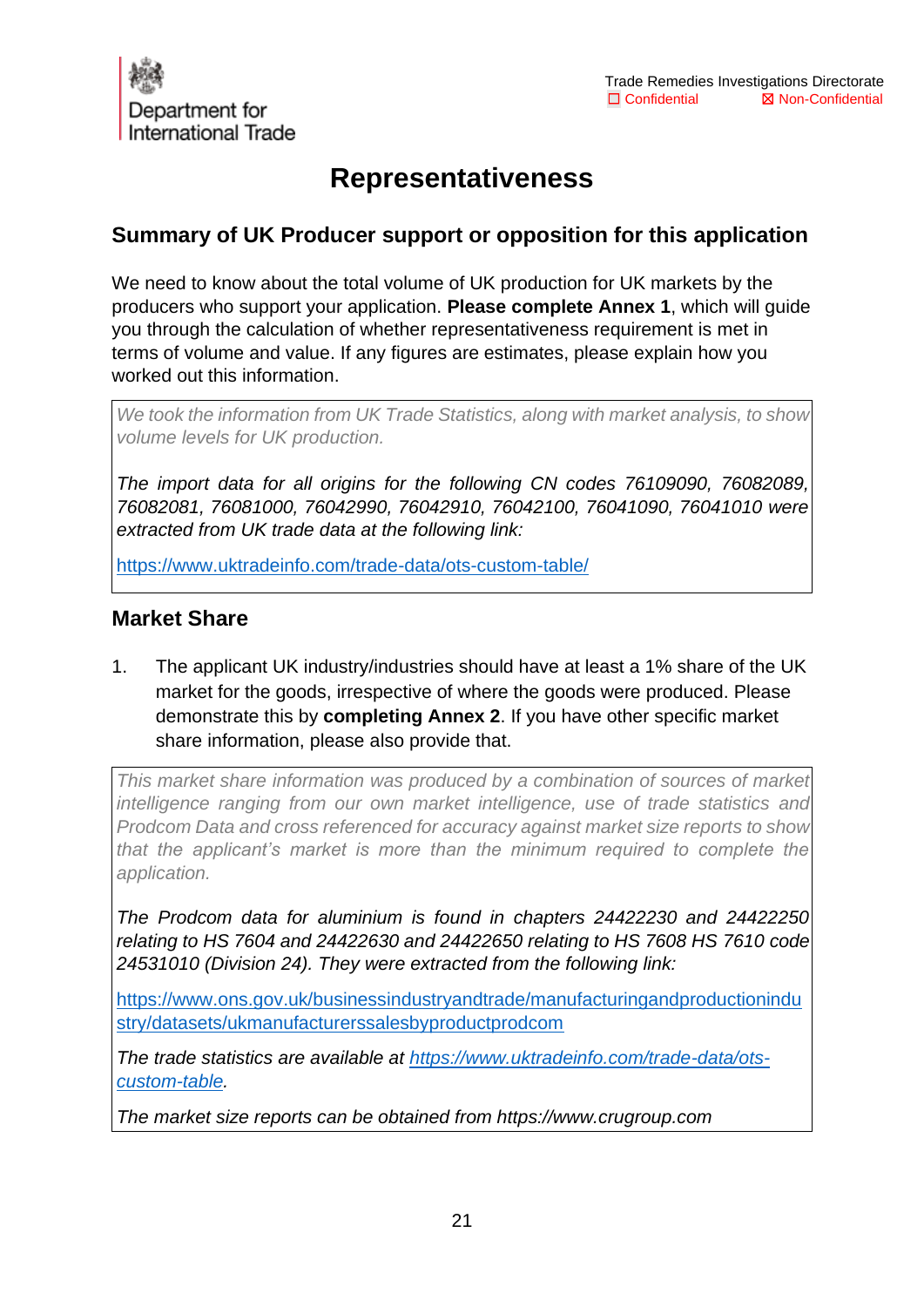

# **Representativeness**

#### **Summary of UK Producer support or opposition for this application**

We need to know about the total volume of UK production for UK markets by the producers who support your application. **Please complete Annex 1**, which will guide you through the calculation of whether representativeness requirement is met in terms of volume and value. If any figures are estimates, please explain how you worked out this information.

*We took the information from UK Trade Statistics, along with market analysis, to show volume levels for UK production.*

*The import data for all origins for the following CN codes 76109090, 76082089, 76082081, 76081000, 76042990, 76042910, 76042100, 76041090, 76041010 were extracted from UK trade data at the following link:*

<https://www.uktradeinfo.com/trade-data/ots-custom-table/>

#### **Market Share**

1. The applicant UK industry/industries should have at least a 1% share of the UK market for the goods, irrespective of where the goods were produced. Please demonstrate this by **completing Annex 2**. If you have other specific market share information, please also provide that.

*This market share information was produced by a combination of sources of market intelligence ranging from our own market intelligence, use of trade statistics and Prodcom Data and cross referenced for accuracy against market size reports to show that the applicant's market is more than the minimum required to complete the application.*

*The Prodcom data for aluminium is found in chapters 24422230 and 24422250 relating to HS 7604 and 24422630 and 24422650 relating to HS 7608 HS 7610 code 24531010 (Division 24). They were extracted from the following link:*

[https://www.ons.gov.uk/businessindustryandtrade/manufacturingandproductionindu](https://www.ons.gov.uk/businessindustryandtrade/manufacturingandproductionindustry/datasets/ukmanufacturerssalesbyproductprodcom) [stry/datasets/ukmanufacturerssalesbyproductprodcom](https://www.ons.gov.uk/businessindustryandtrade/manufacturingandproductionindustry/datasets/ukmanufacturerssalesbyproductprodcom)

*The trade statistics are available at [https://www.uktradeinfo.com/trade-data/ots](https://www.uktradeinfo.com/trade-data/ots-custom-table)[custom-table.](https://www.uktradeinfo.com/trade-data/ots-custom-table)*

*The market size reports can be obtained from https://www.crugroup.com*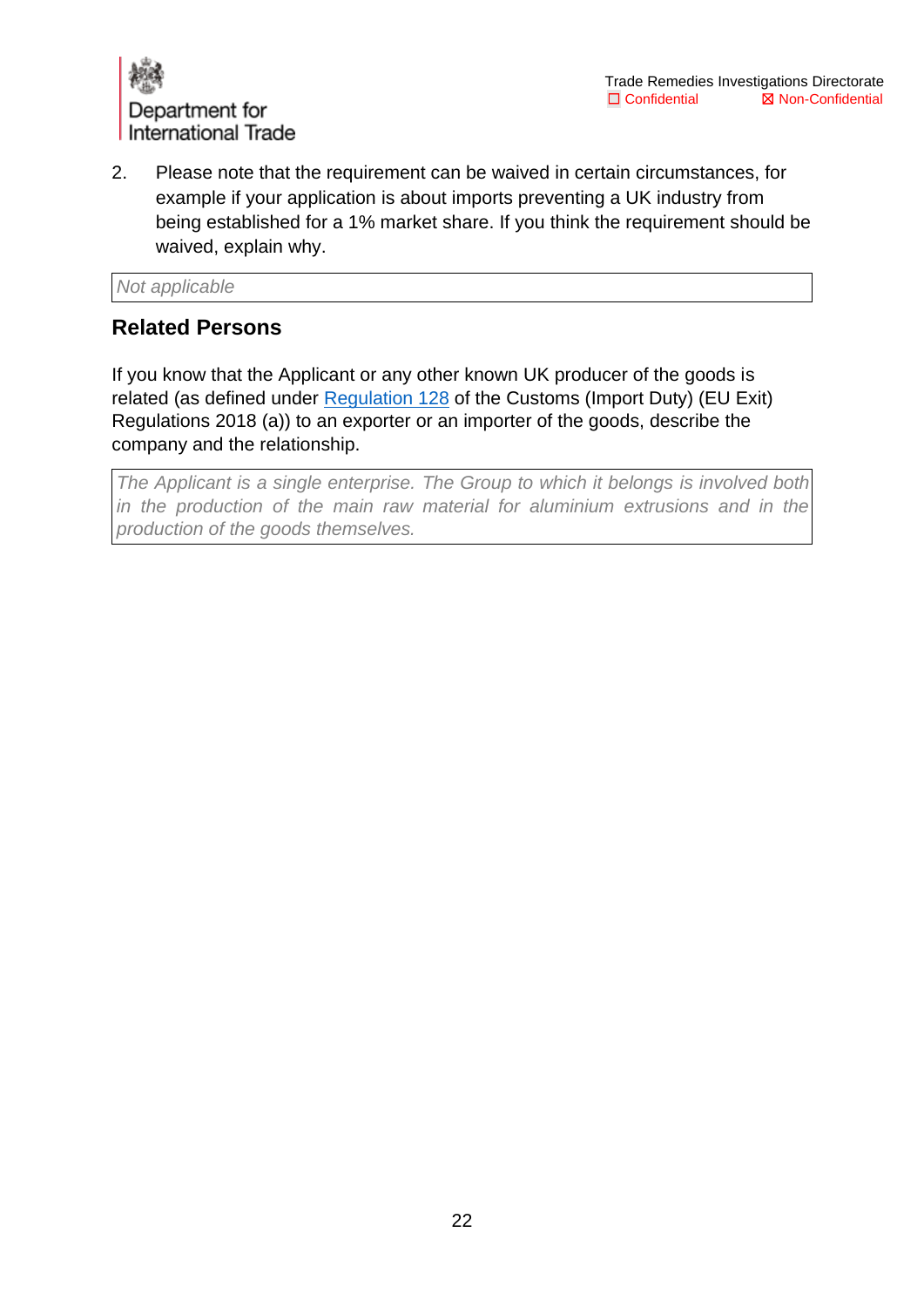

2. Please note that the requirement can be waived in certain circumstances, for example if your application is about imports preventing a UK industry from being established for a 1% market share. If you think the requirement should be waived, explain why.

*Not applicable*

#### **Related Persons**

If you know that the Applicant or any other known UK producer of the goods is related (as defined under [Regulation 128](http://www.legislation.gov.uk/uksi/2018/1248/regulation/128/made) of the Customs (Import Duty) (EU Exit) Regulations 2018 (a)) to an exporter or an importer of the goods, describe the company and the relationship.

*The Applicant is a single enterprise. The Group to which it belongs is involved both in the production of the main raw material for aluminium extrusions and in the production of the goods themselves.*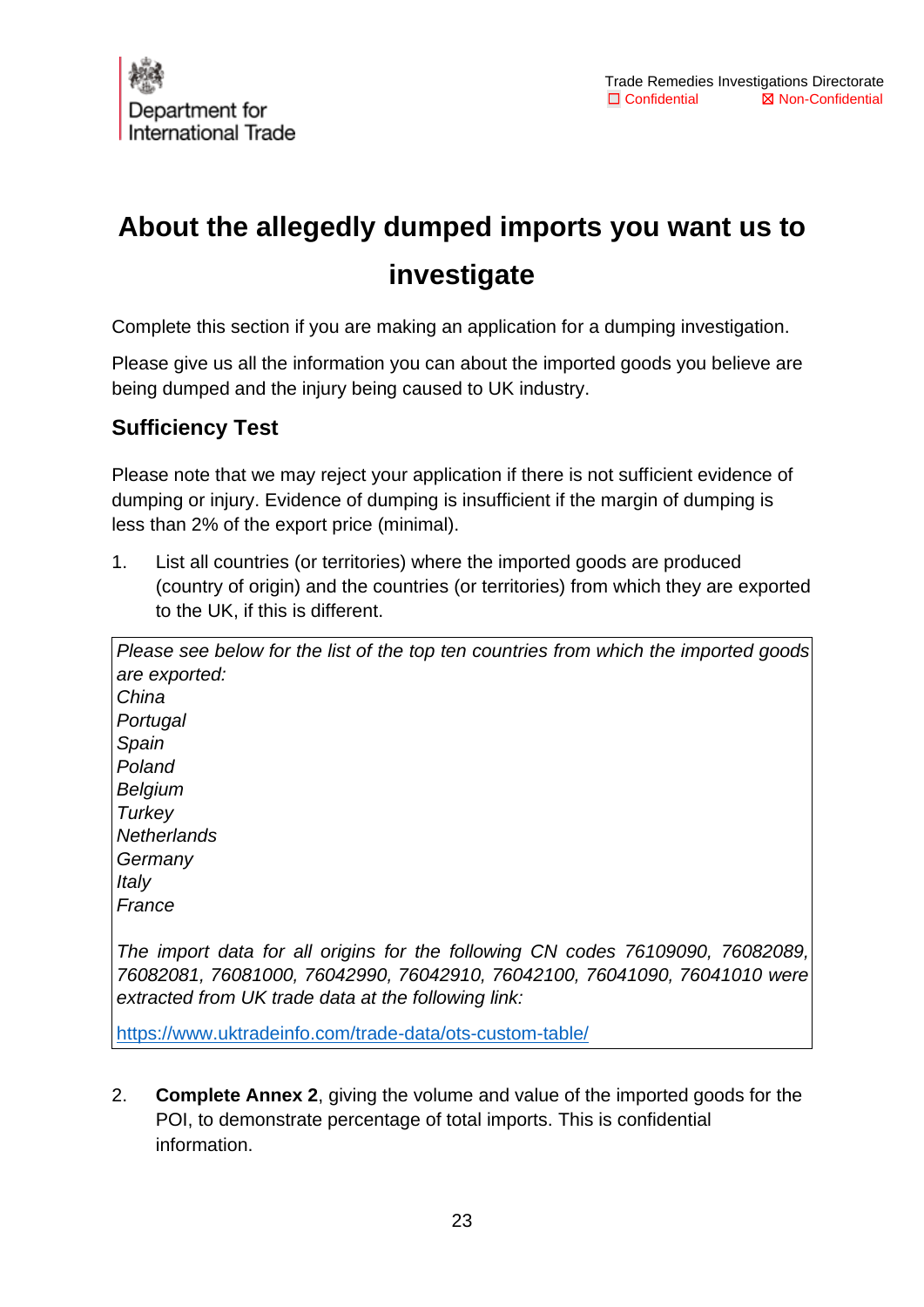

# <span id="page-22-0"></span>**About the allegedly dumped imports you want us to investigate**

Complete this section if you are making an application for a dumping investigation.

Please give us all the information you can about the imported goods you believe are being dumped and the injury being caused to UK industry.

## **Sufficiency Test**

Please note that we may reject your application if there is not sufficient evidence of dumping or injury. Evidence of dumping is insufficient if the margin of dumping is less than 2% of the export price (minimal).

1. List all countries (or territories) where the imported goods are produced (country of origin) and the countries (or territories) from which they are exported to the UK, if this is different.

*Please see below for the list of the top ten countries from which the imported goods are exported: China Portugal Spain Poland Belgium Turkey Netherlands Germany Italy France*

*The import data for all origins for the following CN codes 76109090, 76082089, 76082081, 76081000, 76042990, 76042910, 76042100, 76041090, 76041010 were extracted from UK trade data at the following link:*

<https://www.uktradeinfo.com/trade-data/ots-custom-table/>

2. **Complete Annex 2**, giving the volume and value of the imported goods for the POI, to demonstrate percentage of total imports. This is confidential information.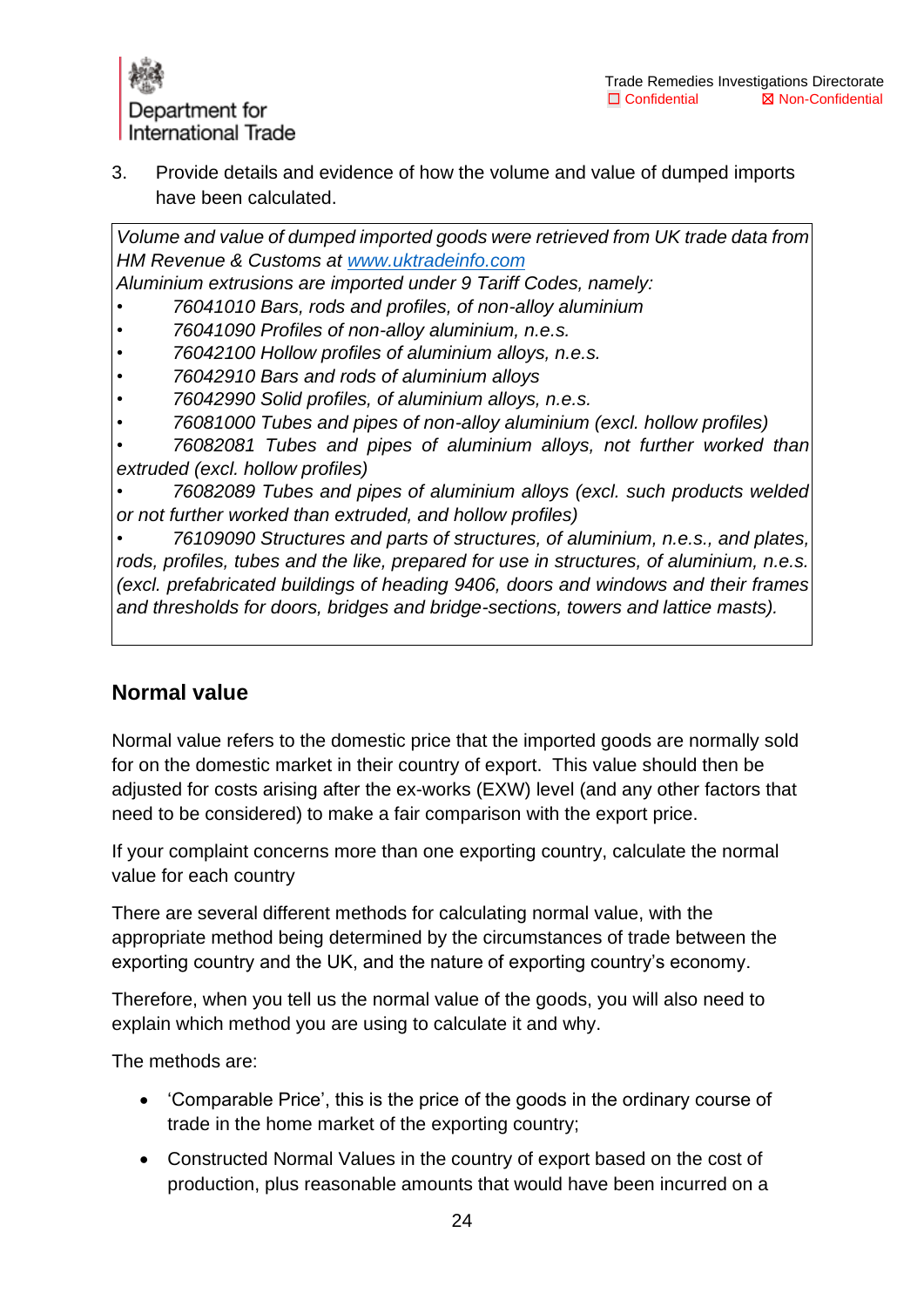

3. Provide details and evidence of how the volume and value of dumped imports have been calculated.

*Volume and value of dumped imported goods were retrieved from UK trade data from HM Revenue & Customs at [www.uktradeinfo.com](http://www.uktradeinfo.com/)*

*Aluminium extrusions are imported under 9 Tariff Codes, namely:*

- *• 76041010 Bars, rods and profiles, of non-alloy aluminium*
- *• 76041090 Profiles of non-alloy aluminium, n.e.s.*
- *• 76042100 Hollow profiles of aluminium alloys, n.e.s.*
- *• 76042910 Bars and rods of aluminium alloys*
- *• 76042990 Solid profiles, of aluminium alloys, n.e.s.*
- *• 76081000 Tubes and pipes of non-alloy aluminium (excl. hollow profiles)*

*• 76082081 Tubes and pipes of aluminium alloys, not further worked than extruded (excl. hollow profiles)*

*• 76082089 Tubes and pipes of aluminium alloys (excl. such products welded or not further worked than extruded, and hollow profiles)*

*• 76109090 Structures and parts of structures, of aluminium, n.e.s., and plates, rods, profiles, tubes and the like, prepared for use in structures, of aluminium, n.e.s. (excl. prefabricated buildings of heading 9406, doors and windows and their frames and thresholds for doors, bridges and bridge-sections, towers and lattice masts).*

#### **Normal value**

Normal value refers to the domestic price that the imported goods are normally sold for on the domestic market in their country of export. This value should then be adjusted for costs arising after the ex-works (EXW) level (and any other factors that need to be considered) to make a fair comparison with the export price.

If your complaint concerns more than one exporting country, calculate the normal value for each country

There are several different methods for calculating normal value, with the appropriate method being determined by the circumstances of trade between the exporting country and the UK, and the nature of exporting country's economy.

Therefore, when you tell us the normal value of the goods, you will also need to explain which method you are using to calculate it and why.

The methods are:

- 'Comparable Price', this is the price of the goods in the ordinary course of trade in the home market of the exporting country;
- Constructed Normal Values in the country of export based on the cost of production, plus reasonable amounts that would have been incurred on a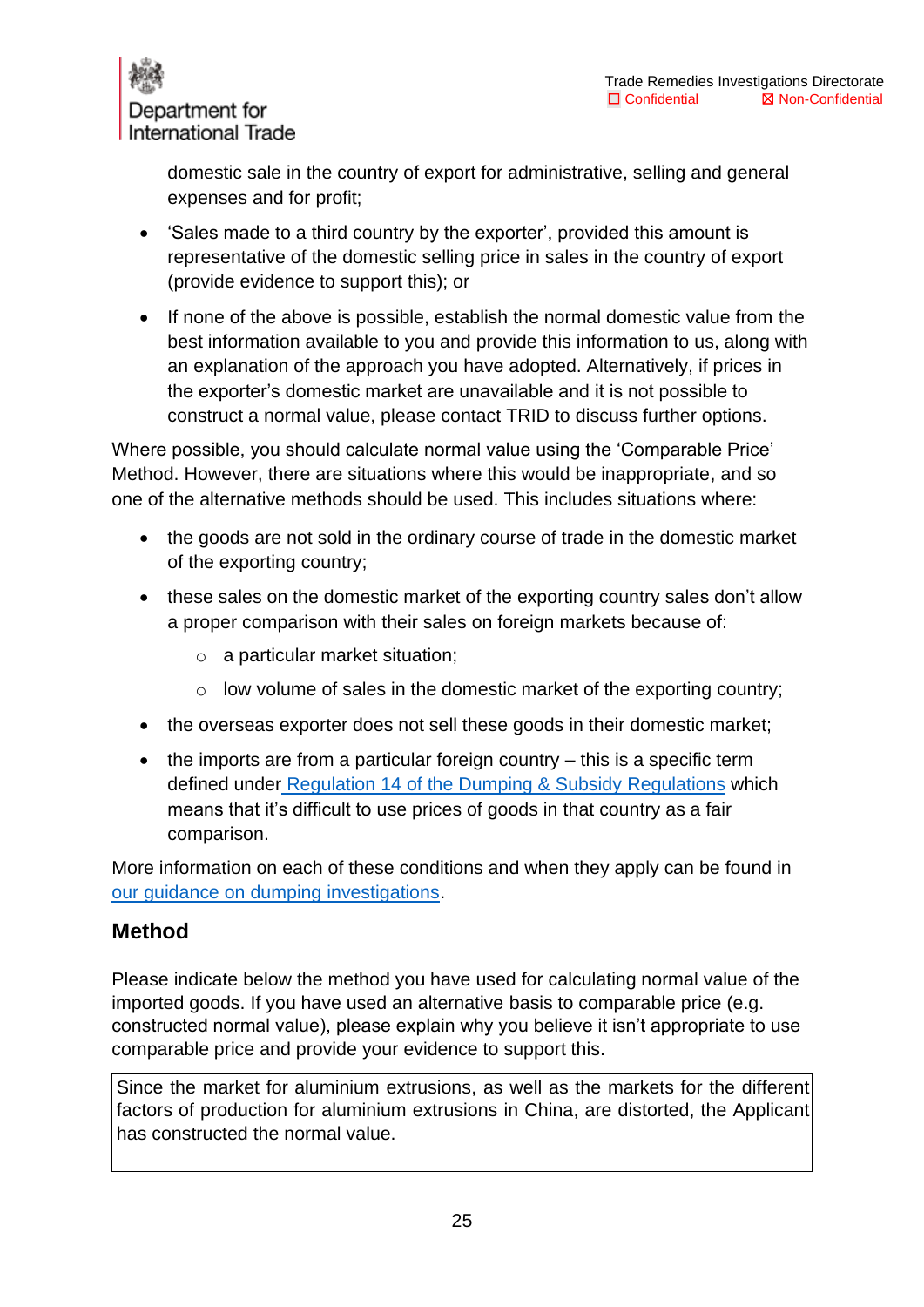

domestic sale in the country of export for administrative, selling and general expenses and for profit;

- 'Sales made to a third country by the exporter', provided this amount is representative of the domestic selling price in sales in the country of export (provide evidence to support this); or
- If none of the above is possible, establish the normal domestic value from the best information available to you and provide this information to us, along with an explanation of the approach you have adopted. Alternatively, if prices in the exporter's domestic market are unavailable and it is not possible to construct a normal value, please [contact TRID](mailto:contact@traderemedies.gov.uk) to discuss further options.

Where possible, you should calculate normal value using the 'Comparable Price' Method. However, there are situations where this would be inappropriate, and so one of the alternative methods should be used. This includes situations where:

- the goods are not sold in the ordinary course of trade in the domestic market of the exporting country;
- these sales on the domestic market of the exporting country sales don't allow a proper comparison with their sales on foreign markets because of:
	- o a particular market situation;
	- o low volume of sales in the domestic market of the exporting country;
- the overseas exporter does not sell these goods in their domestic market;
- the imports are from a particular foreign country this is a specific term defined under [Regulation 14 of the Dumping & Subsidy Regulations](http://www.legislation.gov.uk/uksi/2019/450/regulation/14/made) which means that it's difficult to use prices of goods in that country as a fair comparison.

More information on each of these conditions and when they apply can be found i[n](https://www.gov.uk/government/publications/the-uk-trade-remedies-investigations-process/how-we-carry-out-a-dumping-investigation#determining-when-not-to-use-comparable-price) [our guidance on dumping investigations.](https://www.gov.uk/government/publications/the-uk-trade-remedies-investigations-process/how-we-carry-out-a-dumping-investigation#determining-when-not-to-use-comparable-price)

#### **Method**

Please indicate below the method you have used for calculating normal value of the imported goods. If you have used an alternative basis to comparable price (e.g. constructed normal value), please explain why you believe it isn't appropriate to use comparable price and provide your evidence to support this.

Since the market for aluminium extrusions, as well as the markets for the different factors of production for aluminium extrusions in China, are distorted, the Applicant has constructed the normal value.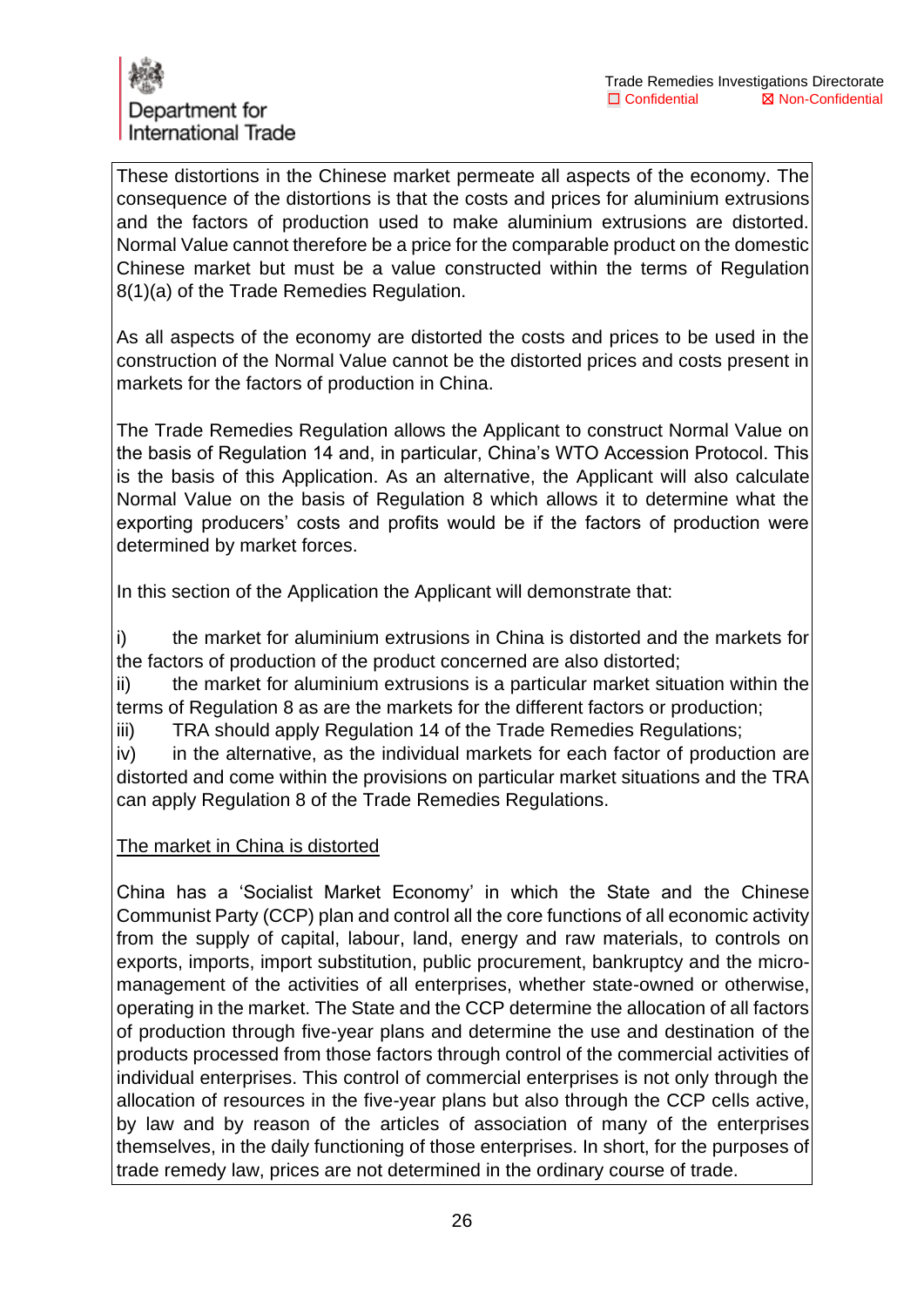

These distortions in the Chinese market permeate all aspects of the economy. The consequence of the distortions is that the costs and prices for aluminium extrusions and the factors of production used to make aluminium extrusions are distorted. Normal Value cannot therefore be a price for the comparable product on the domestic Chinese market but must be a value constructed within the terms of Regulation 8(1)(a) of the Trade Remedies Regulation.

As all aspects of the economy are distorted the costs and prices to be used in the construction of the Normal Value cannot be the distorted prices and costs present in markets for the factors of production in China.

The Trade Remedies Regulation allows the Applicant to construct Normal Value on the basis of Regulation 14 and, in particular, China's WTO Accession Protocol. This is the basis of this Application. As an alternative, the Applicant will also calculate Normal Value on the basis of Regulation 8 which allows it to determine what the exporting producers' costs and profits would be if the factors of production were determined by market forces.

In this section of the Application the Applicant will demonstrate that:

i) the market for aluminium extrusions in China is distorted and the markets for the factors of production of the product concerned are also distorted;

ii) the market for aluminium extrusions is a particular market situation within the terms of Regulation 8 as are the markets for the different factors or production;

iii) TRA should apply Regulation 14 of the Trade Remedies Regulations;

iv) in the alternative, as the individual markets for each factor of production are distorted and come within the provisions on particular market situations and the TRA can apply Regulation 8 of the Trade Remedies Regulations.

The market in China is distorted

China has a 'Socialist Market Economy' in which the State and the Chinese Communist Party (CCP) plan and control all the core functions of all economic activity from the supply of capital, labour, land, energy and raw materials, to controls on exports, imports, import substitution, public procurement, bankruptcy and the micromanagement of the activities of all enterprises, whether state-owned or otherwise, operating in the market. The State and the CCP determine the allocation of all factors of production through five-year plans and determine the use and destination of the products processed from those factors through control of the commercial activities of individual enterprises. This control of commercial enterprises is not only through the allocation of resources in the five-year plans but also through the CCP cells active, by law and by reason of the articles of association of many of the enterprises themselves, in the daily functioning of those enterprises. In short, for the purposes of trade remedy law, prices are not determined in the ordinary course of trade.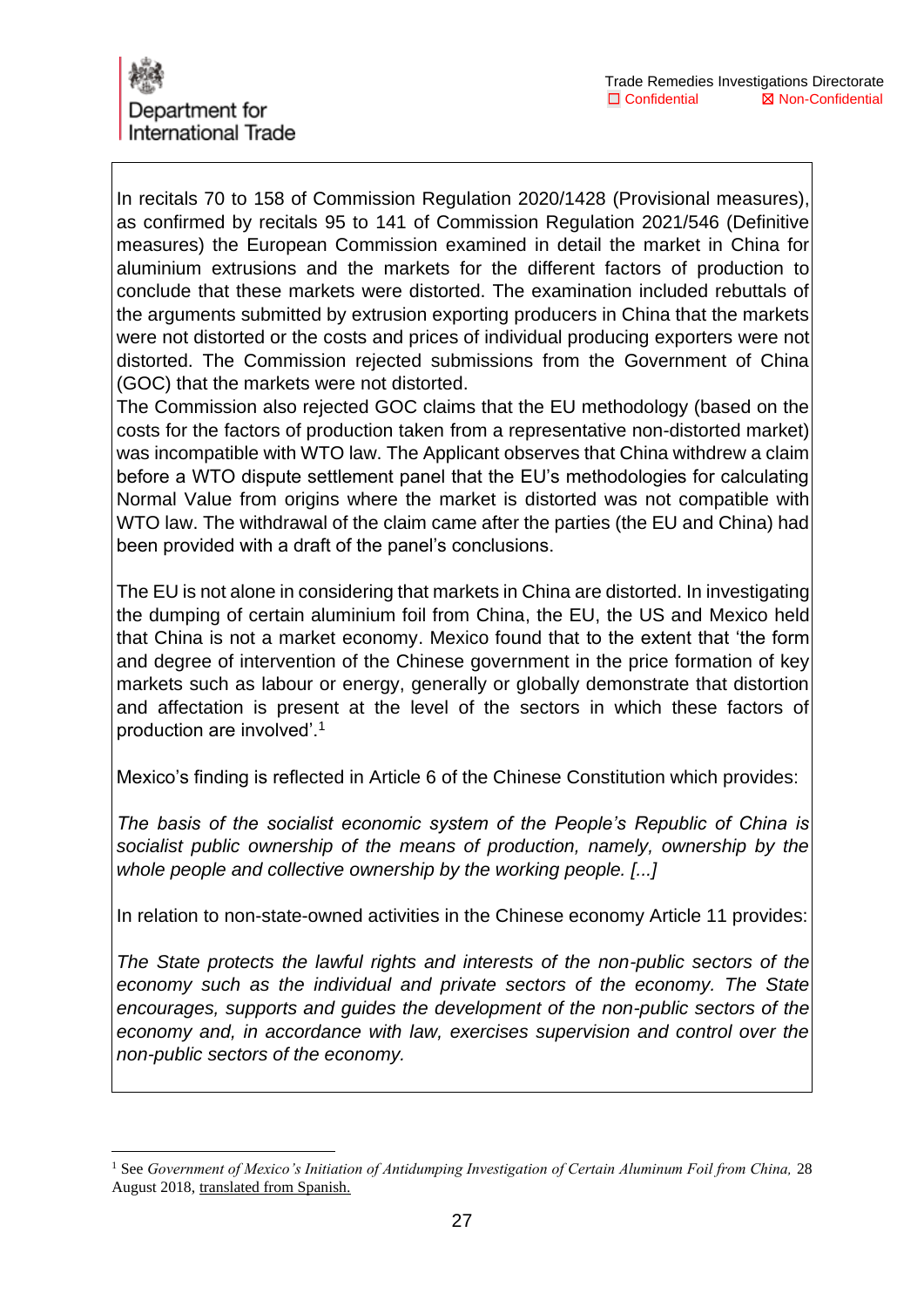In recitals 70 to 158 of Commission Regulation 2020/1428 (Provisional measures), as confirmed by recitals 95 to 141 of Commission Regulation 2021/546 (Definitive measures) the European Commission examined in detail the market in China for aluminium extrusions and the markets for the different factors of production to conclude that these markets were distorted. The examination included rebuttals of the arguments submitted by extrusion exporting producers in China that the markets were not distorted or the costs and prices of individual producing exporters were not distorted. The Commission rejected submissions from the Government of China (GOC) that the markets were not distorted.

The Commission also rejected GOC claims that the EU methodology (based on the costs for the factors of production taken from a representative non-distorted market) was incompatible with WTO law. The Applicant observes that China withdrew a claim before a WTO dispute settlement panel that the EU's methodologies for calculating Normal Value from origins where the market is distorted was not compatible with WTO law. The withdrawal of the claim came after the parties (the EU and China) had been provided with a draft of the panel's conclusions.

The EU is not alone in considering that markets in China are distorted. In investigating the dumping of certain aluminium foil from China, the EU, the US and Mexico held that China is not a market economy. Mexico found that to the extent that 'the form and degree of intervention of the Chinese government in the price formation of key markets such as labour or energy, generally or globally demonstrate that distortion and affectation is present at the level of the sectors in which these factors of production are involved'.<sup>1</sup>

Mexico's finding is reflected in Article 6 of the Chinese Constitution which provides:

*The basis of the socialist economic system of the People's Republic of China is socialist public ownership of the means of production, namely, ownership by the whole people and collective ownership by the working people. [...]*

In relation to non-state-owned activities in the Chinese economy Article 11 provides:

*The State protects the lawful rights and interests of the non-public sectors of the economy such as the individual and private sectors of the economy. The State encourages, supports and guides the development of the non-public sectors of the economy and, in accordance with law, exercises supervision and control over the non-public sectors of the economy.*

<sup>1</sup> See *Government of Mexico's Initiation of Antidumping Investigation of Certain Aluminum Foil from China,* 28 August 2018, translated from Spanish.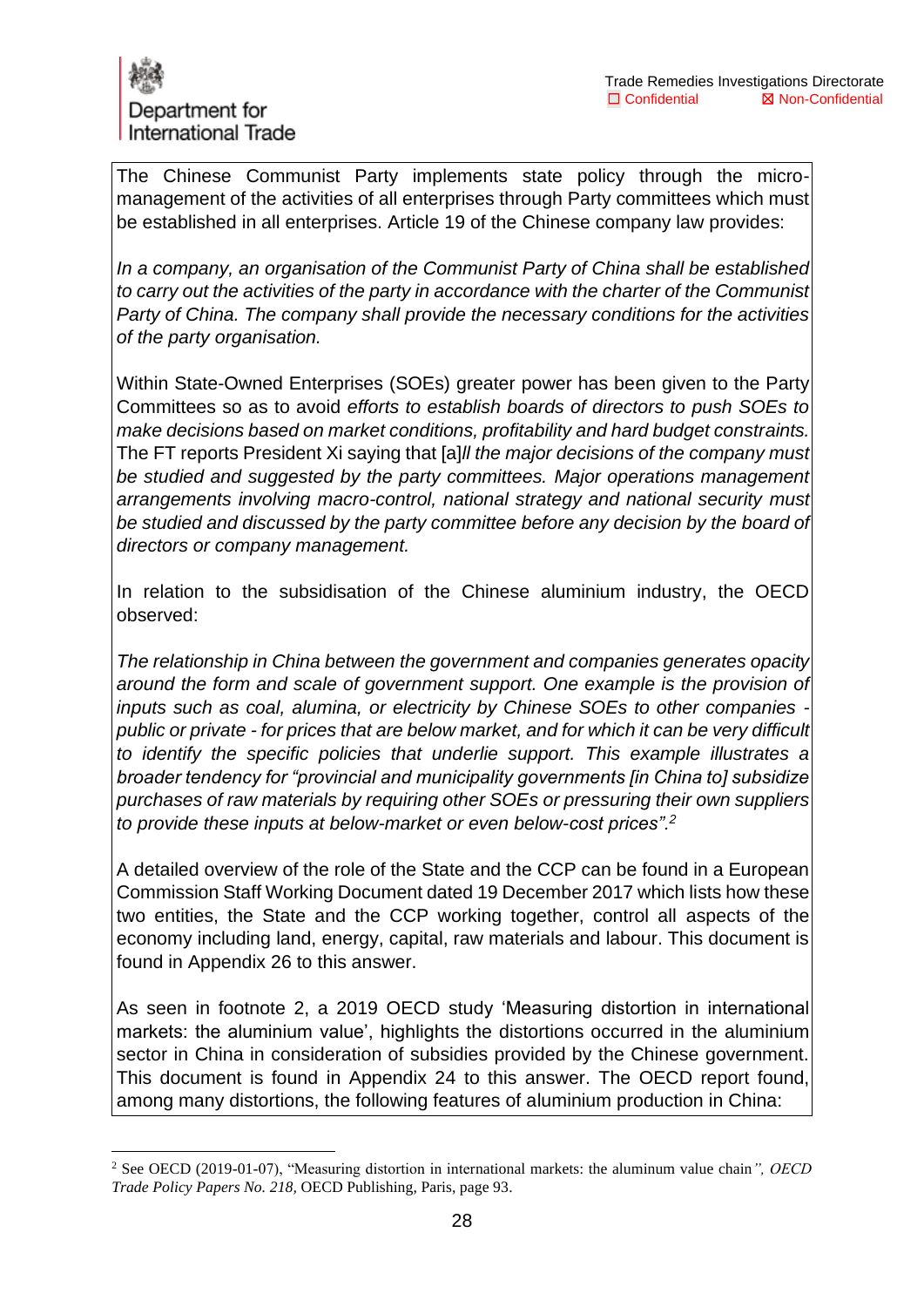

The Chinese Communist Party implements state policy through the micromanagement of the activities of all enterprises through Party committees which must be established in all enterprises. Article 19 of the Chinese company law provides:

*In a company, an organisation of the Communist Party of China shall be established to carry out the activities of the party in accordance with the charter of the Communist Party of China. The company shall provide the necessary conditions for the activities of the party organisation.*

Within State-Owned Enterprises (SOEs) greater power has been given to the Party Committees so as to avoid *efforts to establish boards of directors to push SOEs to make decisions based on market conditions, profitability and hard budget constraints.* The FT reports President Xi saying that [a]*ll the major decisions of the company must be studied and suggested by the party committees. Major operations management arrangements involving macro-control, national strategy and national security must be studied and discussed by the party committee before any decision by the board of directors or company management.*

In relation to the subsidisation of the Chinese aluminium industry, the OECD observed:

*The relationship in China between the government and companies generates opacity*  around the form and scale of government support. One example is the provision of *inputs such as coal, alumina, or electricity by Chinese SOEs to other companies public or private - for prices that are below market, and for which it can be very difficult to identify the specific policies that underlie support. This example illustrates a broader tendency for "provincial and municipality governments [in China to] subsidize purchases of raw materials by requiring other SOEs or pressuring their own suppliers to provide these inputs at below-market or even below-cost prices".<sup>2</sup>*

A detailed overview of the role of the State and the CCP can be found in a European Commission Staff Working Document dated 19 December 2017 which lists how these two entities, the State and the CCP working together, control all aspects of the economy including land, energy, capital, raw materials and labour. This document is found in Appendix 26 to this answer.

As seen in footnote 2, a 2019 OECD study 'Measuring distortion in international markets: the aluminium value', highlights the distortions occurred in the aluminium sector in China in consideration of subsidies provided by the Chinese government. This document is found in Appendix 24 to this answer. The OECD report found, among many distortions, the following features of aluminium production in China:

<sup>2</sup> See OECD (2019-01-07), "Measuring distortion in international markets: the aluminum value chain*", OECD Trade Policy Papers No. 218,* OECD Publishing, Paris, page 93.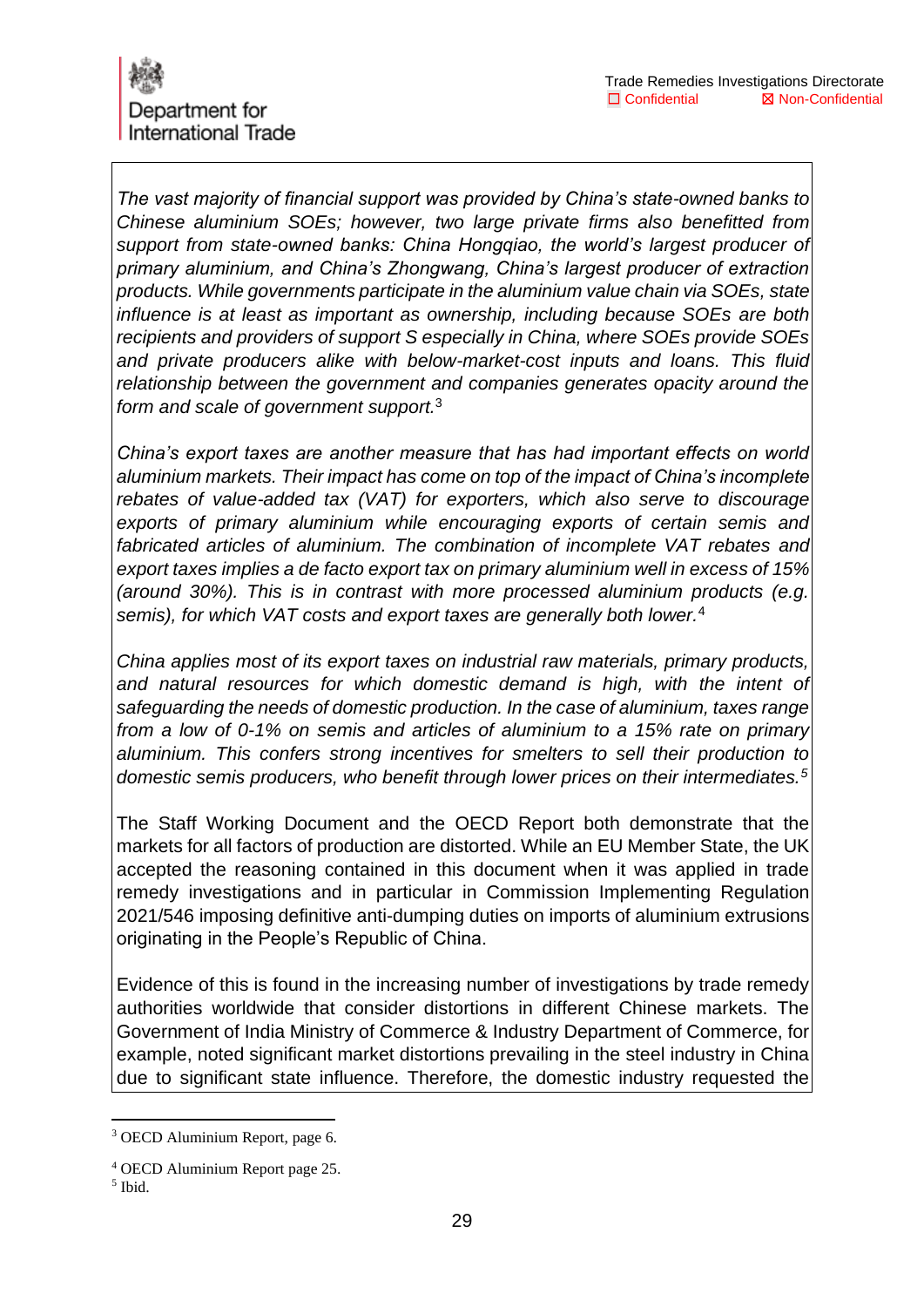

*The vast majority of financial support was provided by China's state-owned banks to Chinese aluminium SOEs; however, two large private firms also benefitted from support from state-owned banks: China Hongqiao, the world's largest producer of primary aluminium, and China's Zhongwang, China's largest producer of extraction products. While governments participate in the aluminium value chain via SOEs, state influence is at least as important as ownership, including because SOEs are both recipients and providers of support S especially in China, where SOEs provide SOEs and private producers alike with below-market-cost inputs and loans. This fluid relationship between the government and companies generates opacity around the form and scale of government support.*<sup>3</sup>

*China's export taxes are another measure that has had important effects on world aluminium markets. Their impact has come on top of the impact of China's incomplete rebates of value-added tax (VAT) for exporters, which also serve to discourage exports of primary aluminium while encouraging exports of certain semis and fabricated articles of aluminium. The combination of incomplete VAT rebates and export taxes implies a de facto export tax on primary aluminium well in excess of 15% (around 30%). This is in contrast with more processed aluminium products (e.g. semis), for which VAT costs and export taxes are generally both lower.*<sup>4</sup>

*China applies most of its export taxes on industrial raw materials, primary products,*  and natural resources for which domestic demand is high, with the intent of *safeguarding the needs of domestic production. In the case of aluminium, taxes range from a low of 0-1% on semis and articles of aluminium to a 15% rate on primary aluminium. This confers strong incentives for smelters to sell their production to domestic semis producers, who benefit through lower prices on their intermediates.<sup>5</sup>*

The Staff Working Document and the OECD Report both demonstrate that the markets for all factors of production are distorted. While an EU Member State, the UK accepted the reasoning contained in this document when it was applied in trade remedy investigations and in particular in Commission Implementing Regulation 2021/546 imposing definitive anti-dumping duties on imports of aluminium extrusions originating in the People's Republic of China.

Evidence of this is found in the increasing number of investigations by trade remedy authorities worldwide that consider distortions in different Chinese markets. The Government of India Ministry of Commerce & Industry Department of Commerce, for example, noted significant market distortions prevailing in the steel industry in China due to significant state influence. Therefore, the domestic industry requested the

<sup>3</sup> OECD Aluminium Report, page 6.

<sup>4</sup> OECD Aluminium Report page 25.

<sup>5</sup> Ibid.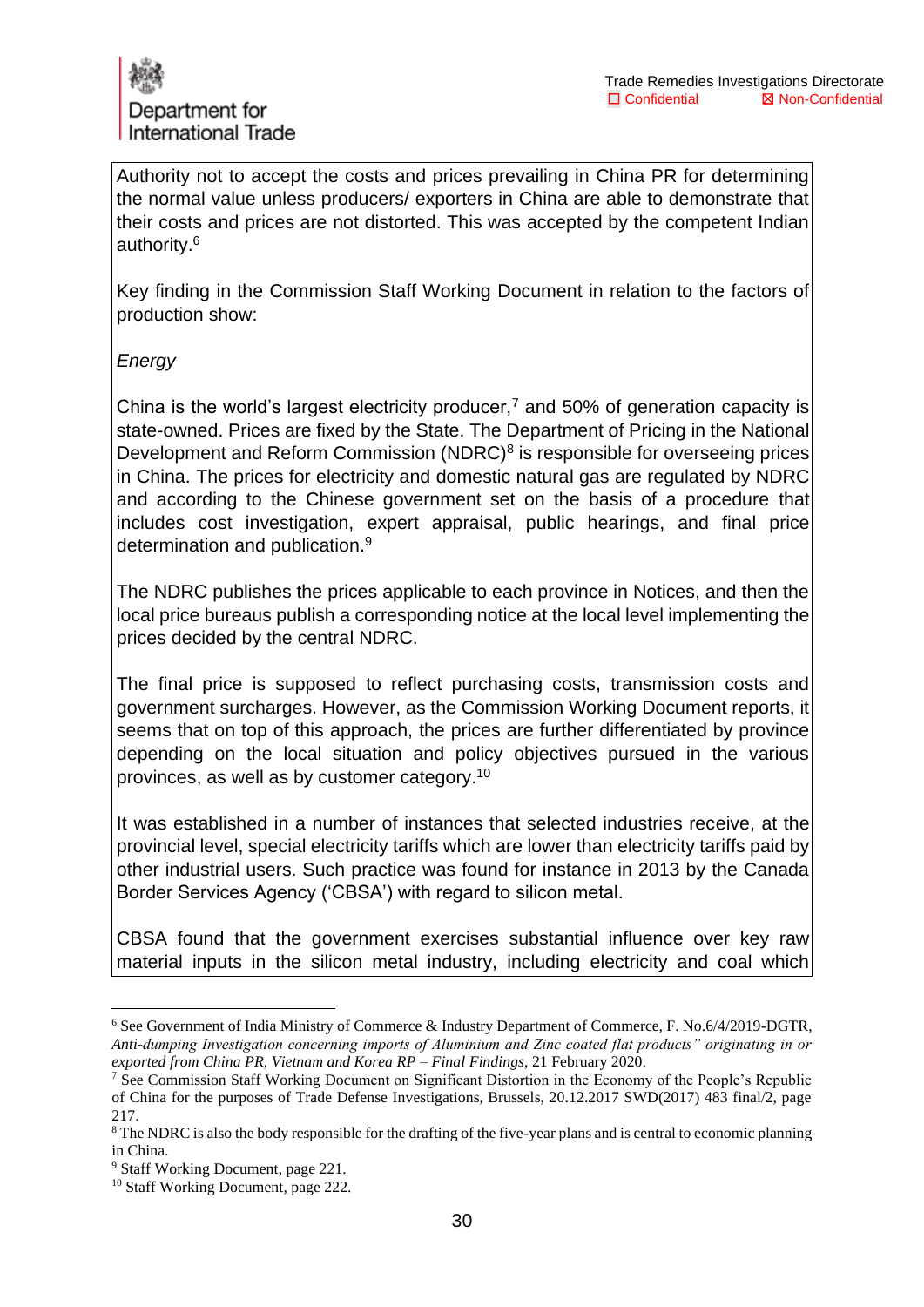

Authority not to accept the costs and prices prevailing in China PR for determining the normal value unless producers/ exporters in China are able to demonstrate that their costs and prices are not distorted. This was accepted by the competent Indian authority.<sup>6</sup>

Key finding in the Commission Staff Working Document in relation to the factors of production show:

*Energy* 

China is the world's largest electricity producer,<sup>7</sup> and 50% of generation capacity is state-owned. Prices are fixed by the State. The Department of Pricing in the National Development and Reform Commission (NDRC)<sup>8</sup> is responsible for overseeing prices in China. The prices for electricity and domestic natural gas are regulated by NDRC and according to the Chinese government set on the basis of a procedure that includes cost investigation, expert appraisal, public hearings, and final price determination and publication.<sup>9</sup>

The NDRC publishes the prices applicable to each province in Notices, and then the local price bureaus publish a corresponding notice at the local level implementing the prices decided by the central NDRC.

The final price is supposed to reflect purchasing costs, transmission costs and government surcharges. However, as the Commission Working Document reports, it seems that on top of this approach, the prices are further differentiated by province depending on the local situation and policy objectives pursued in the various provinces, as well as by customer category.<sup>10</sup>

It was established in a number of instances that selected industries receive, at the provincial level, special electricity tariffs which are lower than electricity tariffs paid by other industrial users. Such practice was found for instance in 2013 by the Canada Border Services Agency ('CBSA') with regard to silicon metal.

CBSA found that the government exercises substantial influence over key raw material inputs in the silicon metal industry, including electricity and coal which

<sup>6</sup> See Government of India Ministry of Commerce & Industry Department of Commerce, F. No.6/4/2019-DGTR, *Anti-dumping Investigation concerning imports of Aluminium and Zinc coated flat products" originating in or exported from China PR, Vietnam and Korea RP – Final Findings*, 21 February 2020.

<sup>7</sup> See Commission Staff Working Document on Significant Distortion in the Economy of the People's Republic of China for the purposes of Trade Defense Investigations, Brussels, 20.12.2017 SWD(2017) 483 final/2, page 217.

<sup>&</sup>lt;sup>8</sup> The NDRC is also the body responsible for the drafting of the five-year plans and is central to economic planning in China.

<sup>&</sup>lt;sup>9</sup> Staff Working Document, page 221.

<sup>&</sup>lt;sup>10</sup> Staff Working Document, page 222.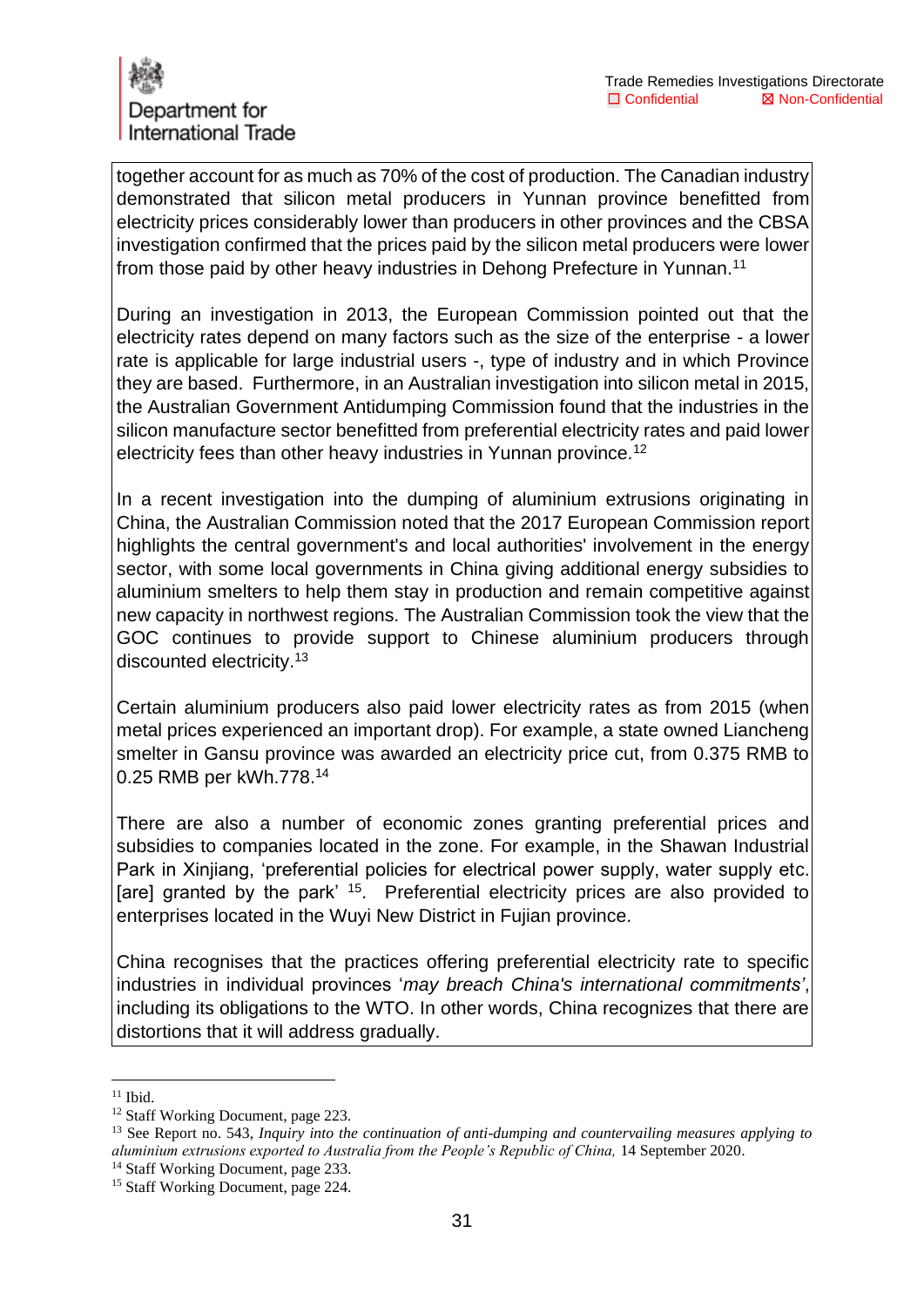together account for as much as 70% of the cost of production. The Canadian industry demonstrated that silicon metal producers in Yunnan province benefitted from electricity prices considerably lower than producers in other provinces and the CBSA investigation confirmed that the prices paid by the silicon metal producers were lower from those paid by other heavy industries in Dehong Prefecture in Yunnan.<sup>11</sup>

During an investigation in 2013, the European Commission pointed out that the electricity rates depend on many factors such as the size of the enterprise - a lower rate is applicable for large industrial users -, type of industry and in which Province they are based. Furthermore, in an Australian investigation into silicon metal in 2015, the Australian Government Antidumping Commission found that the industries in the silicon manufacture sector benefitted from preferential electricity rates and paid lower electricity fees than other heavy industries in Yunnan province.<sup>12</sup>

In a recent investigation into the dumping of aluminium extrusions originating in China, the Australian Commission noted that the 2017 European Commission report highlights the central government's and local authorities' involvement in the energy sector, with some local governments in China giving additional energy subsidies to aluminium smelters to help them stay in production and remain competitive against new capacity in northwest regions. The Australian Commission took the view that the GOC continues to provide support to Chinese aluminium producers through discounted electricity.<sup>13</sup>

Certain aluminium producers also paid lower electricity rates as from 2015 (when metal prices experienced an important drop). For example, a state owned Liancheng smelter in Gansu province was awarded an electricity price cut, from 0.375 RMB to 0.25 RMB per kWh.778.<sup>14</sup>

There are also a number of economic zones granting preferential prices and subsidies to companies located in the zone. For example, in the Shawan Industrial Park in Xinjiang, 'preferential policies for electrical power supply, water supply etc. [are] granted by the park'  $15$ . Preferential electricity prices are also provided to enterprises located in the Wuyi New District in Fujian province.

China recognises that the practices offering preferential electricity rate to specific industries in individual provinces '*may breach China's international commitments'*, including its obligations to the WTO. In other words, China recognizes that there are distortions that it will address gradually.

 $11$  Ibid.

<sup>&</sup>lt;sup>12</sup> Staff Working Document, page 223.

<sup>13</sup> See Report no. 543, *Inquiry into the continuation of anti-dumping and countervailing measures applying to aluminium extrusions exported to Australia from the People's Republic of China,* 14 September 2020.

<sup>&</sup>lt;sup>14</sup> Staff Working Document, page 233.

<sup>&</sup>lt;sup>15</sup> Staff Working Document, page 224.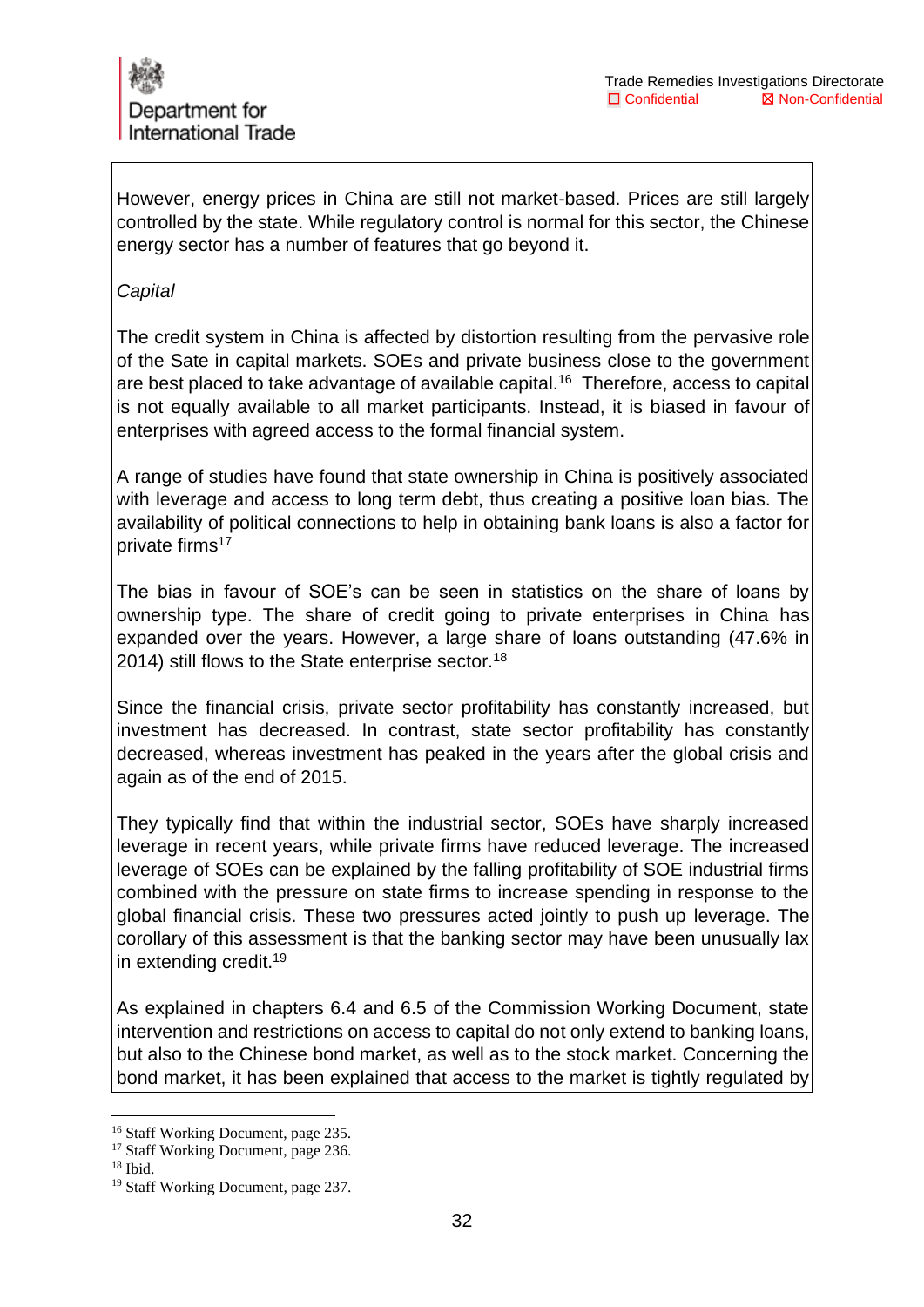However, energy prices in China are still not market-based. Prices are still largely controlled by the state. While regulatory control is normal for this sector, the Chinese energy sector has a number of features that go beyond it.

#### *Capital*

The credit system in China is affected by distortion resulting from the pervasive role of the Sate in capital markets. SOEs and private business close to the government are best placed to take advantage of available capital.<sup>16</sup> Therefore, access to capital is not equally available to all market participants. Instead, it is biased in favour of enterprises with agreed access to the formal financial system.

A range of studies have found that state ownership in China is positively associated with leverage and access to long term debt, thus creating a positive loan bias. The availability of political connections to help in obtaining bank loans is also a factor for private firms<sup>17</sup>

The bias in favour of SOE's can be seen in statistics on the share of loans by ownership type. The share of credit going to private enterprises in China has expanded over the years. However, a large share of loans outstanding (47.6% in 2014) still flows to the State enterprise sector.<sup>18</sup>

Since the financial crisis, private sector profitability has constantly increased, but investment has decreased. In contrast, state sector profitability has constantly decreased, whereas investment has peaked in the years after the global crisis and again as of the end of 2015.

They typically find that within the industrial sector, SOEs have sharply increased leverage in recent years, while private firms have reduced leverage. The increased leverage of SOEs can be explained by the falling profitability of SOE industrial firms combined with the pressure on state firms to increase spending in response to the global financial crisis. These two pressures acted jointly to push up leverage. The corollary of this assessment is that the banking sector may have been unusually lax in extending credit.<sup>19</sup>

As explained in chapters 6.4 and 6.5 of the Commission Working Document, state intervention and restrictions on access to capital do not only extend to banking loans, but also to the Chinese bond market, as well as to the stock market. Concerning the bond market, it has been explained that access to the market is tightly regulated by

<sup>&</sup>lt;sup>16</sup> Staff Working Document, page 235.

<sup>&</sup>lt;sup>17</sup> Staff Working Document, page 236.

 $18$  Ibid.

<sup>&</sup>lt;sup>19</sup> Staff Working Document, page 237.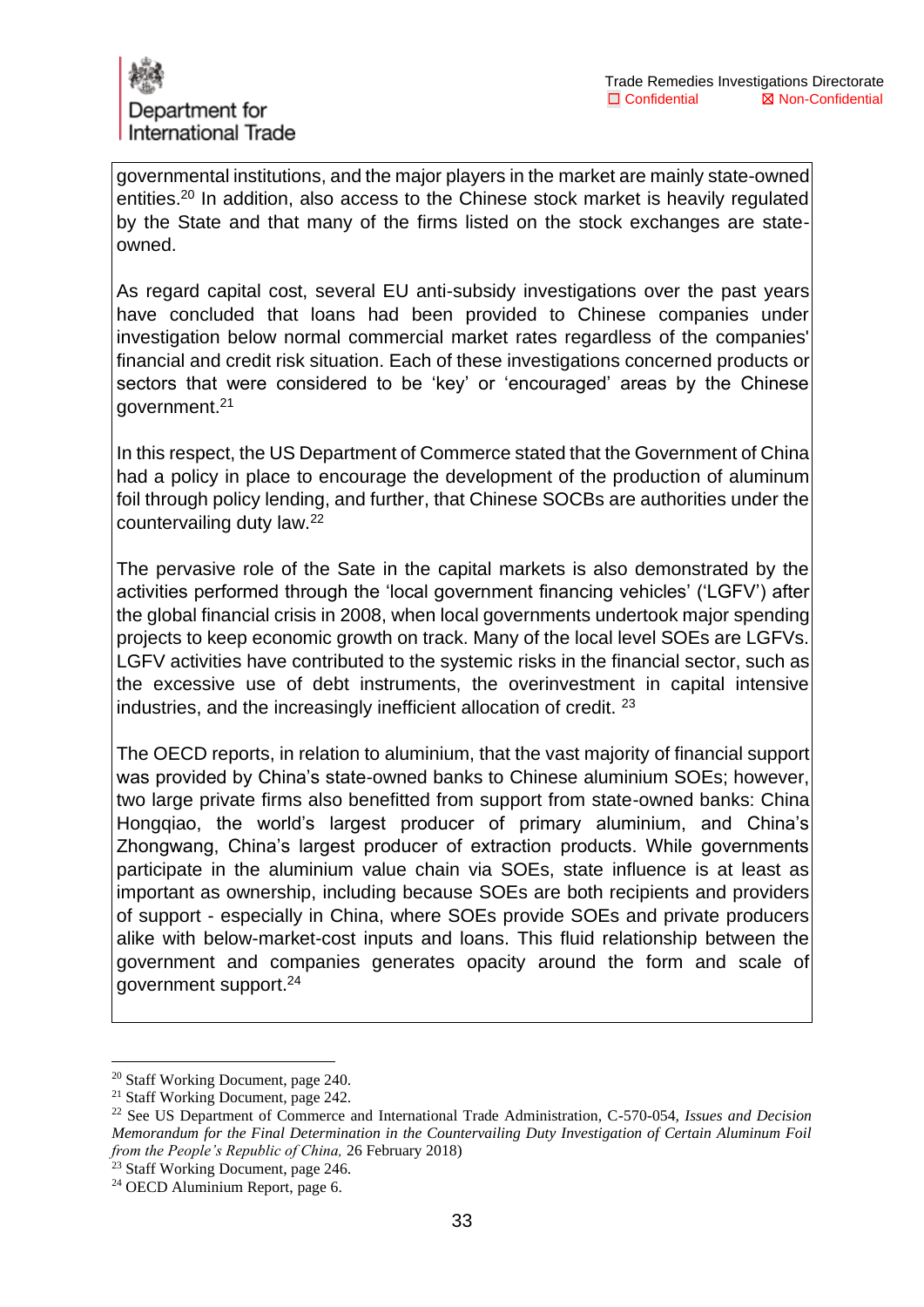governmental institutions, and the major players in the market are mainly state-owned entities.<sup>20</sup> In addition, also access to the Chinese stock market is heavily regulated by the State and that many of the firms listed on the stock exchanges are stateowned.

As regard capital cost, several EU anti-subsidy investigations over the past years have concluded that loans had been provided to Chinese companies under investigation below normal commercial market rates regardless of the companies' financial and credit risk situation. Each of these investigations concerned products or sectors that were considered to be 'key' or 'encouraged' areas by the Chinese government.<sup>21</sup>

In this respect, the US Department of Commerce stated that the Government of China had a policy in place to encourage the development of the production of aluminum foil through policy lending, and further, that Chinese SOCBs are authorities under the countervailing duty law.<sup>22</sup>

The pervasive role of the Sate in the capital markets is also demonstrated by the activities performed through the 'local government financing vehicles' ('LGFV') after the global financial crisis in 2008, when local governments undertook major spending projects to keep economic growth on track. Many of the local level SOEs are LGFVs. LGFV activities have contributed to the systemic risks in the financial sector, such as the excessive use of debt instruments, the overinvestment in capital intensive industries, and the increasingly inefficient allocation of credit. <sup>23</sup>

The OECD reports, in relation to aluminium, that the vast majority of financial support was provided by China's state-owned banks to Chinese aluminium SOEs; however, two large private firms also benefitted from support from state-owned banks: China Hongqiao, the world's largest producer of primary aluminium, and China's Zhongwang, China's largest producer of extraction products. While governments participate in the aluminium value chain via SOEs, state influence is at least as important as ownership, including because SOEs are both recipients and providers of support - especially in China, where SOEs provide SOEs and private producers alike with below-market-cost inputs and loans. This fluid relationship between the government and companies generates opacity around the form and scale of government support.<sup>24</sup>

<sup>20</sup> Staff Working Document, page 240.

<sup>&</sup>lt;sup>21</sup> Staff Working Document, page 242.

<sup>22</sup> See US Department of Commerce and International Trade Administration, C-570-054, *Issues and Decision Memorandum for the Final Determination in the Countervailing Duty Investigation of Certain Aluminum Foil from the People's Republic of China,* 26 February 2018)

<sup>&</sup>lt;sup>23</sup> Staff Working Document, page 246.

<sup>24</sup> OECD Aluminium Report, page 6.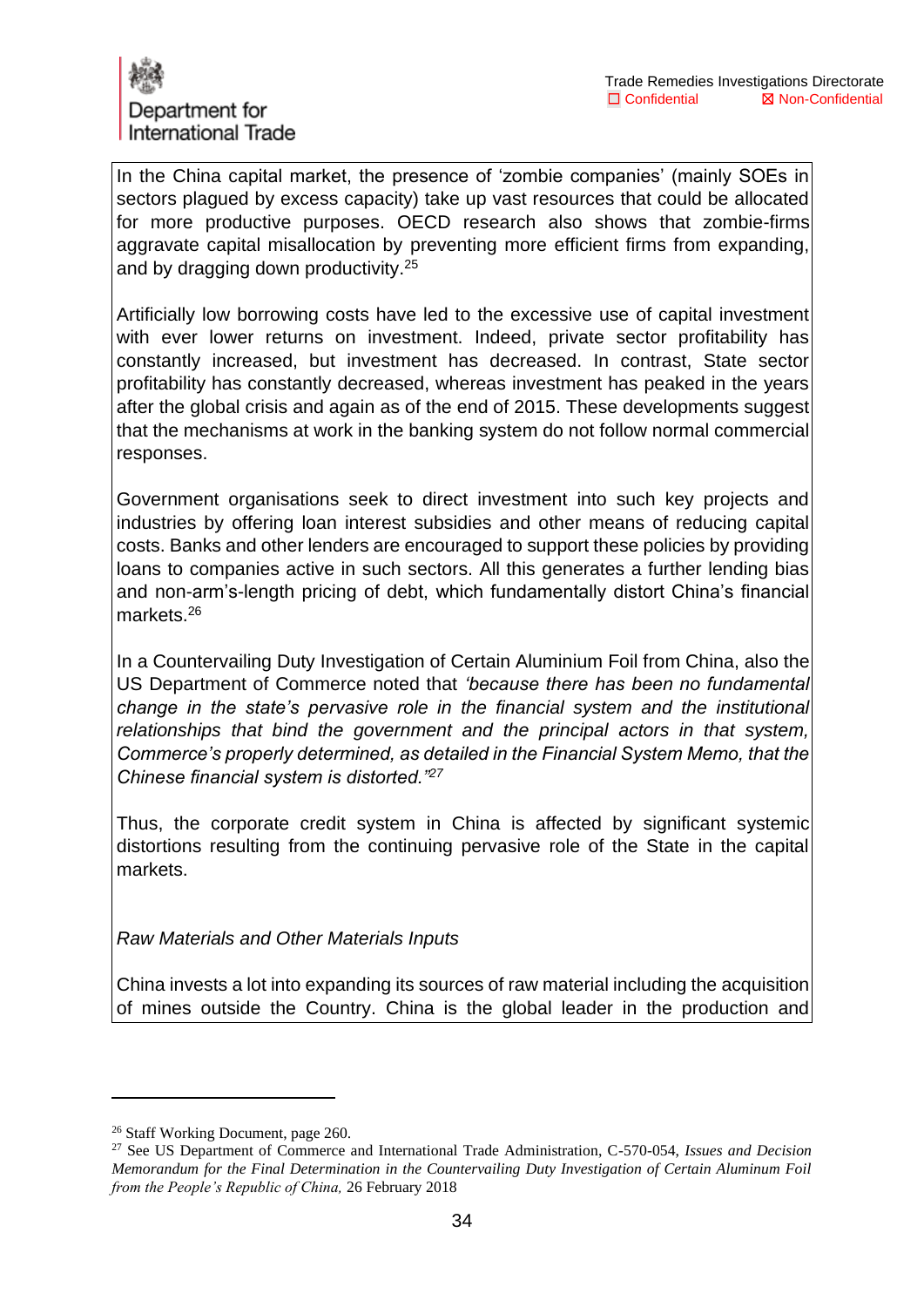In the China capital market, the presence of 'zombie companies' (mainly SOEs in sectors plagued by excess capacity) take up vast resources that could be allocated for more productive purposes. OECD research also shows that zombie-firms aggravate capital misallocation by preventing more efficient firms from expanding, and by dragging down productivity.<sup>25</sup>

Artificially low borrowing costs have led to the excessive use of capital investment with ever lower returns on investment. Indeed, private sector profitability has constantly increased, but investment has decreased. In contrast, State sector profitability has constantly decreased, whereas investment has peaked in the years after the global crisis and again as of the end of 2015. These developments suggest that the mechanisms at work in the banking system do not follow normal commercial responses.

Government organisations seek to direct investment into such key projects and industries by offering loan interest subsidies and other means of reducing capital costs. Banks and other lenders are encouraged to support these policies by providing loans to companies active in such sectors. All this generates a further lending bias and non-arm's-length pricing of debt, which fundamentally distort China's financial markets.<sup>26</sup>

In a Countervailing Duty Investigation of Certain Aluminium Foil from China, also the US Department of Commerce noted that *'because there has been no fundamental change in the state's pervasive role in the financial system and the institutional relationships that bind the government and the principal actors in that system, Commerce's properly determined, as detailed in the Financial System Memo, that the Chinese financial system is distorted."<sup>27</sup>*

Thus, the corporate credit system in China is affected by significant systemic distortions resulting from the continuing pervasive role of the State in the capital markets.

*Raw Materials and Other Materials Inputs* 

China invests a lot into expanding its sources of raw material including the acquisition of mines outside the Country. China is the global leader in the production and

<sup>26</sup> Staff Working Document, page 260.

<sup>27</sup> See US Department of Commerce and International Trade Administration, C-570-054, *Issues and Decision Memorandum for the Final Determination in the Countervailing Duty Investigation of Certain Aluminum Foil from the People's Republic of China,* 26 February 2018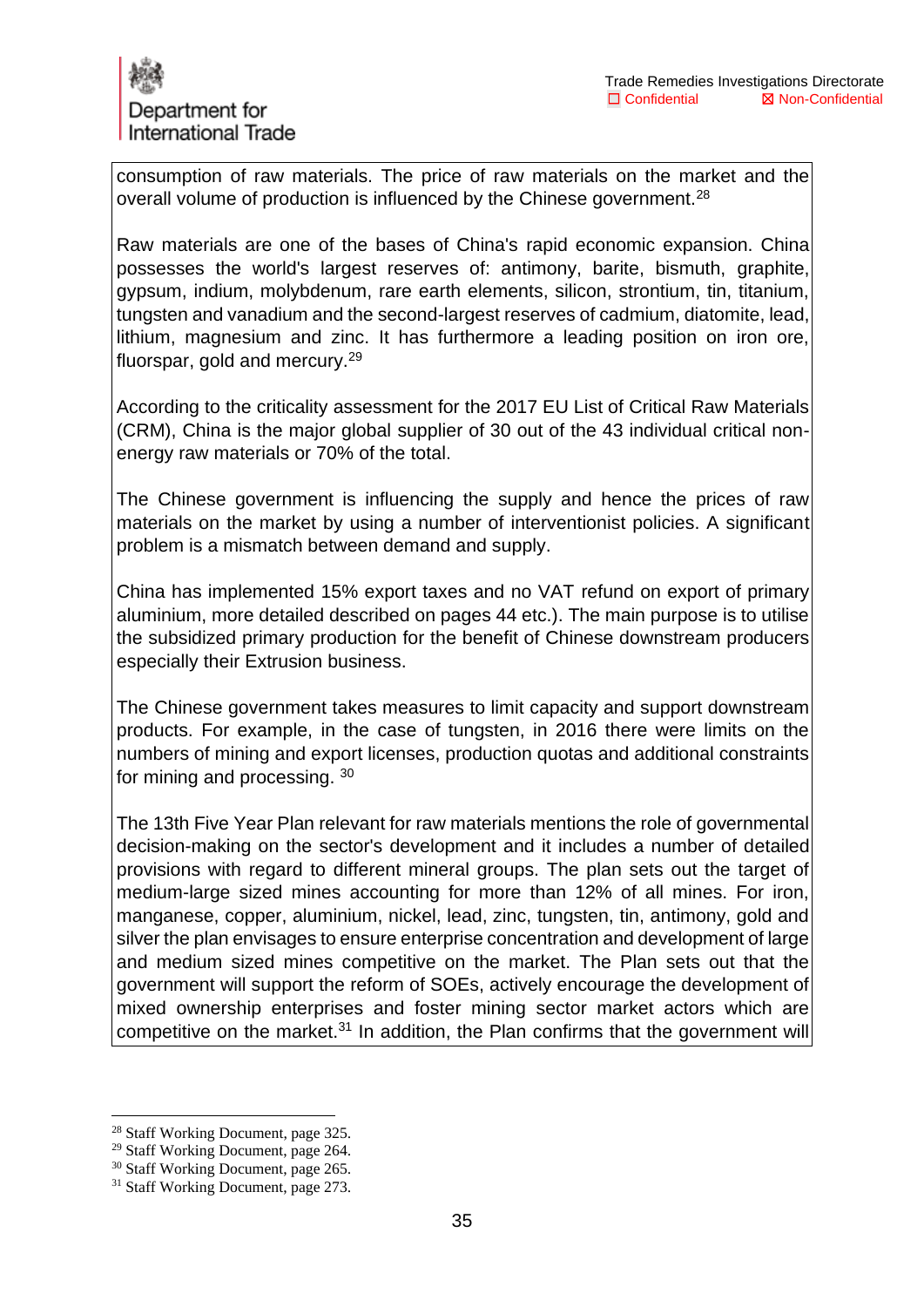consumption of raw materials. The price of raw materials on the market and the overall volume of production is influenced by the Chinese government.<sup>28</sup>

Raw materials are one of the bases of China's rapid economic expansion. China possesses the world's largest reserves of: antimony, barite, bismuth, graphite, gypsum, indium, molybdenum, rare earth elements, silicon, strontium, tin, titanium, tungsten and vanadium and the second-largest reserves of cadmium, diatomite, lead, lithium, magnesium and zinc. It has furthermore a leading position on iron ore, fluorspar, gold and mercury.<sup>29</sup>

According to the criticality assessment for the 2017 EU List of Critical Raw Materials (CRM), China is the major global supplier of 30 out of the 43 individual critical nonenergy raw materials or 70% of the total.

The Chinese government is influencing the supply and hence the prices of raw materials on the market by using a number of interventionist policies. A significant problem is a mismatch between demand and supply.

China has implemented 15% export taxes and no VAT refund on export of primary aluminium, more detailed described on pages 44 etc.). The main purpose is to utilise the subsidized primary production for the benefit of Chinese downstream producers especially their Extrusion business.

The Chinese government takes measures to limit capacity and support downstream products. For example, in the case of tungsten, in 2016 there were limits on the numbers of mining and export licenses, production quotas and additional constraints for mining and processing. <sup>30</sup>

The 13th Five Year Plan relevant for raw materials mentions the role of governmental decision-making on the sector's development and it includes a number of detailed provisions with regard to different mineral groups. The plan sets out the target of medium-large sized mines accounting for more than 12% of all mines. For iron, manganese, copper, aluminium, nickel, lead, zinc, tungsten, tin, antimony, gold and silver the plan envisages to ensure enterprise concentration and development of large and medium sized mines competitive on the market. The Plan sets out that the government will support the reform of SOEs, actively encourage the development of mixed ownership enterprises and foster mining sector market actors which are competitive on the market.<sup>31</sup> In addition, the Plan confirms that the government will

<sup>28</sup> Staff Working Document, page 325.

<sup>29</sup> Staff Working Document, page 264.

<sup>&</sup>lt;sup>30</sup> Staff Working Document, page 265.

<sup>&</sup>lt;sup>31</sup> Staff Working Document, page 273.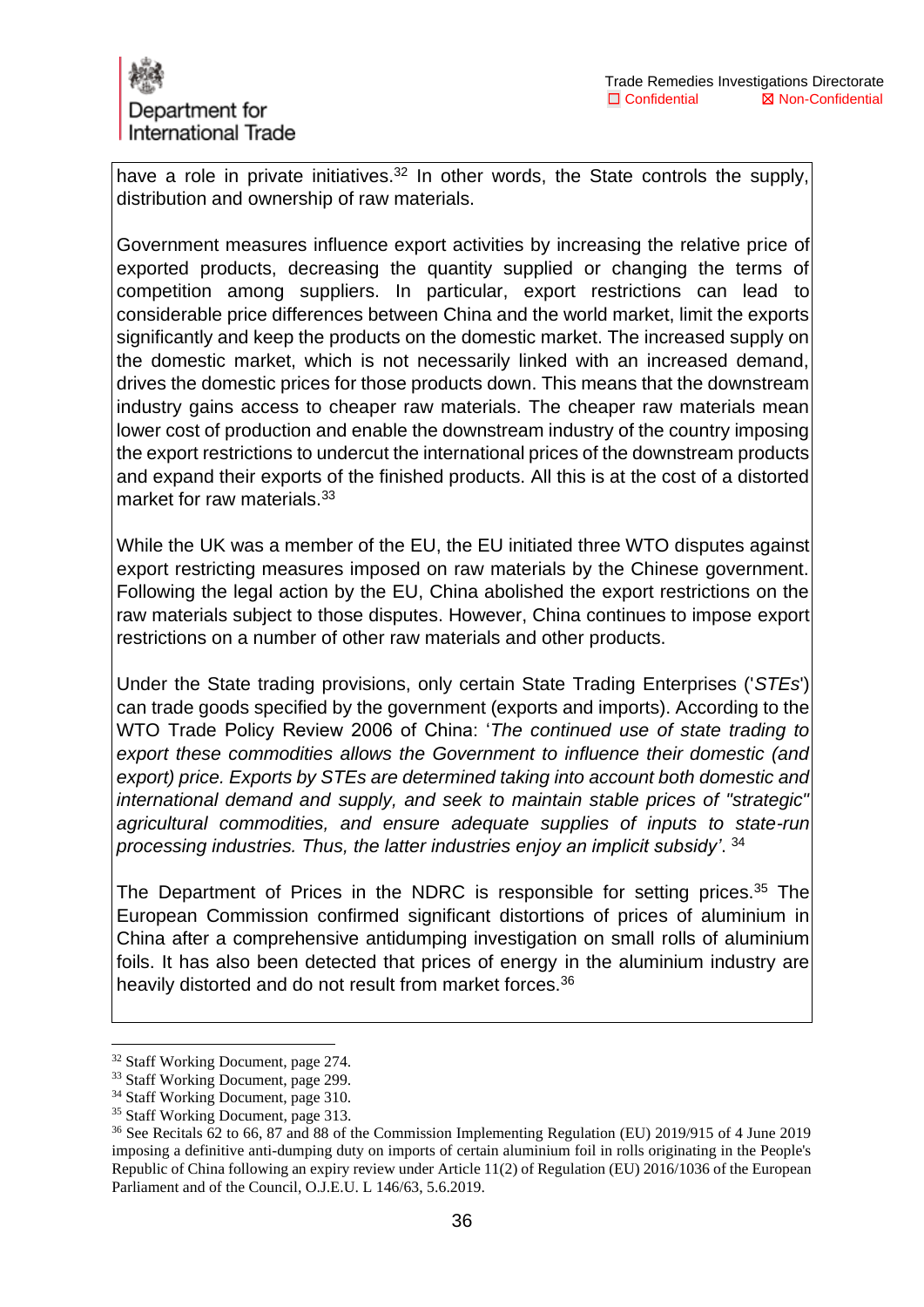

have a role in private initiatives. $32$  In other words, the State controls the supply, distribution and ownership of raw materials.

Government measures influence export activities by increasing the relative price of exported products, decreasing the quantity supplied or changing the terms of competition among suppliers. In particular, export restrictions can lead to considerable price differences between China and the world market, limit the exports significantly and keep the products on the domestic market. The increased supply on the domestic market, which is not necessarily linked with an increased demand, drives the domestic prices for those products down. This means that the downstream industry gains access to cheaper raw materials. The cheaper raw materials mean lower cost of production and enable the downstream industry of the country imposing the export restrictions to undercut the international prices of the downstream products and expand their exports of the finished products. All this is at the cost of a distorted market for raw materials.<sup>33</sup>

While the UK was a member of the EU, the EU initiated three WTO disputes against export restricting measures imposed on raw materials by the Chinese government. Following the legal action by the EU, China abolished the export restrictions on the raw materials subject to those disputes. However, China continues to impose export restrictions on a number of other raw materials and other products.

Under the State trading provisions, only certain State Trading Enterprises ('*STEs*') can trade goods specified by the government (exports and imports). According to the WTO Trade Policy Review 2006 of China: '*The continued use of state trading to export these commodities allows the Government to influence their domestic (and export) price. Exports by STEs are determined taking into account both domestic and international demand and supply, and seek to maintain stable prices of "strategic" agricultural commodities, and ensure adequate supplies of inputs to state-run processing industries. Thus, the latter industries enjoy an implicit subsidy'*. 34

The Department of Prices in the NDRC is responsible for setting prices.<sup>35</sup> The European Commission confirmed significant distortions of prices of aluminium in China after a comprehensive antidumping investigation on small rolls of aluminium foils. It has also been detected that prices of energy in the aluminium industry are heavily distorted and do not result from market forces.<sup>36</sup>

<sup>32</sup> Staff Working Document, page 274.

<sup>&</sup>lt;sup>33</sup> Staff Working Document, page 299.

<sup>34</sup> Staff Working Document, page 310.

<sup>&</sup>lt;sup>35</sup> Staff Working Document, page 313.

<sup>36</sup> See Recitals 62 to 66, 87 and 88 of the Commission Implementing Regulation (EU) 2019/915 of 4 June 2019 imposing a definitive anti-dumping duty on imports of certain aluminium foil in rolls originating in the People's Republic of China following an expiry review under Article 11(2) of Regulation (EU) 2016/1036 of the European Parliament and of the Council, O.J.E.U. L 146/63, 5.6.2019.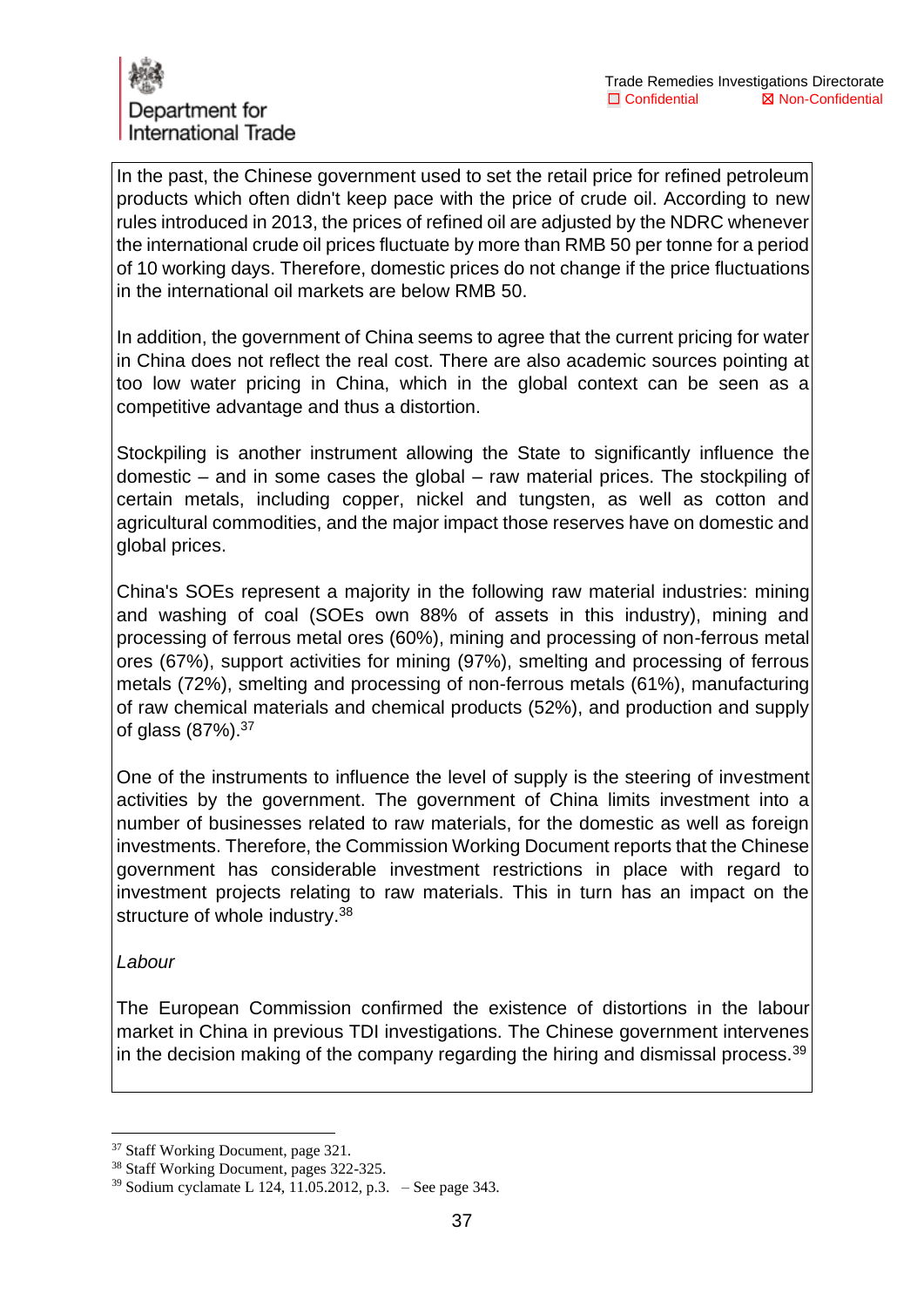

In the past, the Chinese government used to set the retail price for refined petroleum products which often didn't keep pace with the price of crude oil. According to new rules introduced in 2013, the prices of refined oil are adjusted by the NDRC whenever the international crude oil prices fluctuate by more than RMB 50 per tonne for a period of 10 working days. Therefore, domestic prices do not change if the price fluctuations in the international oil markets are below RMB 50.

In addition, the government of China seems to agree that the current pricing for water in China does not reflect the real cost. There are also academic sources pointing at too low water pricing in China, which in the global context can be seen as a competitive advantage and thus a distortion.

Stockpiling is another instrument allowing the State to significantly influence the domestic – and in some cases the global – raw material prices. The stockpiling of certain metals, including copper, nickel and tungsten, as well as cotton and agricultural commodities, and the major impact those reserves have on domestic and global prices.

China's SOEs represent a majority in the following raw material industries: mining and washing of coal (SOEs own 88% of assets in this industry), mining and processing of ferrous metal ores (60%), mining and processing of non-ferrous metal ores (67%), support activities for mining (97%), smelting and processing of ferrous metals (72%), smelting and processing of non-ferrous metals (61%), manufacturing of raw chemical materials and chemical products (52%), and production and supply of glass (87%). 37

One of the instruments to influence the level of supply is the steering of investment activities by the government. The government of China limits investment into a number of businesses related to raw materials, for the domestic as well as foreign investments. Therefore, the Commission Working Document reports that the Chinese government has considerable investment restrictions in place with regard to investment projects relating to raw materials. This in turn has an impact on the structure of whole industry.<sup>38</sup>

*Labour* 

The European Commission confirmed the existence of distortions in the labour market in China in previous TDI investigations. The Chinese government intervenes in the decision making of the company regarding the hiring and dismissal process.<sup>39</sup>

<sup>37</sup> Staff Working Document, page 321.

<sup>38</sup> Staff Working Document, pages 322-325.

<sup>39</sup> Sodium cyclamate L 124, 11.05.2012, p.3. – See page 343.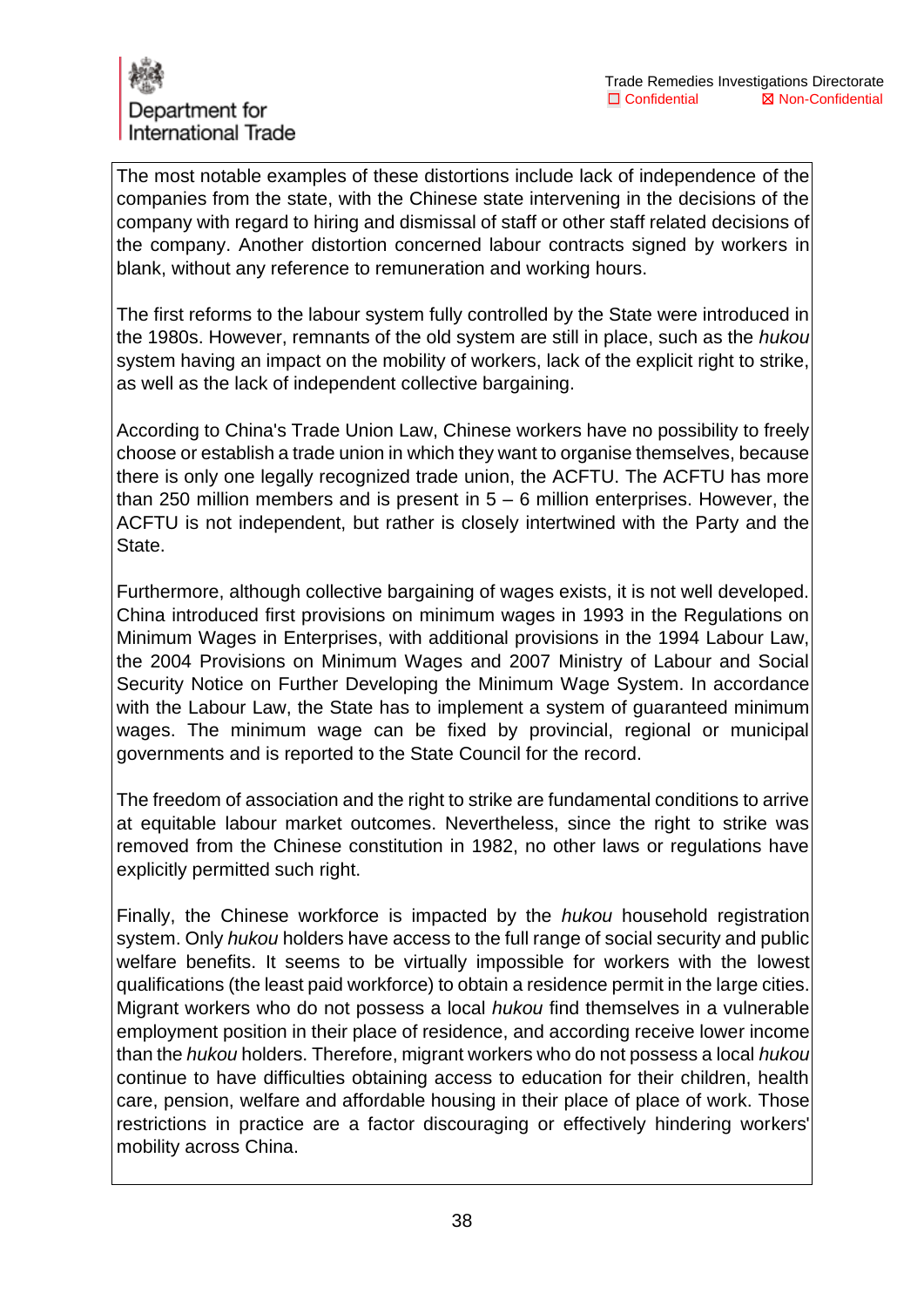

The most notable examples of these distortions include lack of independence of the companies from the state, with the Chinese state intervening in the decisions of the company with regard to hiring and dismissal of staff or other staff related decisions of the company. Another distortion concerned labour contracts signed by workers in blank, without any reference to remuneration and working hours.

The first reforms to the labour system fully controlled by the State were introduced in the 1980s. However, remnants of the old system are still in place, such as the *hukou*  system having an impact on the mobility of workers, lack of the explicit right to strike, as well as the lack of independent collective bargaining.

According to China's Trade Union Law, Chinese workers have no possibility to freely choose or establish a trade union in which they want to organise themselves, because there is only one legally recognized trade union, the ACFTU. The ACFTU has more than 250 million members and is present in  $5 - 6$  million enterprises. However, the ACFTU is not independent, but rather is closely intertwined with the Party and the State.

Furthermore, although collective bargaining of wages exists, it is not well developed. China introduced first provisions on minimum wages in 1993 in the Regulations on Minimum Wages in Enterprises, with additional provisions in the 1994 Labour Law, the 2004 Provisions on Minimum Wages and 2007 Ministry of Labour and Social Security Notice on Further Developing the Minimum Wage System. In accordance with the Labour Law, the State has to implement a system of guaranteed minimum wages. The minimum wage can be fixed by provincial, regional or municipal governments and is reported to the State Council for the record.

The freedom of association and the right to strike are fundamental conditions to arrive at equitable labour market outcomes. Nevertheless, since the right to strike was removed from the Chinese constitution in 1982, no other laws or regulations have explicitly permitted such right.

Finally, the Chinese workforce is impacted by the *hukou* household registration system. Only *hukou* holders have access to the full range of social security and public welfare benefits. It seems to be virtually impossible for workers with the lowest qualifications (the least paid workforce) to obtain a residence permit in the large cities. Migrant workers who do not possess a local *hukou* find themselves in a vulnerable employment position in their place of residence, and according receive lower income than the *hukou* holders. Therefore, migrant workers who do not possess a local *hukou*  continue to have difficulties obtaining access to education for their children, health care, pension, welfare and affordable housing in their place of place of work. Those restrictions in practice are a factor discouraging or effectively hindering workers' mobility across China.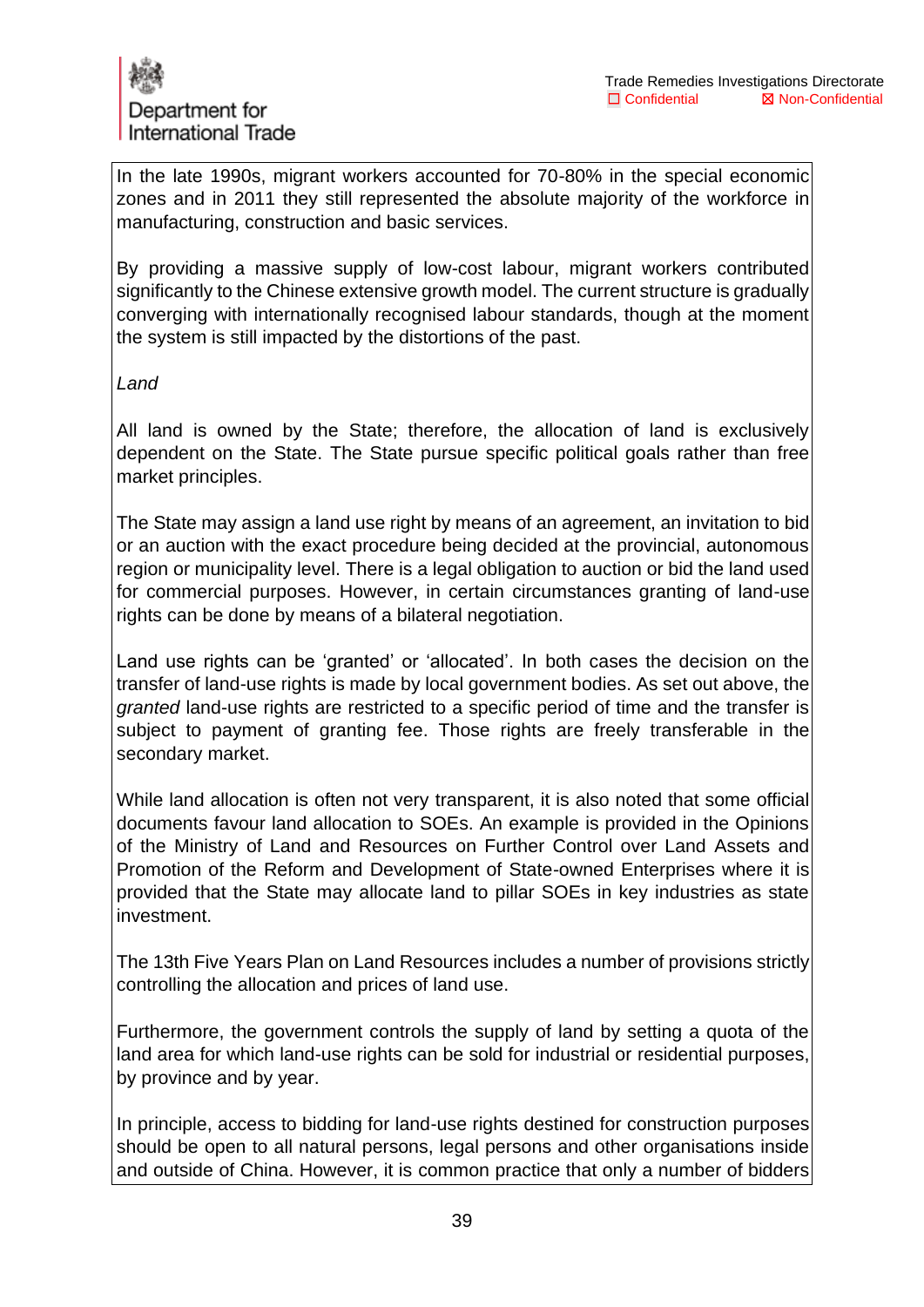

In the late 1990s, migrant workers accounted for 70-80% in the special economic zones and in 2011 they still represented the absolute majority of the workforce in manufacturing, construction and basic services.

By providing a massive supply of low-cost labour, migrant workers contributed significantly to the Chinese extensive growth model. The current structure is gradually converging with internationally recognised labour standards, though at the moment the system is still impacted by the distortions of the past.

*Land* 

All land is owned by the State; therefore, the allocation of land is exclusively dependent on the State. The State pursue specific political goals rather than free market principles.

The State may assign a land use right by means of an agreement, an invitation to bid or an auction with the exact procedure being decided at the provincial, autonomous region or municipality level. There is a legal obligation to auction or bid the land used for commercial purposes. However, in certain circumstances granting of land-use rights can be done by means of a bilateral negotiation.

Land use rights can be 'granted' or 'allocated'. In both cases the decision on the transfer of land-use rights is made by local government bodies. As set out above, the *granted* land-use rights are restricted to a specific period of time and the transfer is subject to payment of granting fee. Those rights are freely transferable in the secondary market.

While land allocation is often not very transparent, it is also noted that some official documents favour land allocation to SOEs. An example is provided in the Opinions of the Ministry of Land and Resources on Further Control over Land Assets and Promotion of the Reform and Development of State-owned Enterprises where it is provided that the State may allocate land to pillar SOEs in key industries as state investment.

The 13th Five Years Plan on Land Resources includes a number of provisions strictly controlling the allocation and prices of land use.

Furthermore, the government controls the supply of land by setting a quota of the land area for which land-use rights can be sold for industrial or residential purposes, by province and by year.

In principle, access to bidding for land-use rights destined for construction purposes should be open to all natural persons, legal persons and other organisations inside and outside of China. However, it is common practice that only a number of bidders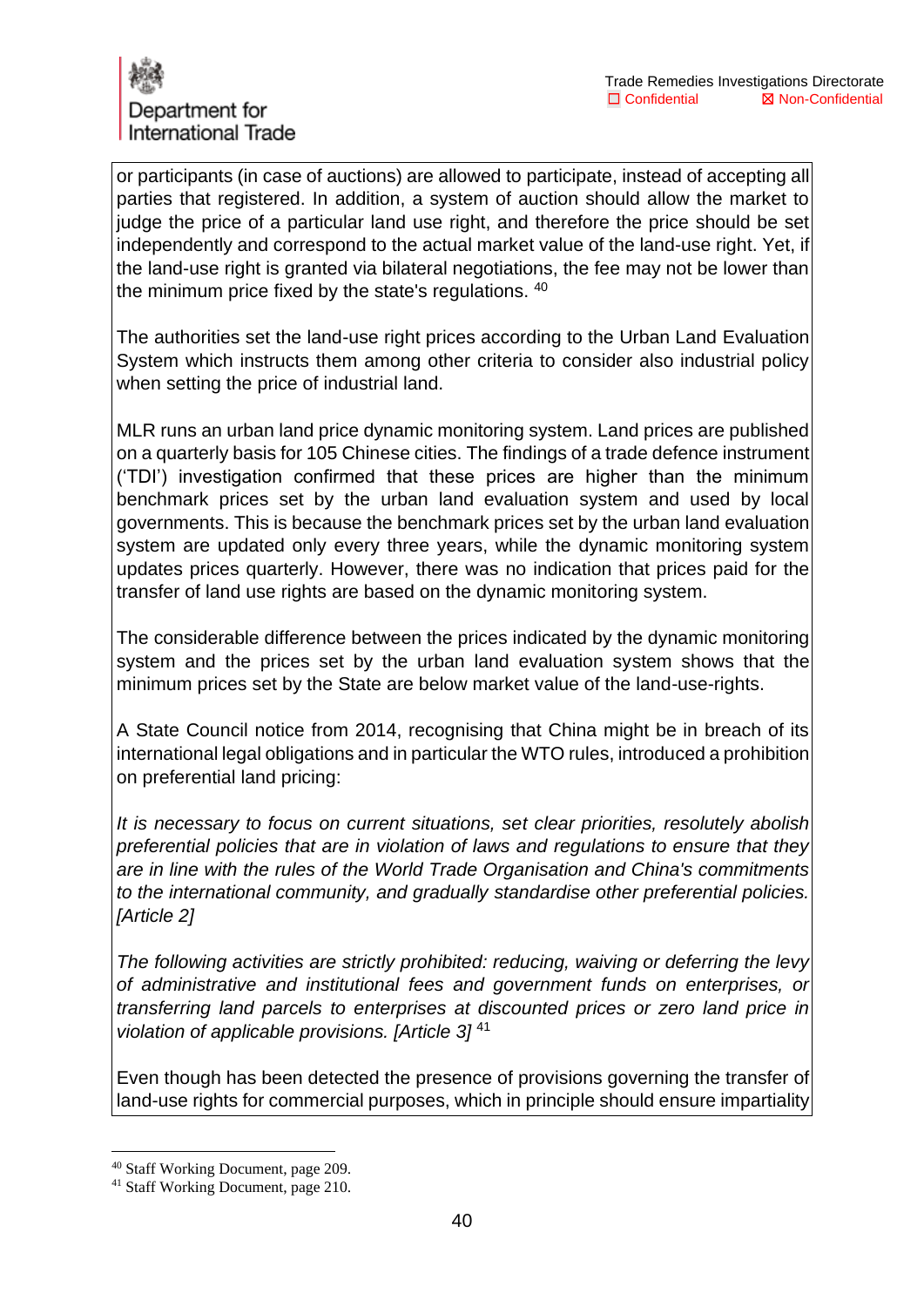

or participants (in case of auctions) are allowed to participate, instead of accepting all parties that registered. In addition, a system of auction should allow the market to judge the price of a particular land use right, and therefore the price should be set independently and correspond to the actual market value of the land-use right. Yet, if the land-use right is granted via bilateral negotiations, the fee may not be lower than the minimum price fixed by the state's regulations. <sup>40</sup>

The authorities set the land-use right prices according to the Urban Land Evaluation System which instructs them among other criteria to consider also industrial policy when setting the price of industrial land.

MLR runs an urban land price dynamic monitoring system. Land prices are published on a quarterly basis for 105 Chinese cities. The findings of a trade defence instrument ('TDI') investigation confirmed that these prices are higher than the minimum benchmark prices set by the urban land evaluation system and used by local governments. This is because the benchmark prices set by the urban land evaluation system are updated only every three years, while the dynamic monitoring system updates prices quarterly. However, there was no indication that prices paid for the transfer of land use rights are based on the dynamic monitoring system.

The considerable difference between the prices indicated by the dynamic monitoring system and the prices set by the urban land evaluation system shows that the minimum prices set by the State are below market value of the land-use-rights.

A State Council notice from 2014, recognising that China might be in breach of its international legal obligations and in particular the WTO rules, introduced a prohibition on preferential land pricing:

*It is necessary to focus on current situations, set clear priorities, resolutely abolish preferential policies that are in violation of laws and regulations to ensure that they are in line with the rules of the World Trade Organisation and China's commitments to the international community, and gradually standardise other preferential policies. [Article 2]* 

*The following activities are strictly prohibited: reducing, waiving or deferring the levy of administrative and institutional fees and government funds on enterprises, or transferring land parcels to enterprises at discounted prices or zero land price in violation of applicable provisions. [Article 3]* <sup>41</sup>

Even though has been detected the presence of provisions governing the transfer of land-use rights for commercial purposes, which in principle should ensure impartiality

<sup>40</sup> Staff Working Document, page 209.

<sup>41</sup> Staff Working Document, page 210.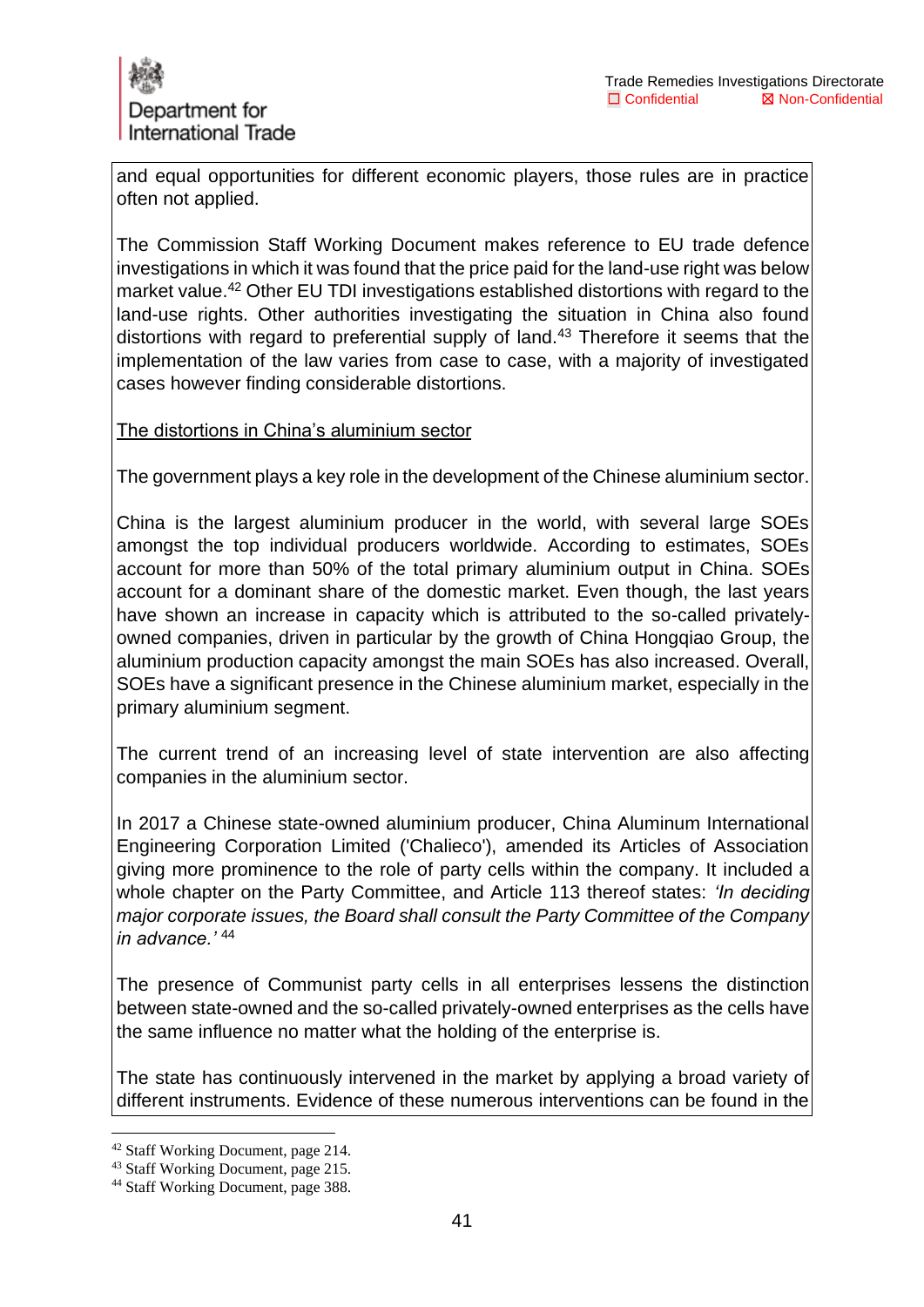and equal opportunities for different economic players, those rules are in practice often not applied.

The Commission Staff Working Document makes reference to EU trade defence investigations in which it was found that the price paid for the land-use right was below market value.<sup>42</sup> Other EU TDI investigations established distortions with regard to the land-use rights. Other authorities investigating the situation in China also found distortions with regard to preferential supply of land.<sup>43</sup> Therefore it seems that the implementation of the law varies from case to case, with a majority of investigated cases however finding considerable distortions.

The distortions in China's aluminium sector

The government plays a key role in the development of the Chinese aluminium sector.

China is the largest aluminium producer in the world, with several large SOEs amongst the top individual producers worldwide. According to estimates, SOEs account for more than 50% of the total primary aluminium output in China. SOEs account for a dominant share of the domestic market. Even though, the last years have shown an increase in capacity which is attributed to the so-called privatelyowned companies, driven in particular by the growth of China Hongqiao Group, the aluminium production capacity amongst the main SOEs has also increased. Overall, SOEs have a significant presence in the Chinese aluminium market, especially in the primary aluminium segment.

The current trend of an increasing level of state intervention are also affecting companies in the aluminium sector.

In 2017 a Chinese state-owned aluminium producer, China Aluminum International Engineering Corporation Limited ('Chalieco'), amended its Articles of Association giving more prominence to the role of party cells within the company. It included a whole chapter on the Party Committee, and Article 113 thereof states: *'In deciding major corporate issues, the Board shall consult the Party Committee of the Company in advance.'* <sup>44</sup>

The presence of Communist party cells in all enterprises lessens the distinction between state-owned and the so-called privately-owned enterprises as the cells have the same influence no matter what the holding of the enterprise is.

The state has continuously intervened in the market by applying a broad variety of different instruments. Evidence of these numerous interventions can be found in the

<sup>42</sup> Staff Working Document, page 214.

<sup>43</sup> Staff Working Document, page 215.

<sup>44</sup> Staff Working Document, page 388.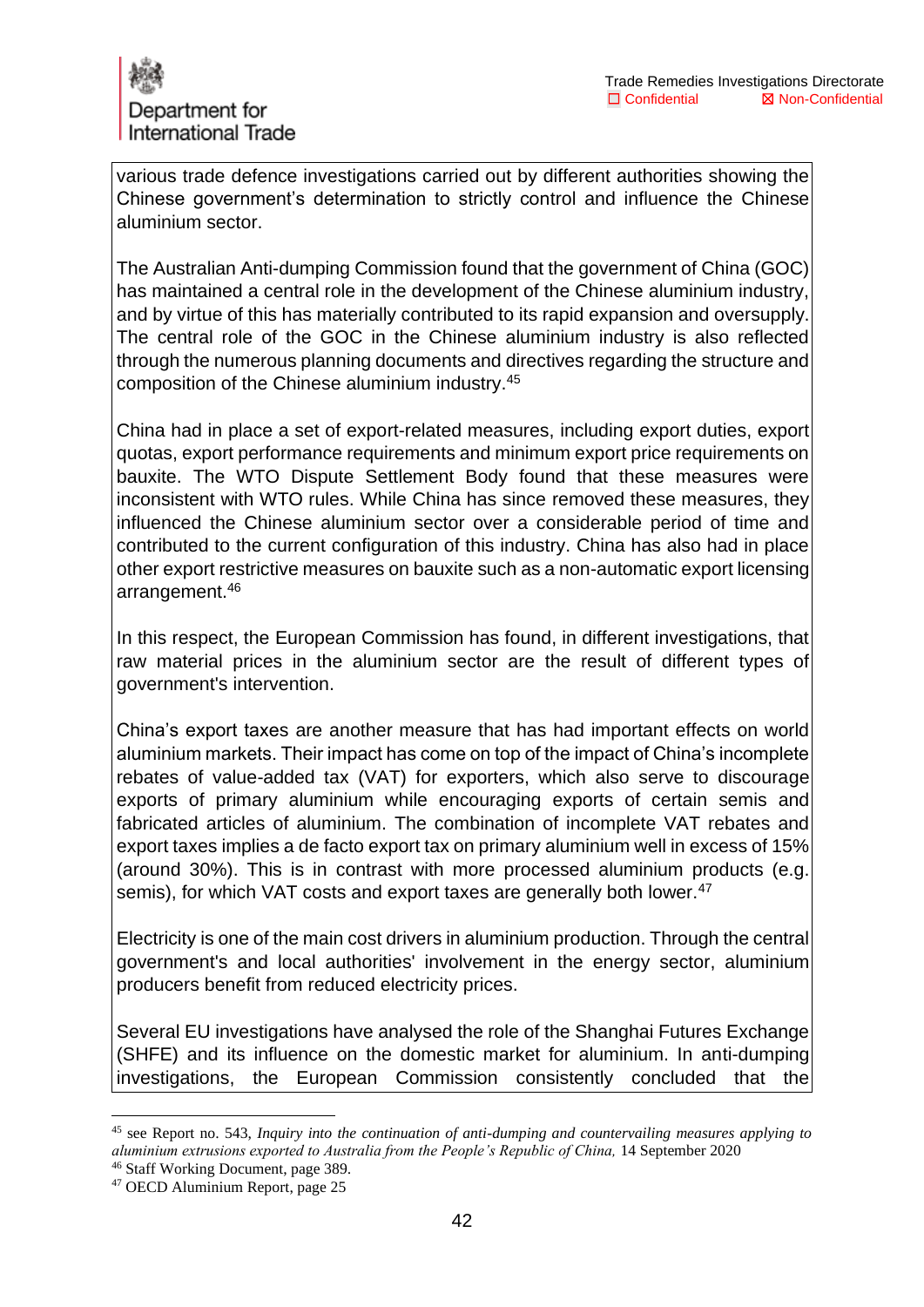various trade defence investigations carried out by different authorities showing the Chinese government's determination to strictly control and influence the Chinese aluminium sector.

The Australian Anti-dumping Commission found that the government of China (GOC) has maintained a central role in the development of the Chinese aluminium industry, and by virtue of this has materially contributed to its rapid expansion and oversupply. The central role of the GOC in the Chinese aluminium industry is also reflected through the numerous planning documents and directives regarding the structure and composition of the Chinese aluminium industry.<sup>45</sup>

China had in place a set of export-related measures, including export duties, export quotas, export performance requirements and minimum export price requirements on bauxite. The WTO Dispute Settlement Body found that these measures were inconsistent with WTO rules. While China has since removed these measures, they influenced the Chinese aluminium sector over a considerable period of time and contributed to the current configuration of this industry. China has also had in place other export restrictive measures on bauxite such as a non-automatic export licensing arrangement.<sup>46</sup>

In this respect, the European Commission has found, in different investigations, that raw material prices in the aluminium sector are the result of different types of government's intervention.

China's export taxes are another measure that has had important effects on world aluminium markets. Their impact has come on top of the impact of China's incomplete rebates of value-added tax (VAT) for exporters, which also serve to discourage exports of primary aluminium while encouraging exports of certain semis and fabricated articles of aluminium. The combination of incomplete VAT rebates and export taxes implies a de facto export tax on primary aluminium well in excess of 15% (around 30%). This is in contrast with more processed aluminium products (e.g. semis), for which VAT costs and export taxes are generally both lower.<sup>47</sup>

Electricity is one of the main cost drivers in aluminium production. Through the central government's and local authorities' involvement in the energy sector, aluminium producers benefit from reduced electricity prices.

Several EU investigations have analysed the role of the Shanghai Futures Exchange (SHFE) and its influence on the domestic market for aluminium. In anti-dumping investigations, the European Commission consistently concluded that the

<sup>45</sup> see Report no. 543, *Inquiry into the continuation of anti-dumping and countervailing measures applying to aluminium extrusions exported to Australia from the People's Republic of China,* 14 September 2020

<sup>46</sup> Staff Working Document, page 389.

<sup>47</sup> OECD Aluminium Report, page 25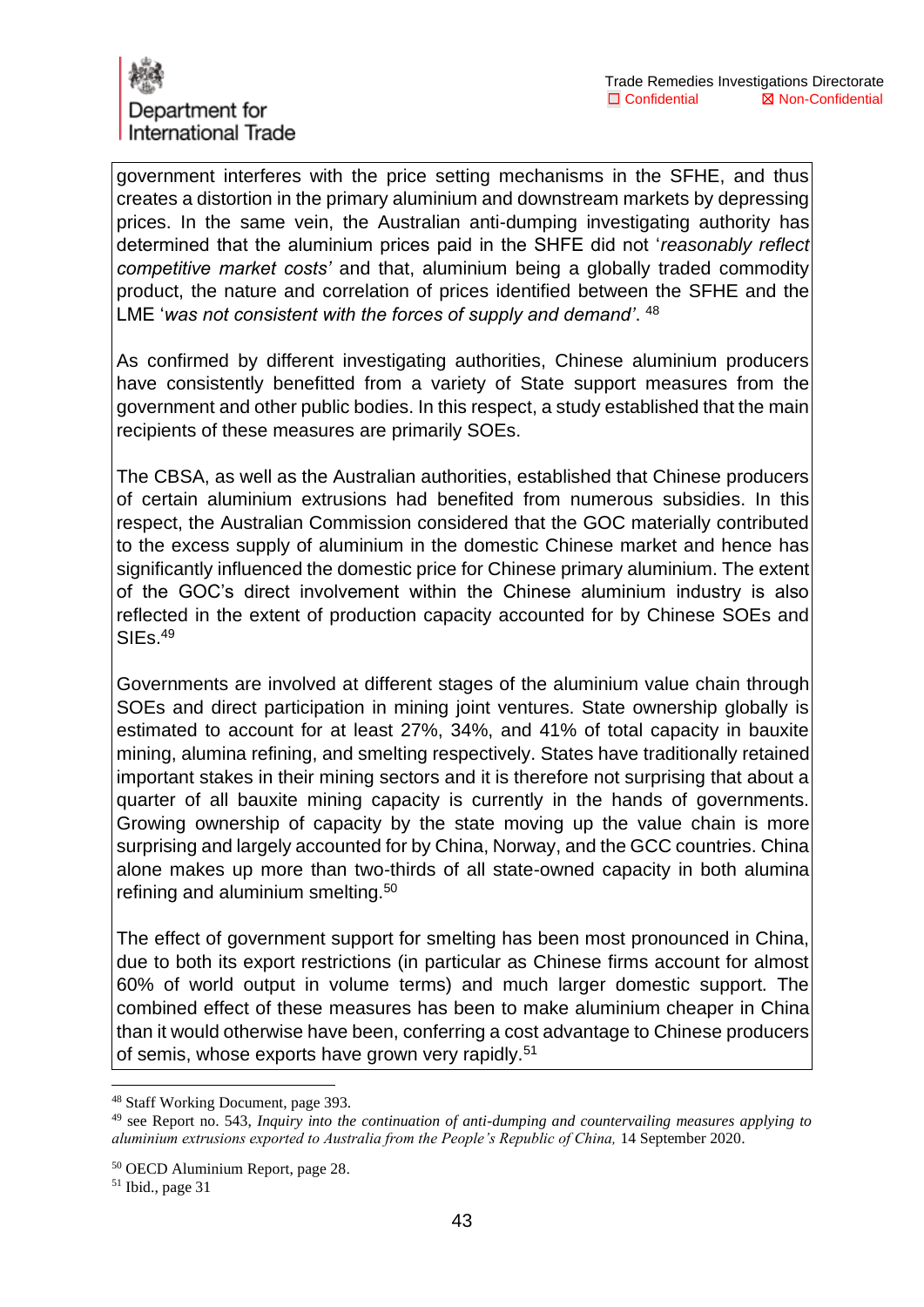government interferes with the price setting mechanisms in the SFHE, and thus creates a distortion in the primary aluminium and downstream markets by depressing prices. In the same vein, the Australian anti-dumping investigating authority has determined that the aluminium prices paid in the SHFE did not '*reasonably reflect competitive market costs'* and that, aluminium being a globally traded commodity product, the nature and correlation of prices identified between the SFHE and the LME '*was not consistent with the forces of supply and demand'*. 48

As confirmed by different investigating authorities, Chinese aluminium producers have consistently benefitted from a variety of State support measures from the government and other public bodies. In this respect, a study established that the main recipients of these measures are primarily SOEs.

The CBSA, as well as the Australian authorities, established that Chinese producers of certain aluminium extrusions had benefited from numerous subsidies. In this respect, the Australian Commission considered that the GOC materially contributed to the excess supply of aluminium in the domestic Chinese market and hence has significantly influenced the domestic price for Chinese primary aluminium. The extent of the GOC's direct involvement within the Chinese aluminium industry is also reflected in the extent of production capacity accounted for by Chinese SOEs and SIEs.<sup>49</sup>

Governments are involved at different stages of the aluminium value chain through SOEs and direct participation in mining joint ventures. State ownership globally is estimated to account for at least 27%, 34%, and 41% of total capacity in bauxite mining, alumina refining, and smelting respectively. States have traditionally retained important stakes in their mining sectors and it is therefore not surprising that about a quarter of all bauxite mining capacity is currently in the hands of governments. Growing ownership of capacity by the state moving up the value chain is more surprising and largely accounted for by China, Norway, and the GCC countries. China alone makes up more than two-thirds of all state-owned capacity in both alumina refining and aluminium smelting.<sup>50</sup>

The effect of government support for smelting has been most pronounced in China, due to both its export restrictions (in particular as Chinese firms account for almost 60% of world output in volume terms) and much larger domestic support. The combined effect of these measures has been to make aluminium cheaper in China than it would otherwise have been, conferring a cost advantage to Chinese producers of semis, whose exports have grown very rapidly.<sup>51</sup>

<sup>48</sup> Staff Working Document, page 393.

<sup>49</sup> see Report no. 543, *Inquiry into the continuation of anti-dumping and countervailing measures applying to aluminium extrusions exported to Australia from the People's Republic of China,* 14 September 2020.

<sup>50</sup> OECD Aluminium Report, page 28.

<sup>51</sup> Ibid., page 31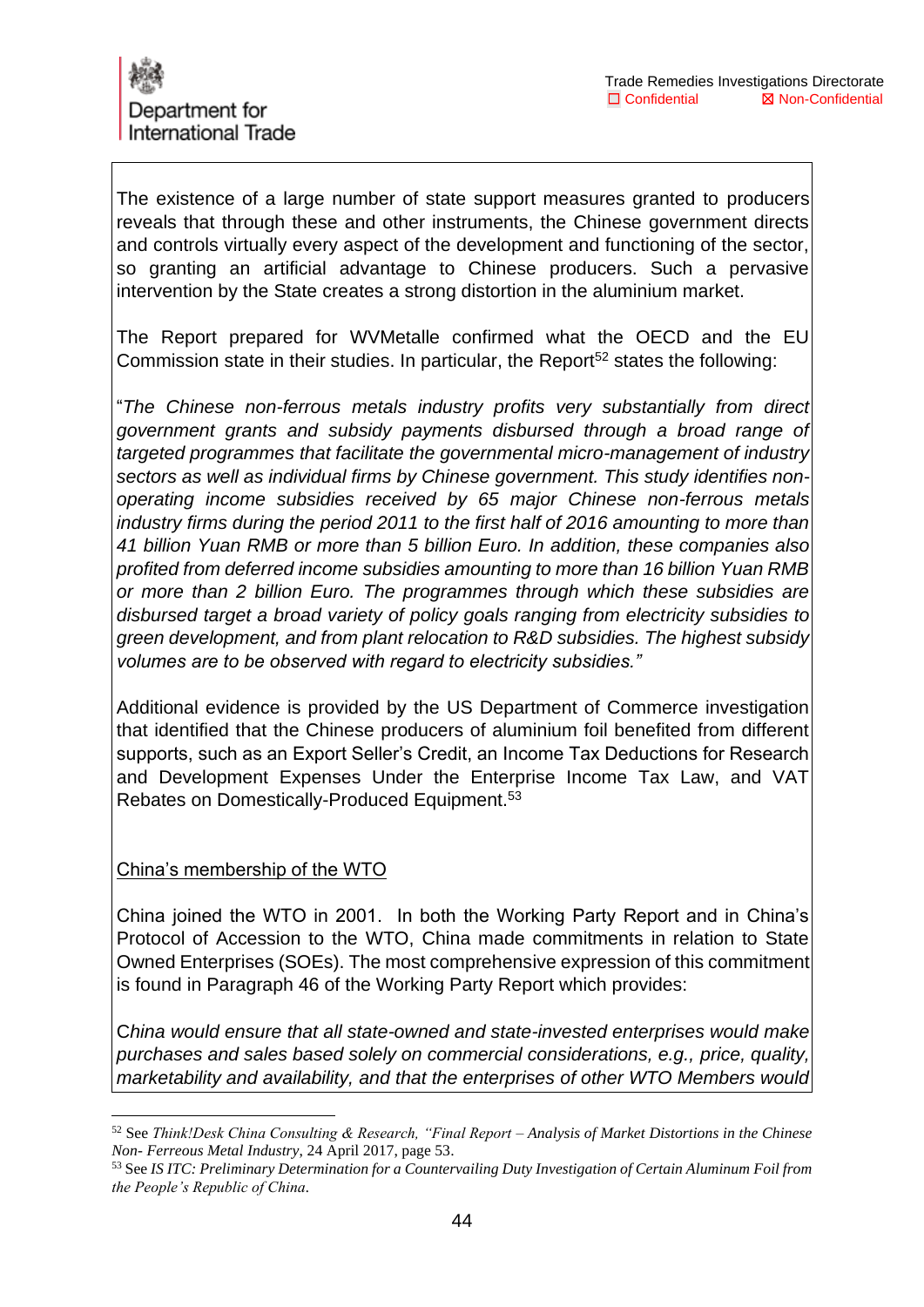The existence of a large number of state support measures granted to producers reveals that through these and other instruments, the Chinese government directs and controls virtually every aspect of the development and functioning of the sector, so granting an artificial advantage to Chinese producers. Such a pervasive intervention by the State creates a strong distortion in the aluminium market.

The Report prepared for WVMetalle confirmed what the OECD and the EU Commission state in their studies. In particular, the Report<sup>52</sup> states the following:

"*The Chinese non-ferrous metals industry profits very substantially from direct government grants and subsidy payments disbursed through a broad range of targeted programmes that facilitate the governmental micro-management of industry sectors as well as individual firms by Chinese government. This study identifies nonoperating income subsidies received by 65 major Chinese non-ferrous metals industry firms during the period 2011 to the first half of 2016 amounting to more than 41 billion Yuan RMB or more than 5 billion Euro. In addition, these companies also profited from deferred income subsidies amounting to more than 16 billion Yuan RMB or more than 2 billion Euro. The programmes through which these subsidies are disbursed target a broad variety of policy goals ranging from electricity subsidies to green development, and from plant relocation to R&D subsidies. The highest subsidy volumes are to be observed with regard to electricity subsidies."*

Additional evidence is provided by the US Department of Commerce investigation that identified that the Chinese producers of aluminium foil benefited from different supports, such as an Export Seller's Credit, an Income Tax Deductions for Research and Development Expenses Under the Enterprise Income Tax Law, and VAT Rebates on Domestically-Produced Equipment.<sup>53</sup>

#### China's membership of the WTO

China joined the WTO in 2001. In both the Working Party Report and in China's Protocol of Accession to the WTO, China made commitments in relation to State Owned Enterprises (SOEs). The most comprehensive expression of this commitment is found in Paragraph 46 of the Working Party Report which provides:

C*hina would ensure that all state-owned and state-invested enterprises would make purchases and sales based solely on commercial considerations, e.g., price, quality, marketability and availability, and that the enterprises of other WTO Members would* 

<sup>52</sup> See *Think!Desk China Consulting & Research, "Final Report – Analysis of Market Distortions in the Chinese Non- Ferreous Metal Industry*, 24 April 2017, page 53.

<sup>53</sup> See *IS ITC: Preliminary Determination for a Countervailing Duty Investigation of Certain Aluminum Foil from the People's Republic of China.*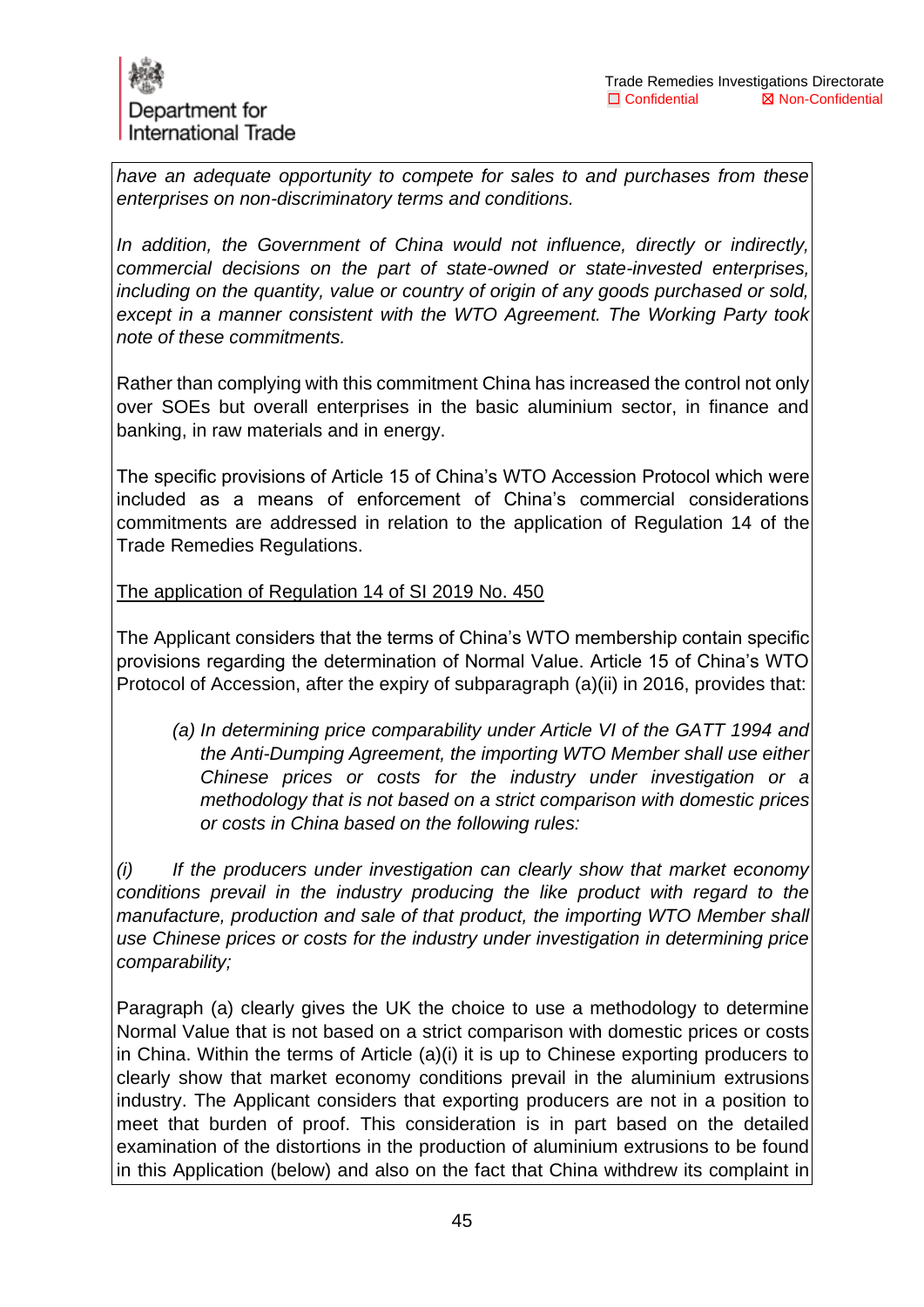*have an adequate opportunity to compete for sales to and purchases from these enterprises on non-discriminatory terms and conditions.* 

*In addition, the Government of China would not influence, directly or indirectly, commercial decisions on the part of state-owned or state-invested enterprises, including on the quantity, value or country of origin of any goods purchased or sold, except in a manner consistent with the WTO Agreement. The Working Party took note of these commitments.* 

Rather than complying with this commitment China has increased the control not only over SOEs but overall enterprises in the basic aluminium sector, in finance and banking, in raw materials and in energy.

The specific provisions of Article 15 of China's WTO Accession Protocol which were included as a means of enforcement of China's commercial considerations commitments are addressed in relation to the application of Regulation 14 of the Trade Remedies Regulations.

#### The application of Regulation 14 of SI 2019 No. 450

The Applicant considers that the terms of China's WTO membership contain specific provisions regarding the determination of Normal Value. Article 15 of China's WTO Protocol of Accession, after the expiry of subparagraph (a)(ii) in 2016, provides that:

*(a) In determining price comparability under Article VI of the GATT 1994 and the Anti-Dumping Agreement, the importing WTO Member shall use either Chinese prices or costs for the industry under investigation or a methodology that is not based on a strict comparison with domestic prices or costs in China based on the following rules:*

*(i) If the producers under investigation can clearly show that market economy conditions prevail in the industry producing the like product with regard to the manufacture, production and sale of that product, the importing WTO Member shall use Chinese prices or costs for the industry under investigation in determining price comparability;*

Paragraph (a) clearly gives the UK the choice to use a methodology to determine Normal Value that is not based on a strict comparison with domestic prices or costs in China. Within the terms of Article (a)(i) it is up to Chinese exporting producers to clearly show that market economy conditions prevail in the aluminium extrusions industry. The Applicant considers that exporting producers are not in a position to meet that burden of proof. This consideration is in part based on the detailed examination of the distortions in the production of aluminium extrusions to be found in this Application (below) and also on the fact that China withdrew its complaint in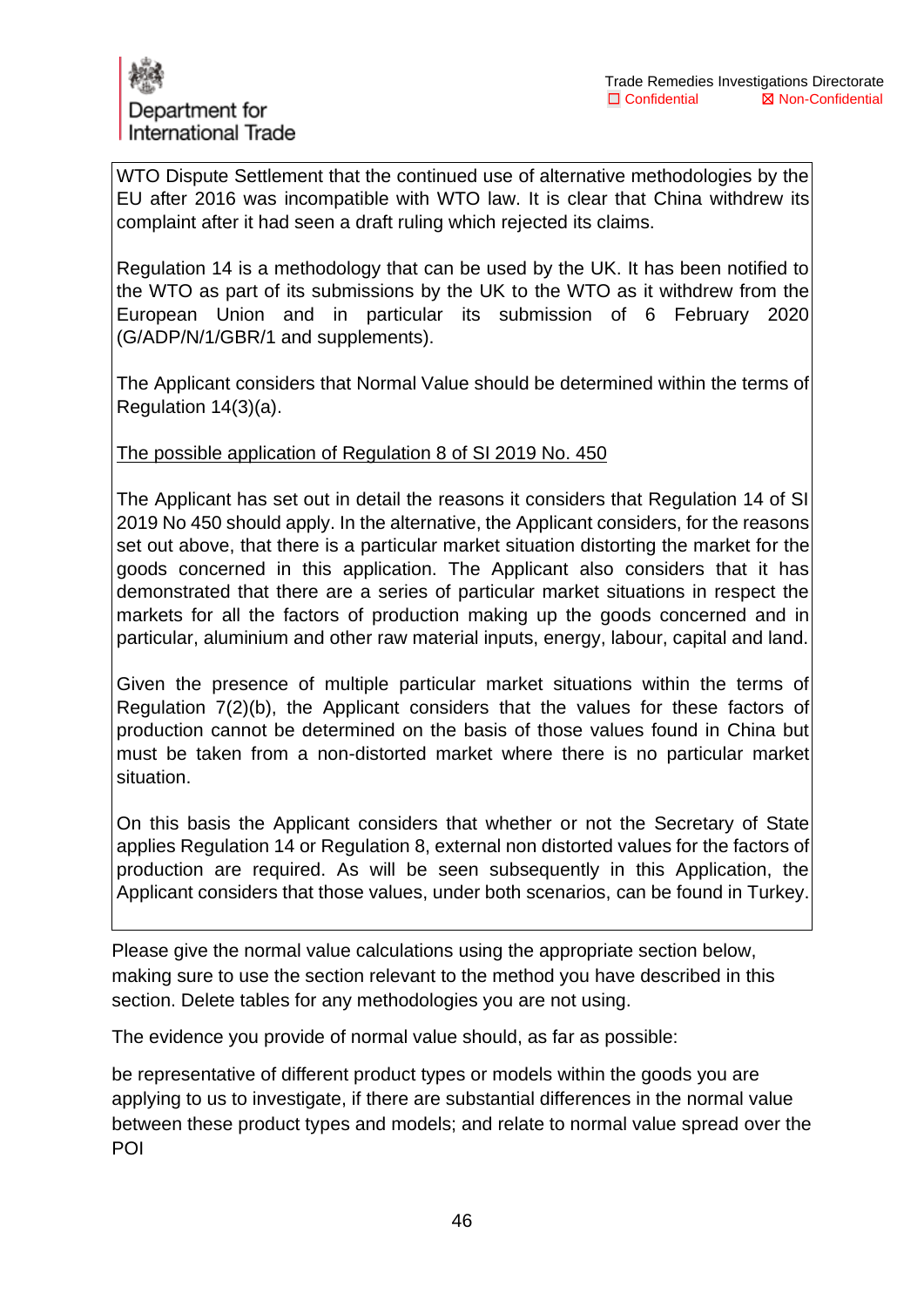WTO Dispute Settlement that the continued use of alternative methodologies by the EU after 2016 was incompatible with WTO law. It is clear that China withdrew its complaint after it had seen a draft ruling which rejected its claims.

Regulation 14 is a methodology that can be used by the UK. It has been notified to the WTO as part of its submissions by the UK to the WTO as it withdrew from the European Union and in particular its submission of 6 February 2020 (G/ADP/N/1/GBR/1 and supplements).

The Applicant considers that Normal Value should be determined within the terms of Regulation 14(3)(a).

#### The possible application of Regulation 8 of SI 2019 No. 450

The Applicant has set out in detail the reasons it considers that Regulation 14 of SI 2019 No 450 should apply. In the alternative, the Applicant considers, for the reasons set out above, that there is a particular market situation distorting the market for the goods concerned in this application. The Applicant also considers that it has demonstrated that there are a series of particular market situations in respect the markets for all the factors of production making up the goods concerned and in particular, aluminium and other raw material inputs, energy, labour, capital and land.

Given the presence of multiple particular market situations within the terms of Regulation 7(2)(b), the Applicant considers that the values for these factors of production cannot be determined on the basis of those values found in China but must be taken from a non-distorted market where there is no particular market situation.

On this basis the Applicant considers that whether or not the Secretary of State applies Regulation 14 or Regulation 8, external non distorted values for the factors of production are required. As will be seen subsequently in this Application, the Applicant considers that those values, under both scenarios, can be found in Turkey.

Please give the normal value calculations using the appropriate section below, making sure to use the section relevant to the method you have described in this section. Delete tables for any methodologies you are not using.

The evidence you provide of normal value should, as far as possible:

be representative of different product types or models within the goods you are applying to us to investigate, if there are substantial differences in the normal value between these product types and models; and relate to normal value spread over the POI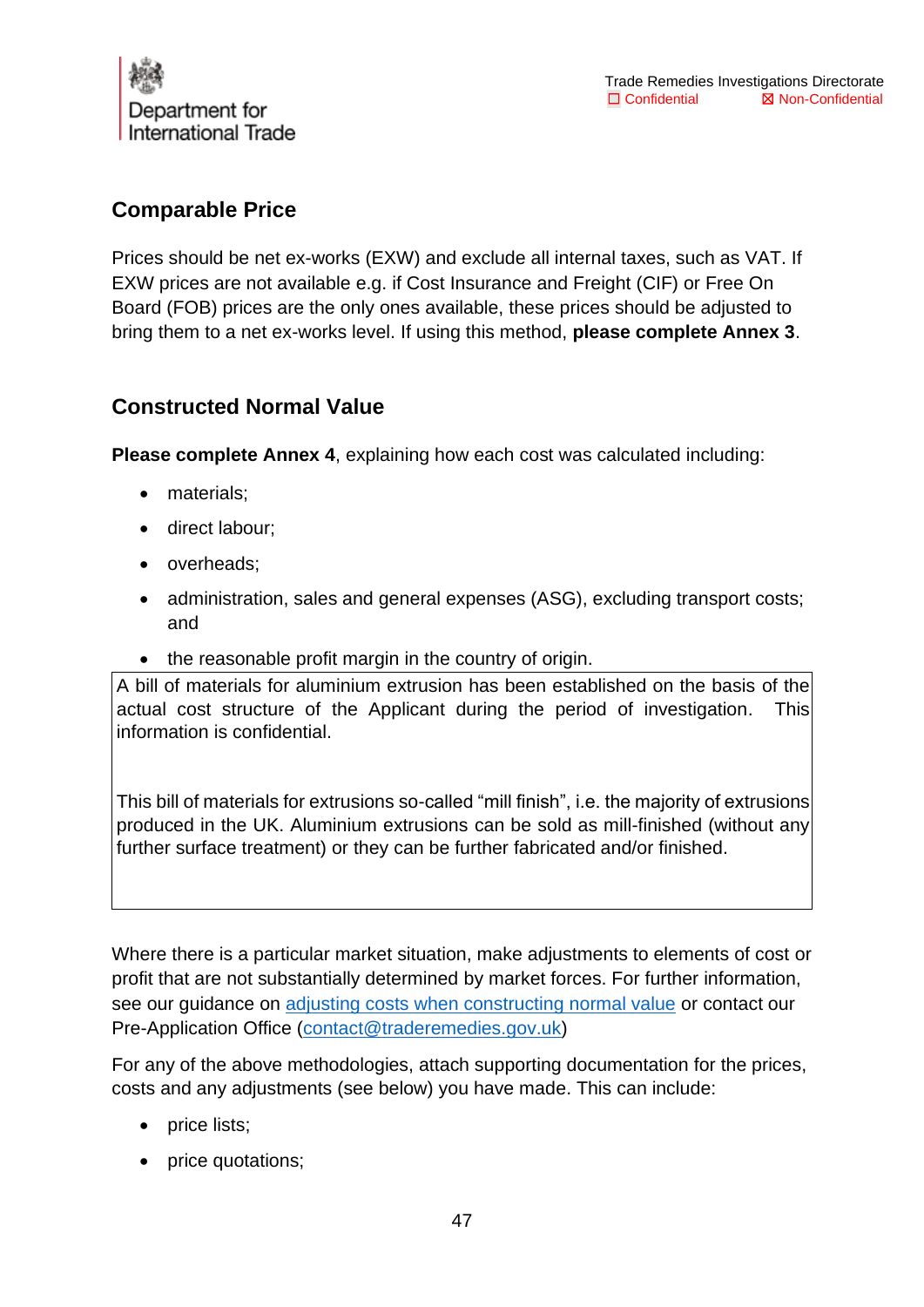

## **Comparable Price**

Prices should be net ex-works (EXW) and exclude all internal taxes, such as VAT. If EXW prices are not available e.g. if Cost Insurance and Freight (CIF) or Free On Board (FOB) prices are the only ones available, these prices should be adjusted to bring them to a net ex-works level. If using this method, **please complete Annex 3**.

#### **Constructed Normal Value**

**Please complete Annex 4**, explaining how each cost was calculated including:

- materials;
- direct labour;
- overheads;
- administration, sales and general expenses (ASG), excluding transport costs; and
- the reasonable profit margin in the country of origin.

A bill of materials for aluminium extrusion has been established on the basis of the actual cost structure of the Applicant during the period of investigation. This information is confidential.

This bill of materials for extrusions so-called "mill finish", i.e. the majority of extrusions produced in the UK. Aluminium extrusions can be sold as mill-finished (without any further surface treatment) or they can be further fabricated and/or finished.

Where there is a particular market situation, make adjustments to elements of cost or profit that are not substantially determined by market forces. For further information, see our guidance on [adjusting costs when constructing normal value](https://www.gov.uk/government/publications/the-uk-trade-remedies-investigations-process/how-we-carry-out-a-dumping-investigation#alternative-methods-to-determine-normal-value) or contact our Pre-Application Office [\(contact@traderemedies.gov.uk\)](mailto:contact@traderemedies.gov.uk)

For any of the above methodologies, attach supporting documentation for the prices, costs and any adjustments (see below) you have made. This can include:

- price lists;
- price quotations;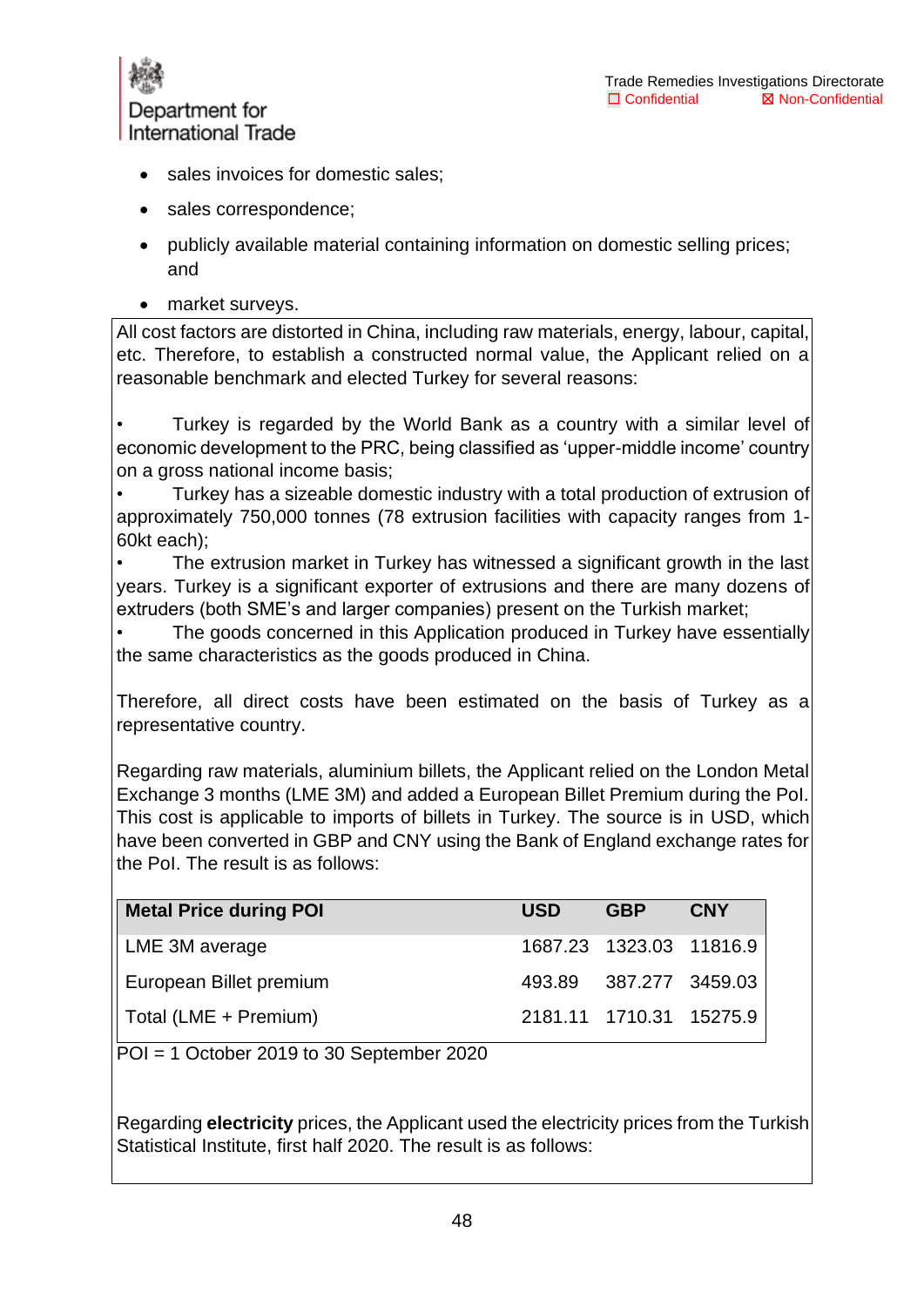

- sales invoices for domestic sales;
- sales correspondence;
- publicly available material containing information on domestic selling prices; and
- market surveys.

All cost factors are distorted in China, including raw materials, energy, labour, capital, etc. Therefore, to establish a constructed normal value, the Applicant relied on a reasonable benchmark and elected Turkey for several reasons:

Turkey is regarded by the World Bank as a country with a similar level of economic development to the PRC, being classified as 'upper-middle income' country on a gross national income basis;

• Turkey has a sizeable domestic industry with a total production of extrusion of approximately 750,000 tonnes (78 extrusion facilities with capacity ranges from 1- 60kt each);

The extrusion market in Turkey has witnessed a significant growth in the last years. Turkey is a significant exporter of extrusions and there are many dozens of extruders (both SME's and larger companies) present on the Turkish market;

The goods concerned in this Application produced in Turkey have essentially the same characteristics as the goods produced in China.

Therefore, all direct costs have been estimated on the basis of Turkey as a representative country.

Regarding raw materials, aluminium billets, the Applicant relied on the London Metal Exchange 3 months (LME 3M) and added a European Billet Premium during the PoI. This cost is applicable to imports of billets in Turkey. The source is in USD, which have been converted in GBP and CNY using the Bank of England exchange rates for the PoI. The result is as follows:

| <b>Metal Price during POI</b> | <b>USD</b> | <b>GBP</b>              | <b>CNY</b> |
|-------------------------------|------------|-------------------------|------------|
| LME 3M average                |            | 1687.23 1323.03 11816.9 |            |
| European Billet premium       |            | 493.89 387.277 3459.03  |            |
| Total (LME + Premium)         |            | 2181.11 1710.31 15275.9 |            |

POI = 1 October 2019 to 30 September 2020

Regarding **electricity** prices, the Applicant used the electricity prices from the Turkish Statistical Institute, first half 2020. The result is as follows: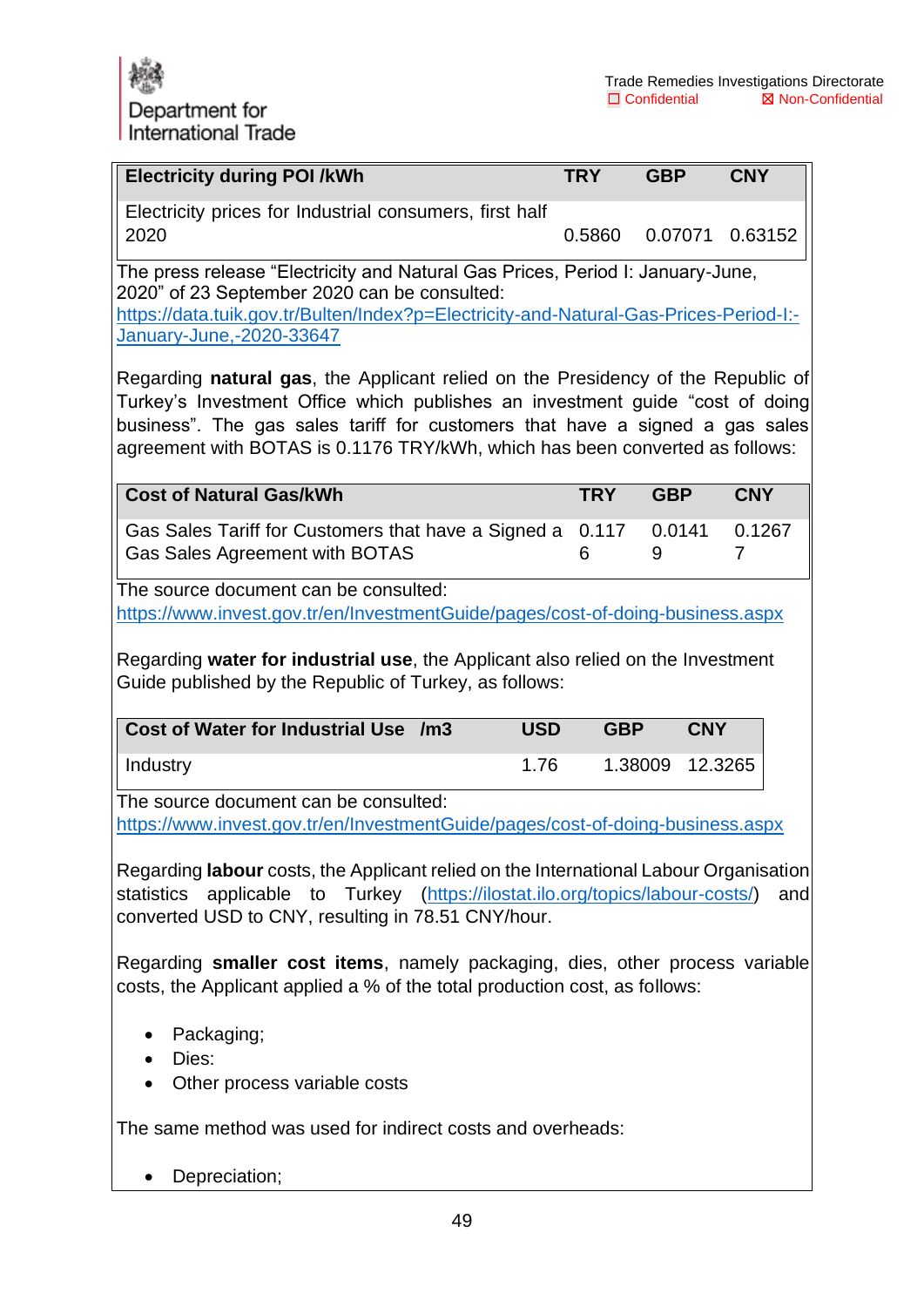| <b>Electricity during POI /kWh</b>                                                                                                                                                                                                                                                                                                |            | <b>TRY</b> | <b>GBP</b>      | <b>CNY</b>  |  |
|-----------------------------------------------------------------------------------------------------------------------------------------------------------------------------------------------------------------------------------------------------------------------------------------------------------------------------------|------------|------------|-----------------|-------------|--|
| Electricity prices for Industrial consumers, first half<br>2020                                                                                                                                                                                                                                                                   |            | 0.5860     | 0.07071 0.63152 |             |  |
| The press release "Electricity and Natural Gas Prices, Period I: January-June,<br>2020" of 23 September 2020 can be consulted:                                                                                                                                                                                                    |            |            |                 |             |  |
| https://data.tuik.gov.tr/Bulten/Index?p=Electricity-and-Natural-Gas-Prices-Period-I:-<br>January-June,-2020-33647                                                                                                                                                                                                                 |            |            |                 |             |  |
| Regarding natural gas, the Applicant relied on the Presidency of the Republic of<br>Turkey's Investment Office which publishes an investment guide "cost of doing<br>business". The gas sales tariff for customers that have a signed a gas sales<br>agreement with BOTAS is 0.1176 TRY/kWh, which has been converted as follows: |            |            |                 |             |  |
| <b>Cost of Natural Gas/kWh</b>                                                                                                                                                                                                                                                                                                    |            | <b>TRY</b> | <b>GBP</b>      | <b>CNY</b>  |  |
| Gas Sales Tariff for Customers that have a Signed a<br>Gas Sales Agreement with BOTAS                                                                                                                                                                                                                                             |            | 0.117<br>6 | 0.0141<br>9     | 0.1267<br>7 |  |
| The source document can be consulted:<br>https://www.invest.gov.tr/en/InvestmentGuide/pages/cost-of-doing-business.aspx                                                                                                                                                                                                           |            |            |                 |             |  |
| Guide published by the Republic of Turkey, as follows:<br>Cost of Water for Industrial Use /m3                                                                                                                                                                                                                                    | <b>USD</b> | <b>GBP</b> | <b>CNY</b>      |             |  |
| Industry                                                                                                                                                                                                                                                                                                                          | 1.76       |            | 1.38009         | 12.3265     |  |
| The source document can be consulted:<br>https://www.invest.gov.tr/en/InvestmentGuide/pages/cost-of-doing-business.aspx                                                                                                                                                                                                           |            |            |                 |             |  |
| Regarding labour costs, the Applicant relied on the International Labour Organisation<br>statistics applicable to Turkey (https://ilostat.ilo.org/topics/labour-costs/)<br>and<br>converted USD to CNY, resulting in 78.51 CNY/hour.                                                                                              |            |            |                 |             |  |
| Regarding smaller cost items, namely packaging, dies, other process variable<br>costs, the Applicant applied a % of the total production cost, as follows:                                                                                                                                                                        |            |            |                 |             |  |
|                                                                                                                                                                                                                                                                                                                                   |            |            |                 |             |  |
| Packaging;                                                                                                                                                                                                                                                                                                                        |            |            |                 |             |  |
| Dies:<br>$\bullet$<br>Other process variable costs<br>$\bullet$                                                                                                                                                                                                                                                                   |            |            |                 |             |  |
| The same method was used for indirect costs and overheads:                                                                                                                                                                                                                                                                        |            |            |                 |             |  |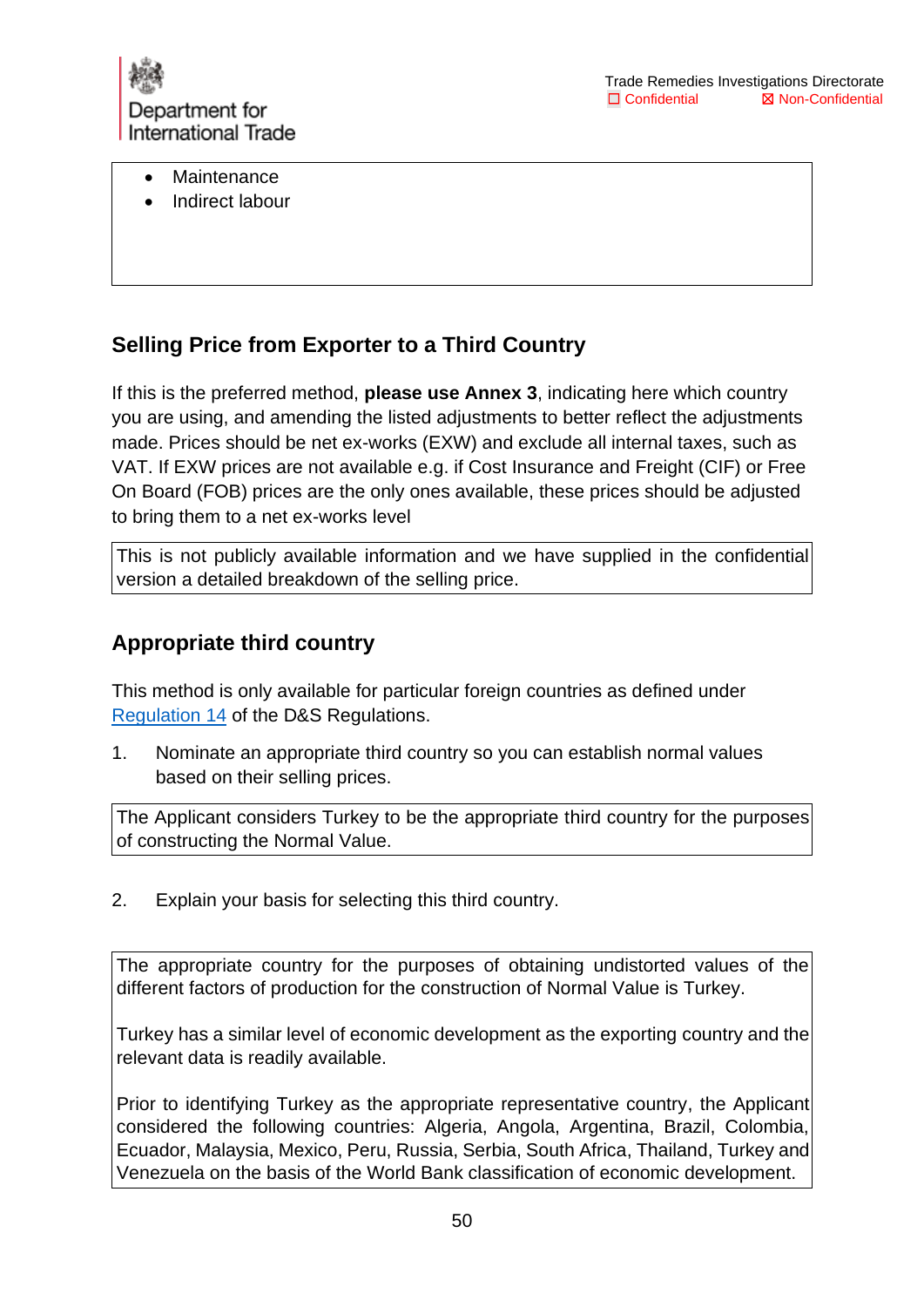

- **Maintenance**
- Indirect labour

## **Selling Price from Exporter to a Third Country**

If this is the preferred method, **please use Annex 3**, indicating here which country you are using, and amending the listed adjustments to better reflect the adjustments made. Prices should be net ex-works (EXW) and exclude all internal taxes, such as VAT. If EXW prices are not available e.g. if Cost Insurance and Freight (CIF) or Free On Board (FOB) prices are the only ones available, these prices should be adjusted to bring them to a net ex-works level

This is not publicly available information and we have supplied in the confidential version a detailed breakdown of the selling price.

### **Appropriate third country**

This method is only available for particular foreign countries as defined under [Regulation 14](http://www.legislation.gov.uk/uksi/2019/450/regulation/14/made) of the D&S Regulations.

1. Nominate an appropriate third country so you can establish normal values based on their selling prices.

The Applicant considers Turkey to be the appropriate third country for the purposes of constructing the Normal Value.

2. Explain your basis for selecting this third country.

The appropriate country for the purposes of obtaining undistorted values of the different factors of production for the construction of Normal Value is Turkey.

Turkey has a similar level of economic development as the exporting country and the relevant data is readily available.

Prior to identifying Turkey as the appropriate representative country, the Applicant considered the following countries: Algeria, Angola, Argentina, Brazil, Colombia, Ecuador, Malaysia, Mexico, Peru, Russia, Serbia, South Africa, Thailand, Turkey and Venezuela on the basis of the World Bank classification of economic development.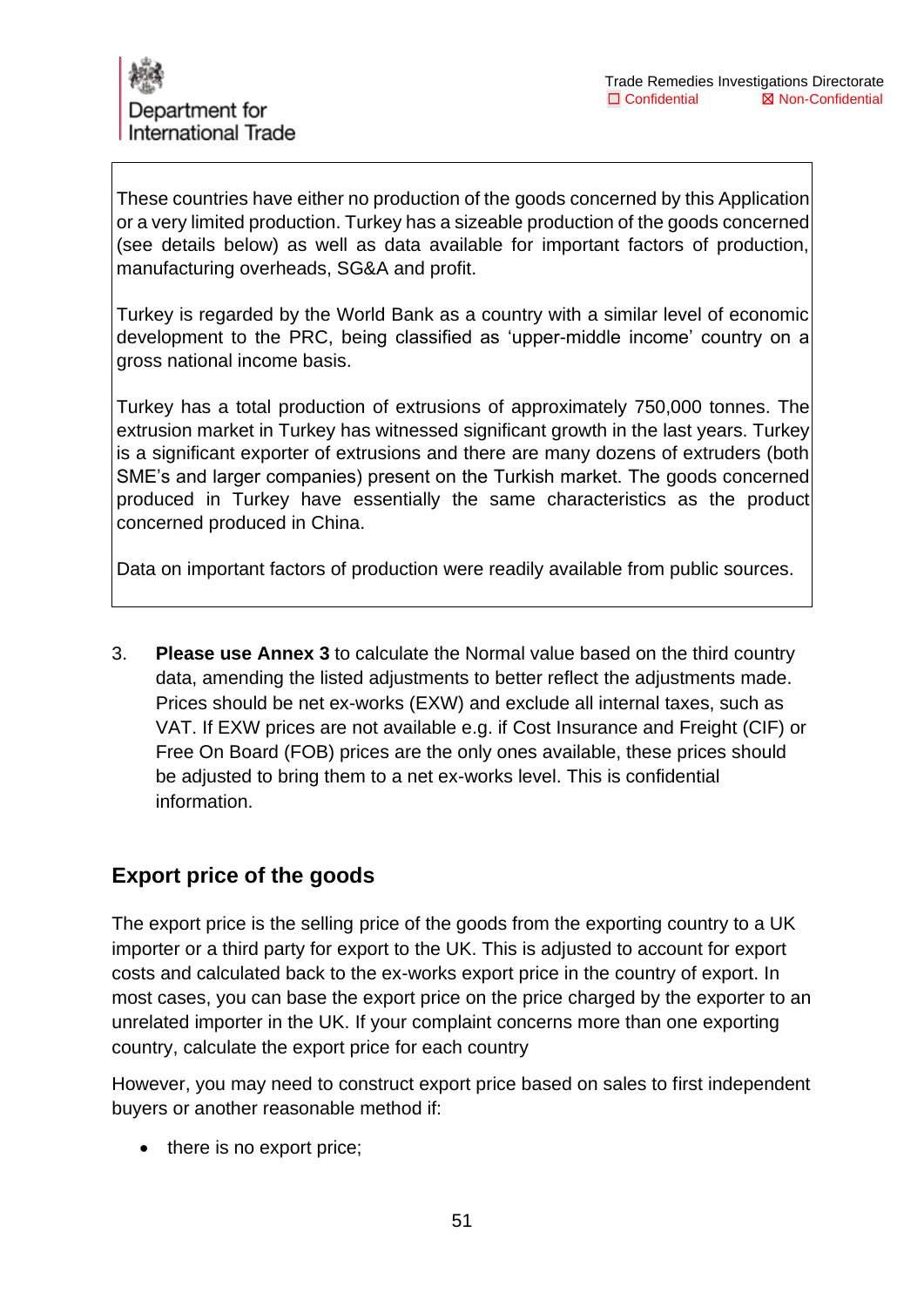These countries have either no production of the goods concerned by this Application or a very limited production. Turkey has a sizeable production of the goods concerned (see details below) as well as data available for important factors of production, manufacturing overheads, SG&A and profit.

Turkey is regarded by the World Bank as a country with a similar level of economic development to the PRC, being classified as 'upper-middle income' country on a gross national income basis.

Turkey has a total production of extrusions of approximately 750,000 tonnes. The extrusion market in Turkey has witnessed significant growth in the last years. Turkey is a significant exporter of extrusions and there are many dozens of extruders (both SME's and larger companies) present on the Turkish market. The goods concerned produced in Turkey have essentially the same characteristics as the product concerned produced in China.

Data on important factors of production were readily available from public sources.

3. **Please use Annex 3** to calculate the Normal value based on the third country data, amending the listed adjustments to better reflect the adjustments made. Prices should be net ex-works (EXW) and exclude all internal taxes, such as VAT. If EXW prices are not available e.g. if Cost Insurance and Freight (CIF) or Free On Board (FOB) prices are the only ones available, these prices should be adjusted to bring them to a net ex-works level. This is confidential information.

## **Export price of the goods**

The export price is the selling price of the goods from the exporting country to a UK importer or a third party for export to the UK. This is adjusted to account for export costs and calculated back to the ex-works export price in the country of export. In most cases, you can base the export price on the price charged by the exporter to an unrelated importer in the UK. If your complaint concerns more than one exporting country, calculate the export price for each country

However, you may need to construct export price based on sales to first independent buyers or another reasonable method if:

• there is no export price;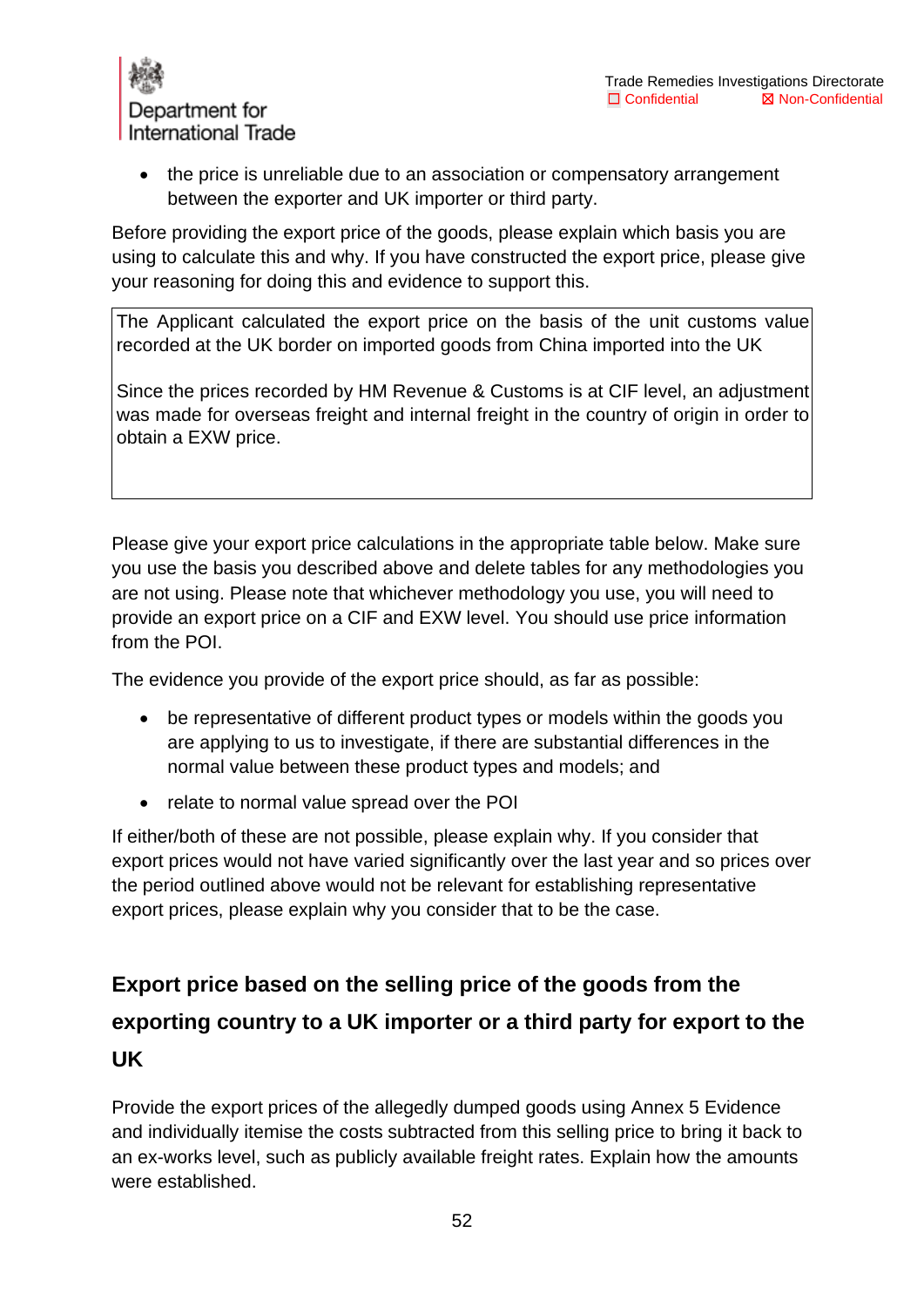

• the price is unreliable due to an association or compensatory arrangement between the exporter and UK importer or third party.

Before providing the export price of the goods, please explain which basis you are using to calculate this and why. If you have constructed the export price, please give your reasoning for doing this and evidence to support this.

The Applicant calculated the export price on the basis of the unit customs value recorded at the UK border on imported goods from China imported into the UK

Since the prices recorded by HM Revenue & Customs is at CIF level, an adjustment was made for overseas freight and internal freight in the country of origin in order to obtain a EXW price.

Please give your export price calculations in the appropriate table below. Make sure you use the basis you described above and delete tables for any methodologies you are not using. Please note that whichever methodology you use, you will need to provide an export price on a CIF and EXW level. You should use price information from the POI.

The evidence you provide of the export price should, as far as possible:

- be representative of different product types or models within the goods you are applying to us to investigate, if there are substantial differences in the normal value between these product types and models; and
- relate to normal value spread over the POI

If either/both of these are not possible, please explain why. If you consider that export prices would not have varied significantly over the last year and so prices over the period outlined above would not be relevant for establishing representative export prices, please explain why you consider that to be the case.

# **Export price based on the selling price of the goods from the exporting country to a UK importer or a third party for export to the UK**

Provide the export prices of the allegedly dumped goods using Annex 5 Evidence and individually itemise the costs subtracted from this selling price to bring it back to an ex-works level, such as publicly available freight rates. Explain how the amounts were established.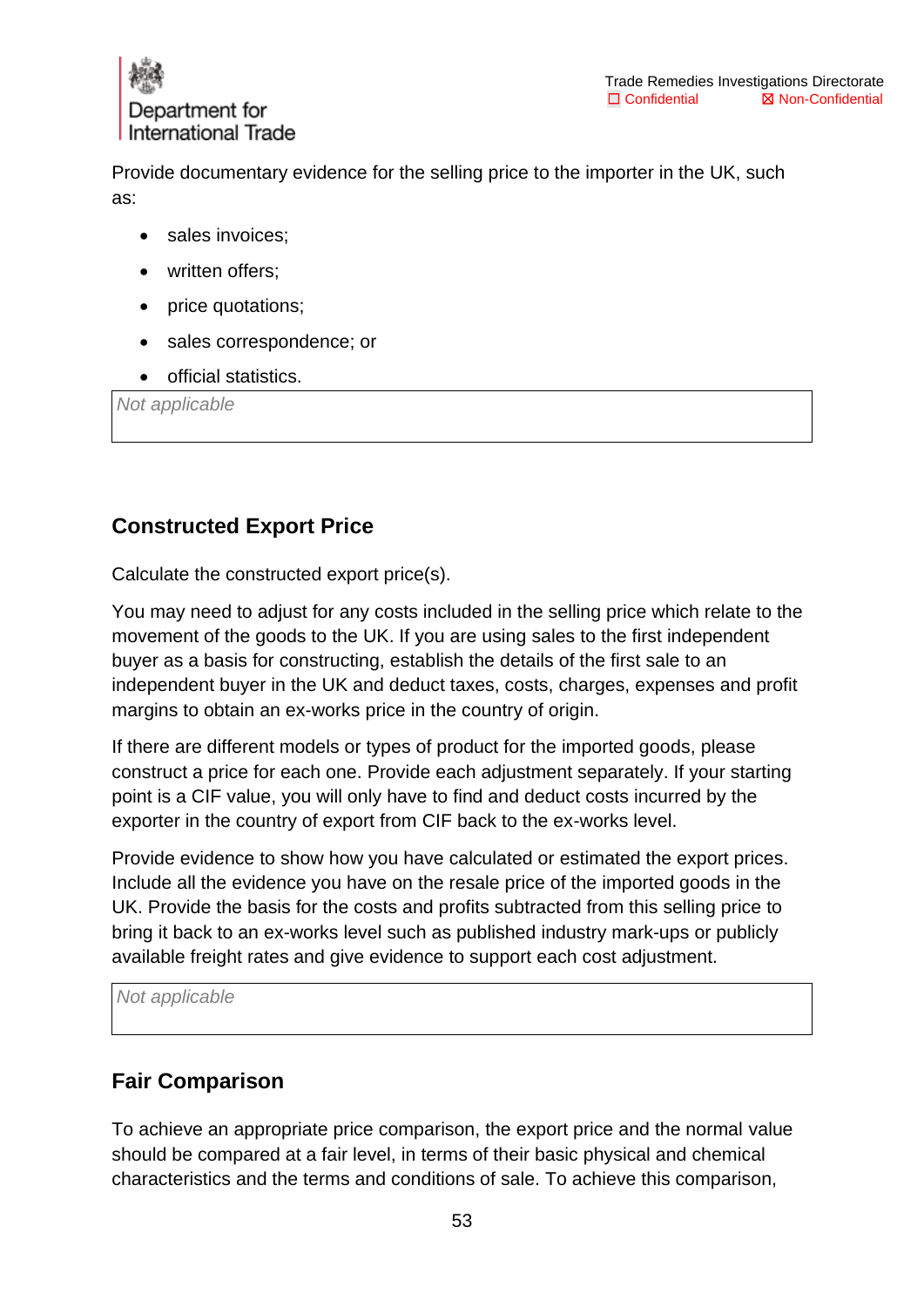

Provide documentary evidence for the selling price to the importer in the UK, such as:

- sales invoices;
- written offers:
- price quotations;
- sales correspondence; or
- official statistics.

*Not applicable*

#### **Constructed Export Price**

Calculate the constructed export price(s).

You may need to adjust for any costs included in the selling price which relate to the movement of the goods to the UK. If you are using sales to the first independent buyer as a basis for constructing, establish the details of the first sale to an independent buyer in the UK and deduct taxes, costs, charges, expenses and profit margins to obtain an ex-works price in the country of origin.

If there are different models or types of product for the imported goods, please construct a price for each one. Provide each adjustment separately. If your starting point is a CIF value, you will only have to find and deduct costs incurred by the exporter in the country of export from CIF back to the ex-works level.

Provide evidence to show how you have calculated or estimated the export prices. Include all the evidence you have on the resale price of the imported goods in the UK. Provide the basis for the costs and profits subtracted from this selling price to bring it back to an ex-works level such as published industry mark-ups or publicly available freight rates and give evidence to support each cost adjustment.

*Not applicable*

#### **Fair Comparison**

To achieve an appropriate price comparison, the export price and the normal value should be compared at a fair level, in terms of their basic physical and chemical characteristics and the terms and conditions of sale. To achieve this comparison,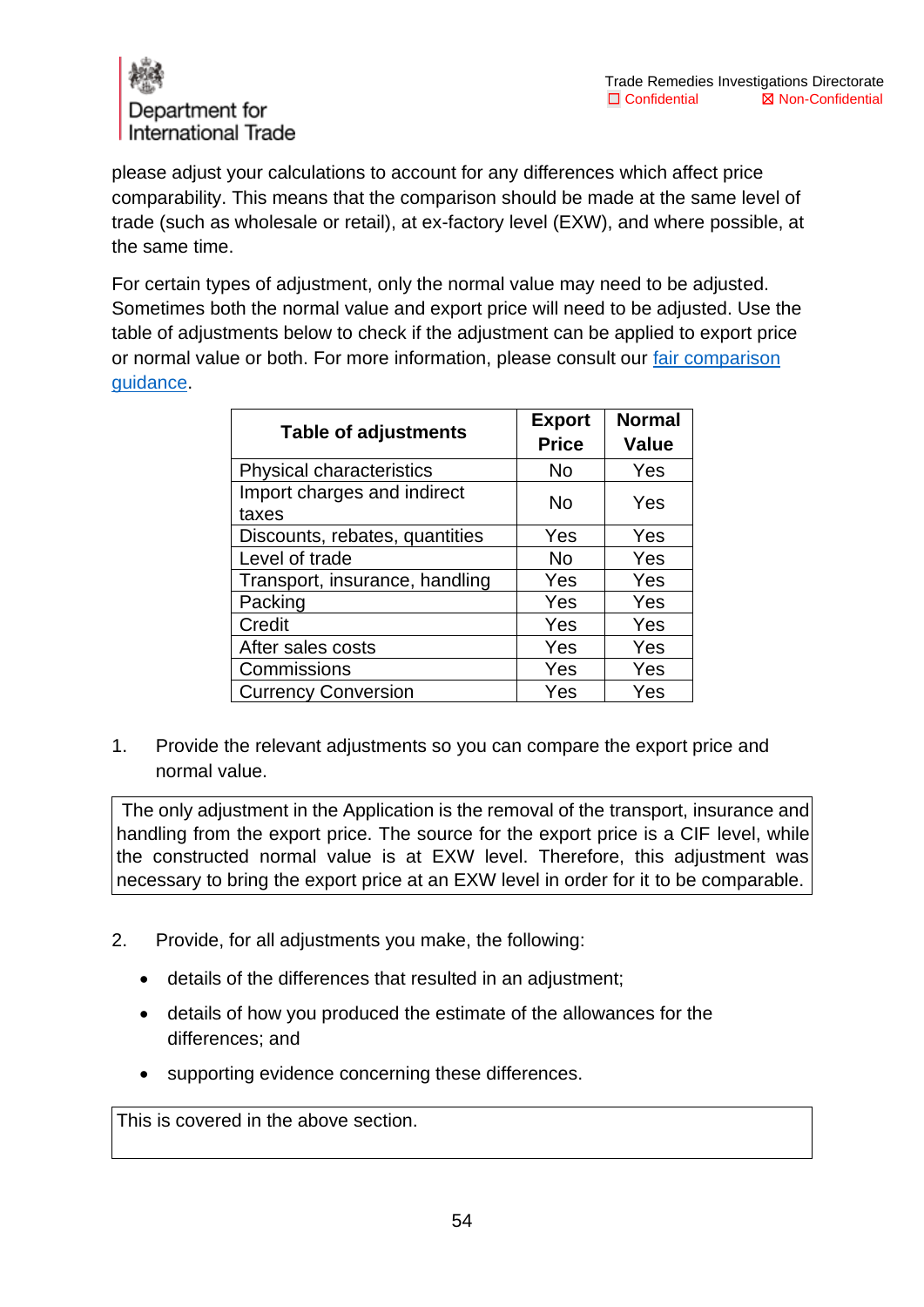

please adjust your calculations to account for any differences which affect price comparability. This means that the comparison should be made at the same level of trade (such as wholesale or retail), at ex-factory level (EXW), and where possible, at the same time.

For certain types of adjustment, only the normal value may need to be adjusted. Sometimes both the normal value and export price will need to be adjusted. Use the table of adjustments below to check if the adjustment can be applied to export price or normal value or both. For more information, please consult our [fair comparison](https://www.gov.uk/government/publications/the-uk-trade-remedies-investigations-process/how-we-carry-out-a-dumping-investigation#making-a-fair-comparison)  [guidance.](https://www.gov.uk/government/publications/the-uk-trade-remedies-investigations-process/how-we-carry-out-a-dumping-investigation#making-a-fair-comparison)

| <b>Table of adjustments</b>          | <b>Export</b> | <b>Normal</b> |
|--------------------------------------|---------------|---------------|
|                                      | <b>Price</b>  | <b>Value</b>  |
| <b>Physical characteristics</b>      | No            | Yes           |
| Import charges and indirect<br>taxes | No            | Yes           |
| Discounts, rebates, quantities       | Yes           | Yes           |
| Level of trade                       | No            | Yes           |
| Transport, insurance, handling       | Yes           | Yes           |
| Packing                              | Yes           | Yes           |
| Credit                               | Yes           | Yes           |
| After sales costs                    | Yes           | Yes           |
| Commissions                          | Yes           | Yes           |
| <b>Currency Conversion</b>           | Yes           | Yes           |

1. Provide the relevant adjustments so you can compare the export price and normal value.

The only adjustment in the Application is the removal of the transport, insurance and handling from the export price. The source for the export price is a CIF level, while the constructed normal value is at EXW level. Therefore, this adjustment was necessary to bring the export price at an EXW level in order for it to be comparable.

- 2. Provide, for all adjustments you make, the following:
	- details of the differences that resulted in an adjustment;
	- details of how you produced the estimate of the allowances for the differences; and
	- supporting evidence concerning these differences.

This is covered in the above section.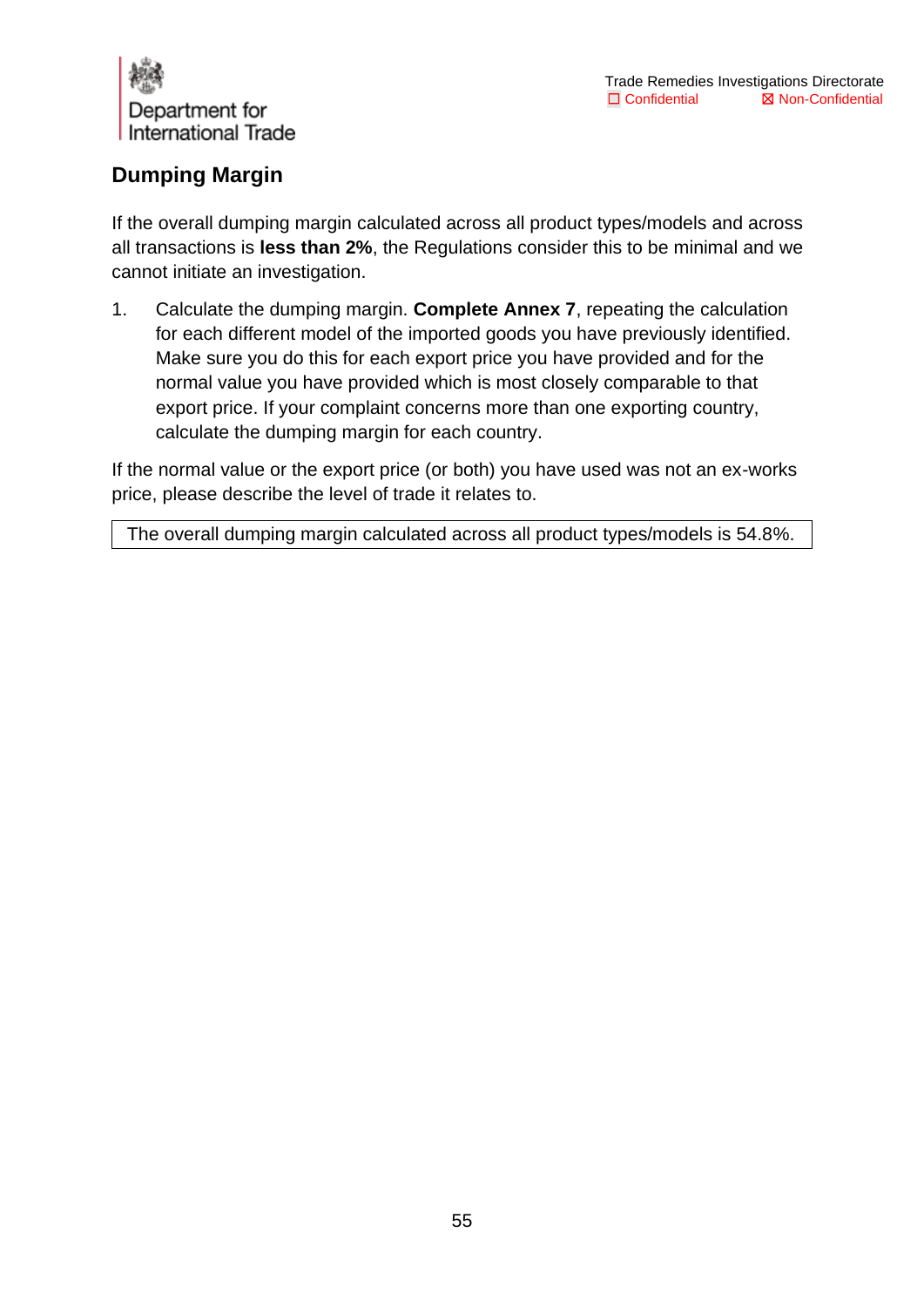

## **Dumping Margin**

If the overall dumping margin calculated across all product types/models and across all transactions is **less than 2%**, the Regulations consider this to be minimal and we cannot initiate an investigation.

1. Calculate the dumping margin. **Complete Annex 7**, repeating the calculation for each different model of the imported goods you have previously identified. Make sure you do this for each export price you have provided and for the normal value you have provided which is most closely comparable to that export price. If your complaint concerns more than one exporting country, calculate the dumping margin for each country.

If the normal value or the export price (or both) you have used was not an ex-works price, please describe the level of trade it relates to.

The overall dumping margin calculated across all product types/models is 54.8%.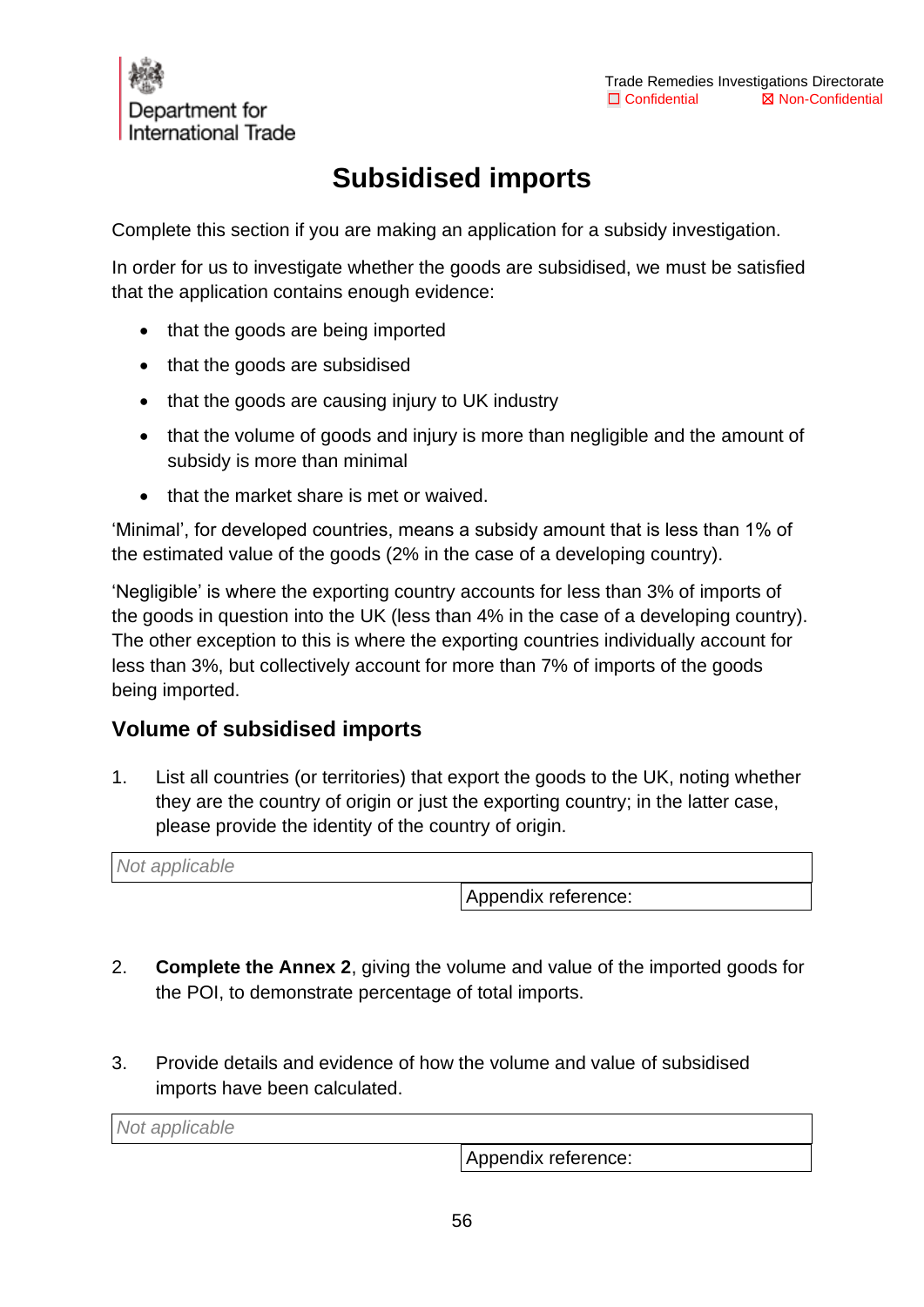

# **Subsidised imports**

<span id="page-55-0"></span>Complete this section if you are making an application for a subsidy investigation.

In order for us to investigate whether the goods are subsidised, we must be satisfied that the application contains enough evidence:

- that the goods are being imported
- that the goods are subsidised
- that the goods are causing injury to UK industry
- that the volume of goods and injury is more than negligible and the amount of subsidy is more than minimal
- that the market share is met or waived.

'Minimal', for developed countries, means a subsidy amount that is less than 1% of the estimated value of the goods (2% in the case of a developing country).

'Negligible' is where the exporting country accounts for less than 3% of imports of the goods in question into the UK (less than 4% in the case of a developing country). The other exception to this is where the exporting countries individually account for less than 3%, but collectively account for more than 7% of imports of the goods being imported.

#### **Volume of subsidised imports**

1. List all countries (or territories) that export the goods to the UK, noting whether they are the country of origin or just the exporting country; in the latter case, please provide the identity of the country of origin.

*Not applicable*

Appendix reference:

- 2. **Complete the Annex 2**, giving the volume and value of the imported goods for the POI, to demonstrate percentage of total imports.
- 3. Provide details and evidence of how the volume and value of subsidised imports have been calculated.

| Not applicable |  |  |
|----------------|--|--|
|                |  |  |

Appendix reference: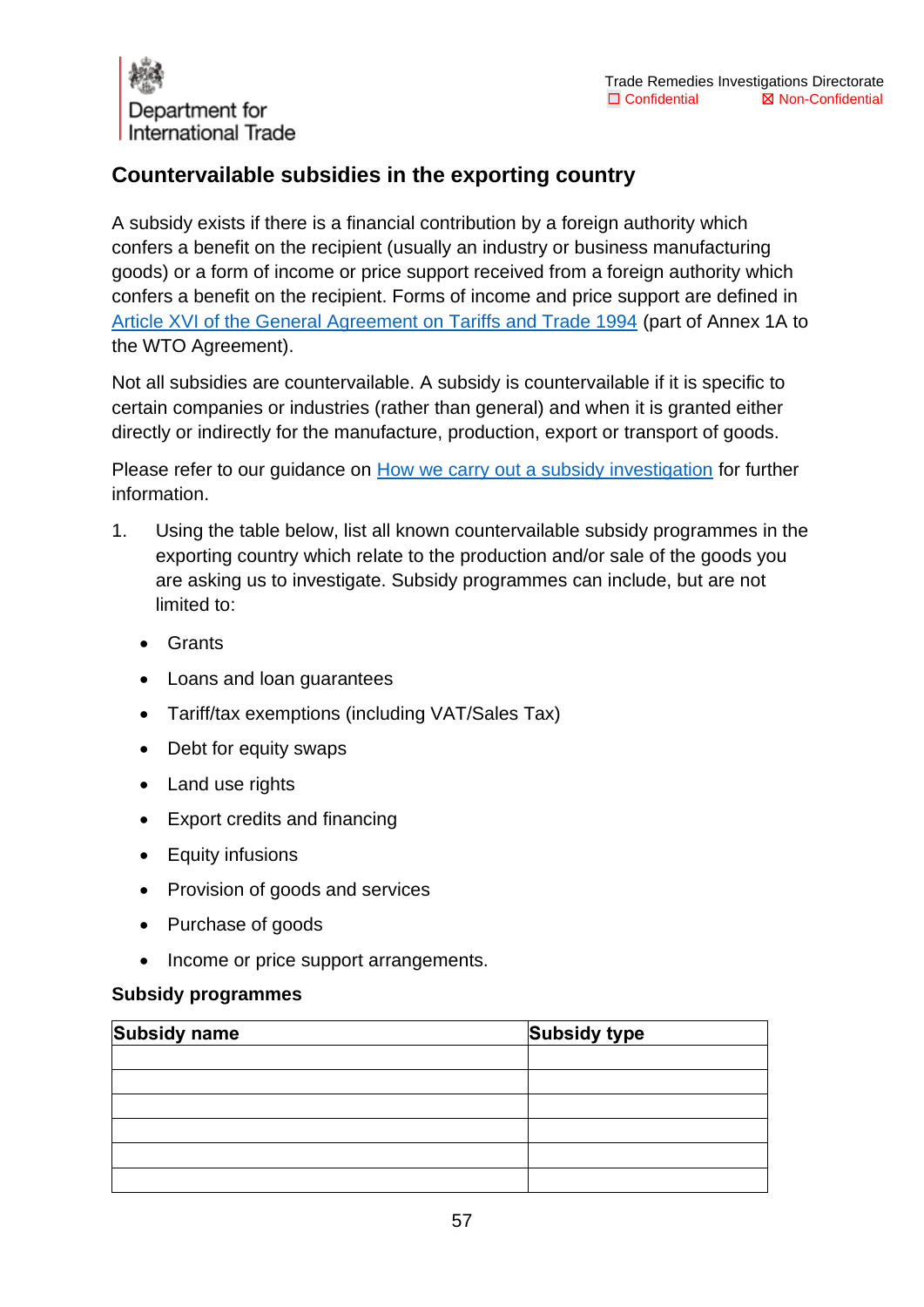

## **Countervailable subsidies in the exporting country**

A subsidy exists if there is a financial contribution by a foreign authority which confers a benefit on the recipient (usually an industry or business manufacturing goods) or a form of income or price support received from a foreign authority which confers a benefit on the recipient. Forms of income and price support are defined in [Article XVI of the General Agreement on Tariffs and Trade 1994](https://www.wto.org/english/res_e/publications_e/ai17_e/gatt1994_art16_gatt47.pdf) (part of Annex 1A to the WTO Agreement).

Not all subsidies are countervailable. A subsidy is countervailable if it is specific to certain companies or industries (rather than general) and when it is granted either directly or indirectly for the manufacture, production, export or transport of goods.

Please refer to our guidance on [How we carry out a subsidy investigation](https://www.gov.uk/government/publications/the-uk-trade-remedies-investigations-process/how-we-carry-out-a-subsidy-investigation) for further information.

- 1. Using the table below, list all known countervailable subsidy programmes in the exporting country which relate to the production and/or sale of the goods you are asking us to investigate. Subsidy programmes can include, but are not limited to:
	- Grants
	- Loans and loan guarantees
	- Tariff/tax exemptions (including VAT/Sales Tax)
	- Debt for equity swaps
	- Land use rights
	- Export credits and financing
	- Equity infusions
	- Provision of goods and services
	- Purchase of goods
	- Income or price support arrangements.

#### **Subsidy programmes**

| <b>Subsidy name</b> | Subsidy type |
|---------------------|--------------|
|                     |              |
|                     |              |
|                     |              |
|                     |              |
|                     |              |
|                     |              |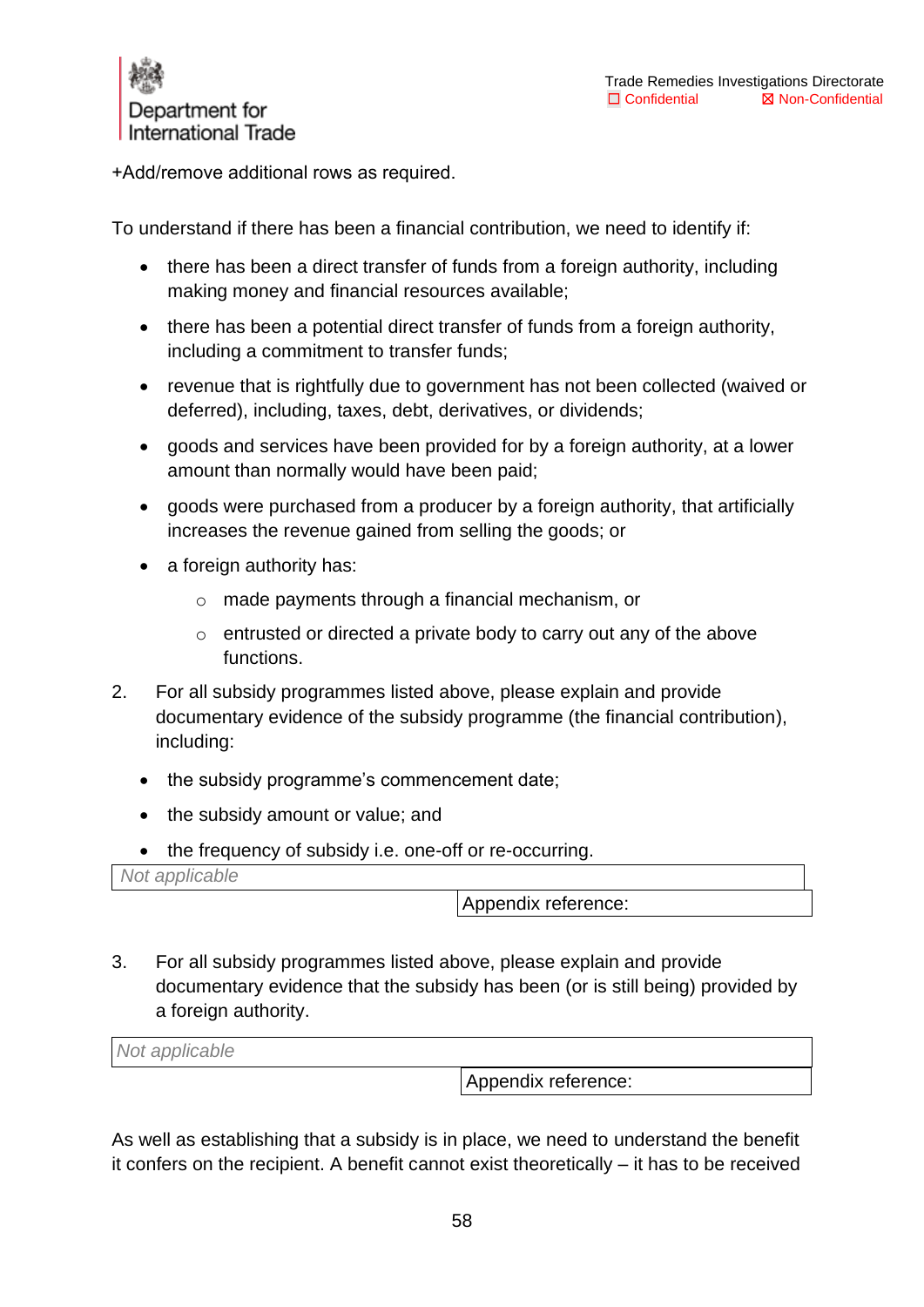

+Add/remove additional rows as required. 

To understand if there has been a financial contribution, we need to identify if:

- there has been a direct transfer of funds from a foreign authority, including making money and financial resources available;
- there has been a potential direct transfer of funds from a foreign authority, including a commitment to transfer funds;
- revenue that is rightfully due to government has not been collected (waived or deferred), including, taxes, debt, derivatives, or dividends;
- goods and services have been provided for by a foreign authority, at a lower amount than normally would have been paid;
- goods were purchased from a producer by a foreign authority, that artificially increases the revenue gained from selling the goods; or
- a foreign authority has:
	- o made payments through a financial mechanism, or
	- o entrusted or directed a private body to carry out any of the above functions.
- 2. For all subsidy programmes listed above, please explain and provide documentary evidence of the subsidy programme (the financial contribution), including:
	- the subsidy programme's commencement date;
	- the subsidy amount or value; and
	- the frequency of subsidy i.e. one-off or re-occurring.

*Not applicable*

Appendix reference:

3. For all subsidy programmes listed above, please explain and provide documentary evidence that the subsidy has been (or is still being) provided by a foreign authority.

| Not applicable |                     |
|----------------|---------------------|
|                | Appendix reference: |

As well as establishing that a subsidy is in place, we need to understand the benefit it confers on the recipient. A benefit cannot exist theoretically – it has to be received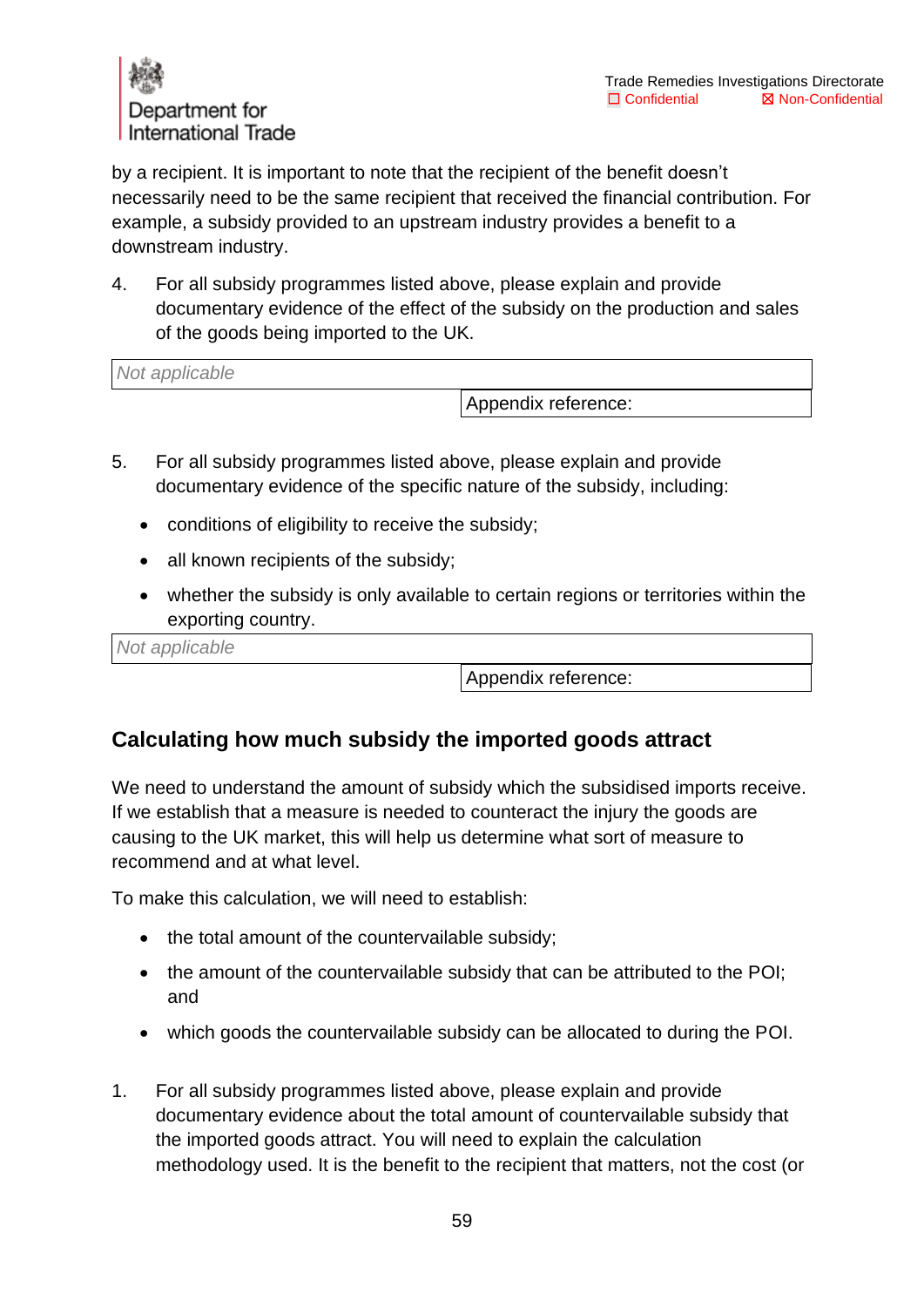

by a recipient. It is important to note that the recipient of the benefit doesn't necessarily need to be the same recipient that received the financial contribution. For example, a subsidy provided to an upstream industry provides a benefit to a downstream industry.

4. For all subsidy programmes listed above, please explain and provide documentary evidence of the effect of the subsidy on the production and sales of the goods being imported to the UK.

*Not applicable*

Appendix reference:

- 5. For all subsidy programmes listed above, please explain and provide documentary evidence of the specific nature of the subsidy, including:
	- conditions of eligibility to receive the subsidy;
	- all known recipients of the subsidy;
	- whether the subsidy is only available to certain regions or territories within the exporting country.

*Not applicable*

Appendix reference:

## **Calculating how much subsidy the imported goods attract**

We need to understand the amount of subsidy which the subsidised imports receive. If we establish that a measure is needed to counteract the injury the goods are causing to the UK market, this will help us determine what sort of measure to recommend and at what level.

To make this calculation, we will need to establish:

- the total amount of the countervailable subsidy;
- the amount of the countervailable subsidy that can be attributed to the POI; and
- which goods the countervailable subsidy can be allocated to during the POI.
- 1. For all subsidy programmes listed above, please explain and provide documentary evidence about the total amount of countervailable subsidy that the imported goods attract. You will need to explain the calculation methodology used. It is the benefit to the recipient that matters, not the cost (or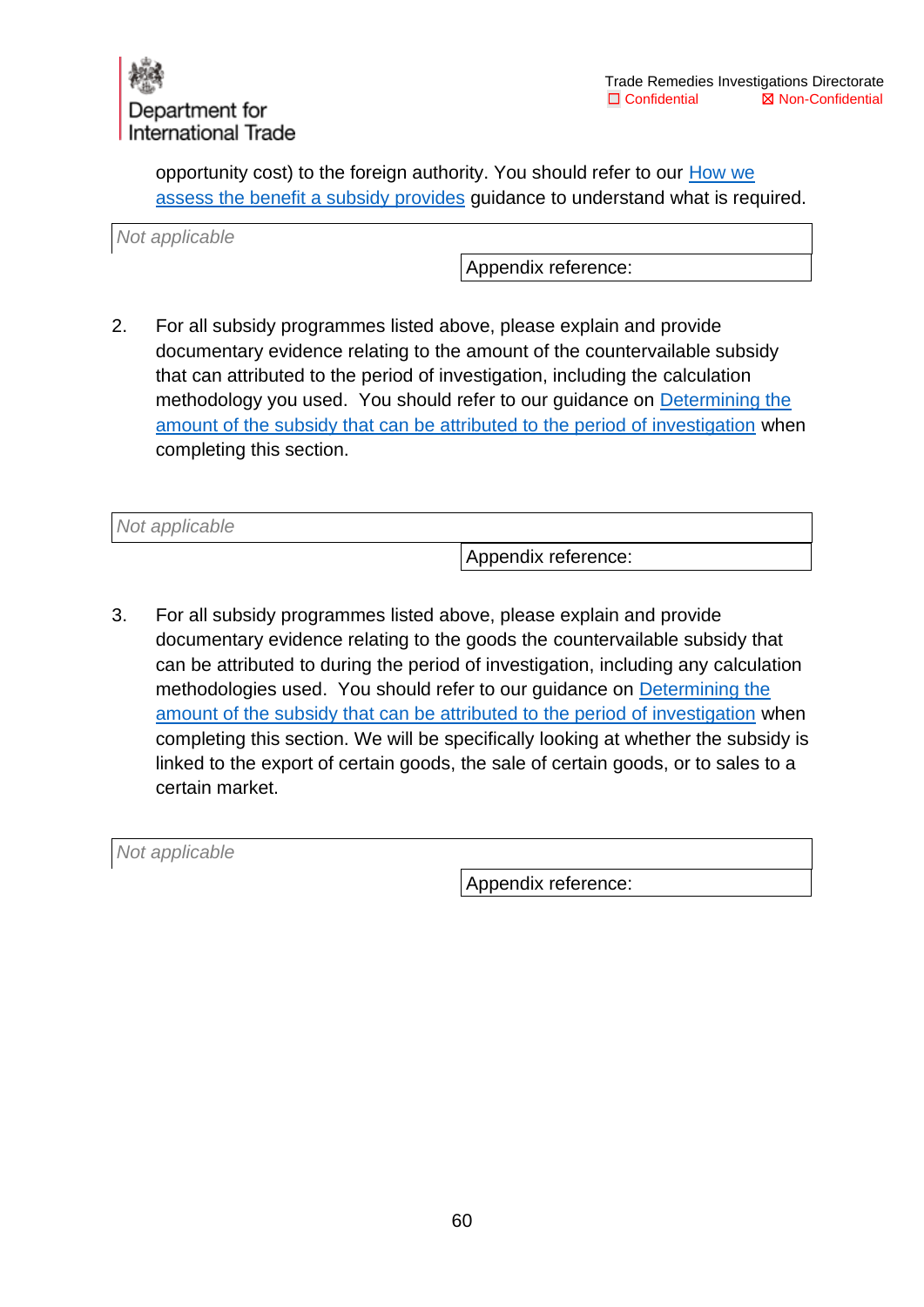

opportunity cost) to the foreign authority. You should refer to our How we [assess the benefit a subsidy provides](https://www.gov.uk/government/publications/the-uk-trade-remedies-investigations-process/how-we-carry-out-a-subsidy-investigation#how-we-assess-the-benefit-a-subsidy-provides) guidance to understand what is required.

*Not applicable*

Appendix reference:

2. For all subsidy programmes listed above, please explain and provide documentary evidence relating to the amount of the countervailable subsidy that can attributed to the period of investigation, including the calculation methodology you used. You should refer to our guidance on [Determining the](https://www.gov.uk/government/publications/the-uk-trade-remedies-investigations-process/how-we-carry-out-a-subsidy-investigation#how-we-assess-the-benefit-a-subsidy-provides)  [amount of the subsidy that can be attributed to the period of investigation](https://www.gov.uk/government/publications/the-uk-trade-remedies-investigations-process/how-we-carry-out-a-subsidy-investigation#how-we-assess-the-benefit-a-subsidy-provides) when completing this section.

*Not applicable*

Appendix reference:

3. For all subsidy programmes listed above, please explain and provide documentary evidence relating to the goods the countervailable subsidy that can be attributed to during the period of investigation, including any calculation methodologies used. You should refer to our guidance on [Determining the](https://www.gov.uk/government/publications/the-uk-trade-remedies-investigations-process/how-we-carry-out-a-subsidy-investigation#how-we-assess-the-benefit-a-subsidy-provides)  [amount of the subsidy that can be attributed to the period of investigation](https://www.gov.uk/government/publications/the-uk-trade-remedies-investigations-process/how-we-carry-out-a-subsidy-investigation#how-we-assess-the-benefit-a-subsidy-provides) when completing this section. We will be specifically looking at whether the subsidy is linked to the export of certain goods, the sale of certain goods, or to sales to a certain market.

*Not applicable*

Appendix reference: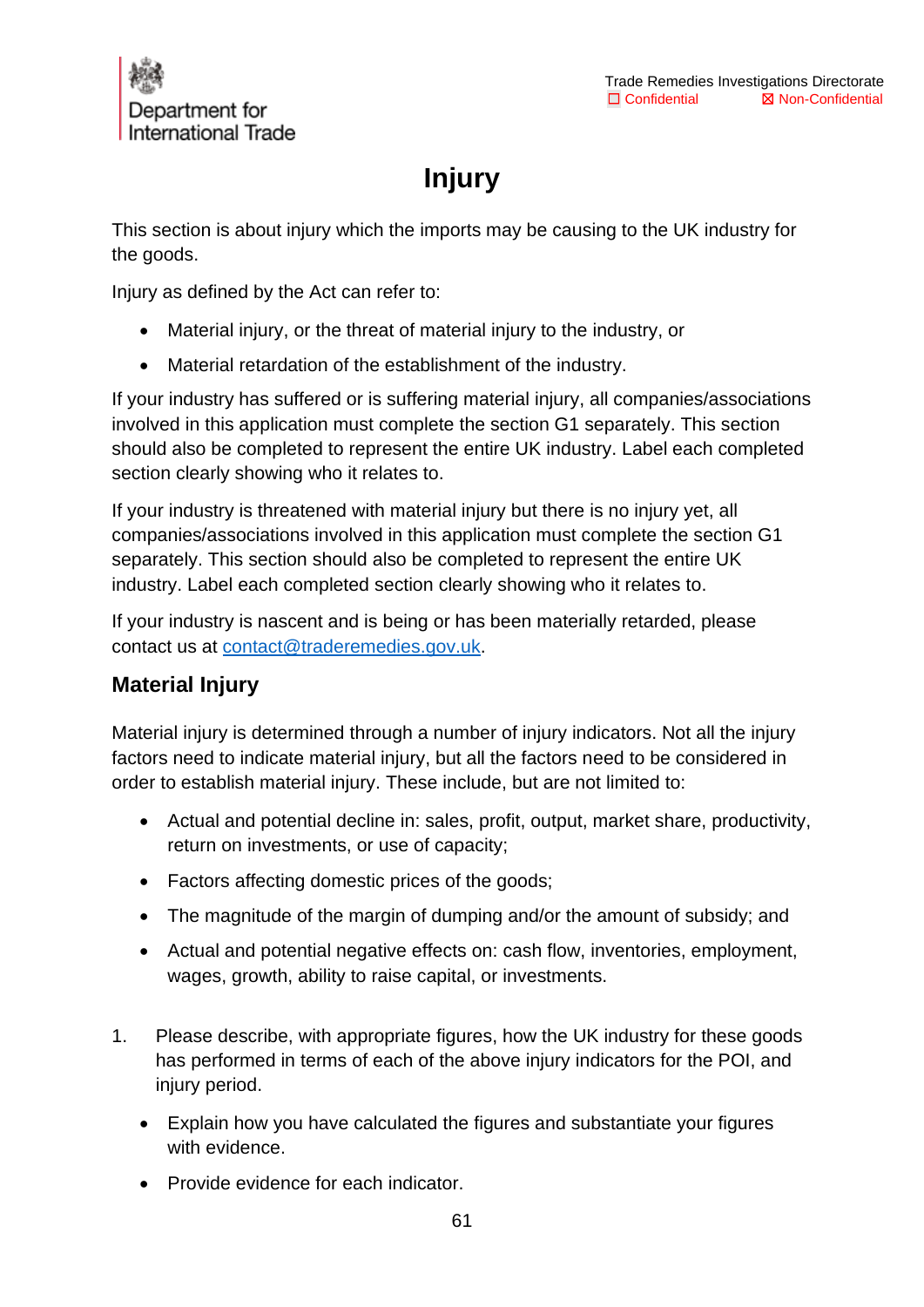

# **Injury**

<span id="page-60-0"></span>This section is about injury which the imports may be causing to the UK industry for the goods.

Injury as defined by the Act can refer to:

- Material injury, or the threat of material injury to the industry, or
- Material retardation of the establishment of the industry.

If your industry has suffered or is suffering material injury, all companies/associations involved in this application must complete the section G1 separately. This section should also be completed to represent the entire UK industry. Label each completed section clearly showing who it relates to.

If your industry is threatened with material injury but there is no injury yet, all companies/associations involved in this application must complete the section G1 separately. This section should also be completed to represent the entire UK industry. Label each completed section clearly showing who it relates to.

If your industry is nascent and is being or has been materially retarded, please contact us at [contact@traderemedies.gov.uk.](mailto:contact@traderemedies.gov.uk)

## **Material Injury**

Material injury is determined through a number of injury indicators. Not all the injury factors need to indicate material injury, but all the factors need to be considered in order to establish material injury. These include, but are not limited to:

- Actual and potential decline in: sales, profit, output, market share, productivity, return on investments, or use of capacity;
- Factors affecting domestic prices of the goods;
- The magnitude of the margin of dumping and/or the amount of subsidy; and
- Actual and potential negative effects on: cash flow, inventories, employment, wages, growth, ability to raise capital, or investments.
- 1. Please describe, with appropriate figures, how the UK industry for these goods has performed in terms of each of the above injury indicators for the POI, and injury period.
	- Explain how you have calculated the figures and substantiate your figures with evidence.
	- Provide evidence for each indicator.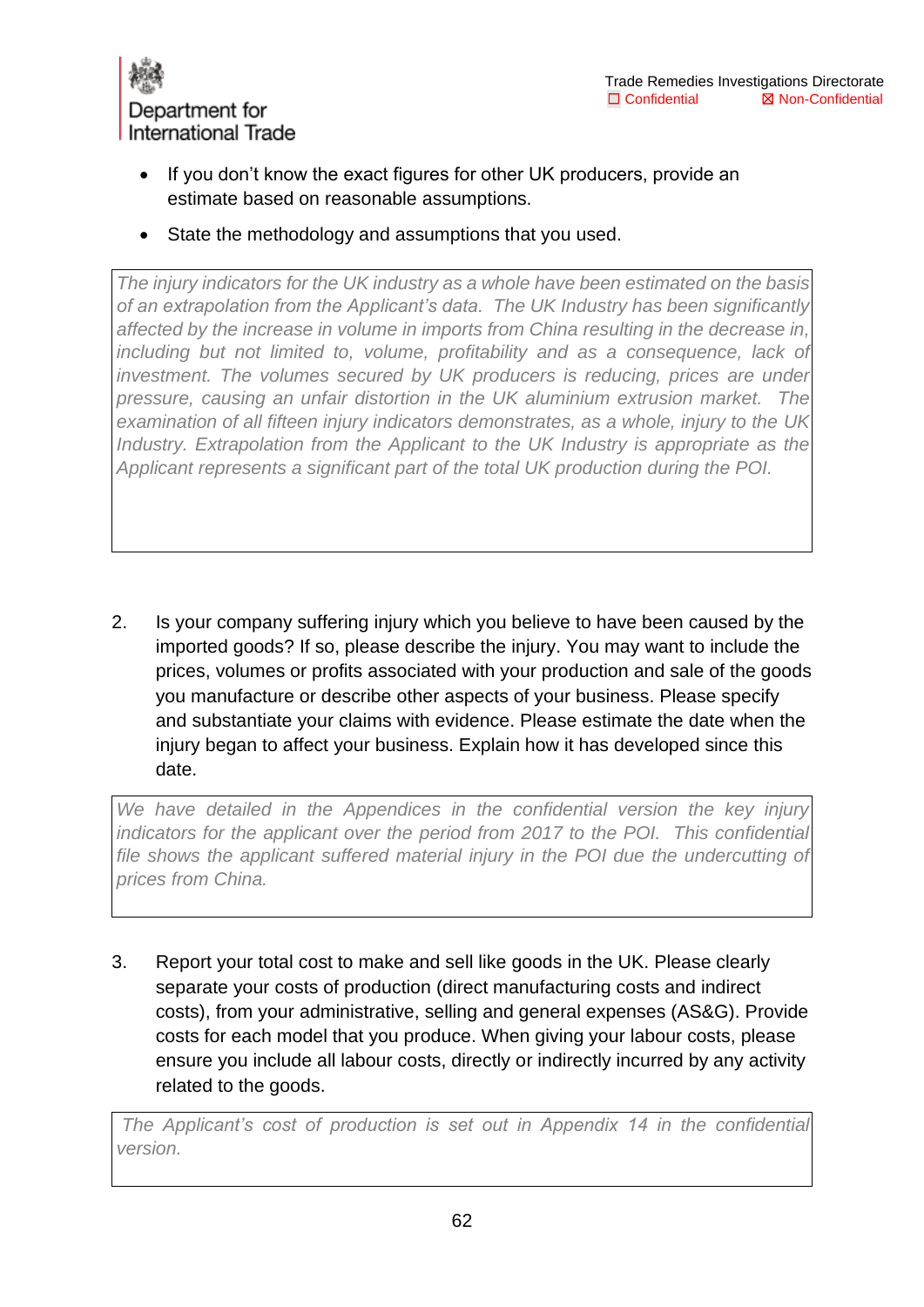

- If you don't know the exact figures for other UK producers, provide an estimate based on reasonable assumptions.
- State the methodology and assumptions that you used.

*The injury indicators for the UK industry as a whole have been estimated on the basis of an extrapolation from the Applicant's data. The UK Industry has been significantly affected by the increase in volume in imports from China resulting in the decrease in, including but not limited to, volume, profitability and as a consequence, lack of investment. The volumes secured by UK producers is reducing, prices are under pressure, causing an unfair distortion in the UK aluminium extrusion market. The examination of all fifteen injury indicators demonstrates, as a whole, injury to the UK Industry. Extrapolation from the Applicant to the UK Industry is appropriate as the Applicant represents a significant part of the total UK production during the POI.* 

2. Is your company suffering injury which you believe to have been caused by the imported goods? If so, please describe the injury. You may want to include the prices, volumes or profits associated with your production and sale of the goods you manufacture or describe other aspects of your business. Please specify and substantiate your claims with evidence. Please estimate the date when the injury began to affect your business. Explain how it has developed since this date.

*We have detailed in the Appendices in the confidential version the key injury indicators for the applicant over the period from 2017 to the POI. This confidential*  file shows the applicant suffered material injury in the POI due the undercutting of *prices from China.*

3. Report your total cost to make and sell like goods in the UK. Please clearly separate your costs of production (direct manufacturing costs and indirect costs), from your administrative, selling and general expenses (AS&G). Provide costs for each model that you produce. When giving your labour costs, please ensure you include all labour costs, directly or indirectly incurred by any activity related to the goods.

*The Applicant's cost of production is set out in Appendix 14 in the confidential version.*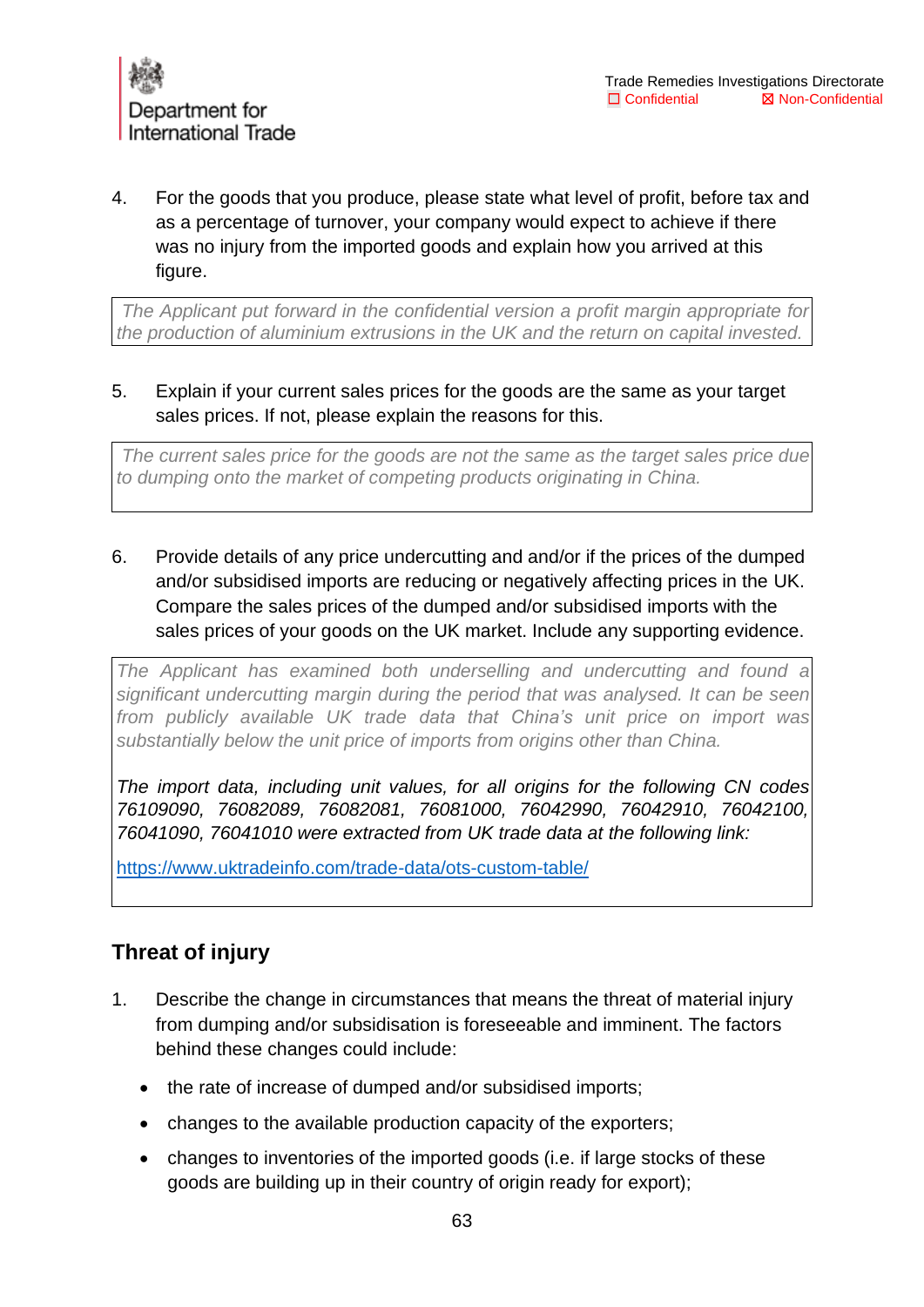4. For the goods that you produce, please state what level of profit, before tax and as a percentage of turnover, your company would expect to achieve if there was no injury from the imported goods and explain how you arrived at this figure.

*The Applicant put forward in the confidential version a profit margin appropriate for the production of aluminium extrusions in the UK and the return on capital invested.*

5. Explain if your current sales prices for the goods are the same as your target sales prices. If not, please explain the reasons for this.

*The current sales price for the goods are not the same as the target sales price due to dumping onto the market of competing products originating in China.*

6. Provide details of any price undercutting and and/or if the prices of the dumped and/or subsidised imports are reducing or negatively affecting prices in the UK. Compare the sales prices of the dumped and/or subsidised imports with the sales prices of your goods on the UK market. Include any supporting evidence.

*The Applicant has examined both underselling and undercutting and found a significant undercutting margin during the period that was analysed. It can be seen from publicly available UK trade data that China's unit price on import was substantially below the unit price of imports from origins other than China.* 

*The import data, including unit values, for all origins for the following CN codes 76109090, 76082089, 76082081, 76081000, 76042990, 76042910, 76042100, 76041090, 76041010 were extracted from UK trade data at the following link:*

<https://www.uktradeinfo.com/trade-data/ots-custom-table/>

## **Threat of injury**

- 1. Describe the change in circumstances that means the threat of material injury from dumping and/or subsidisation is foreseeable and imminent. The factors behind these changes could include:
	- the rate of increase of dumped and/or subsidised imports;
	- changes to the available production capacity of the exporters;
	- changes to inventories of the imported goods (i.e. if large stocks of these goods are building up in their country of origin ready for export);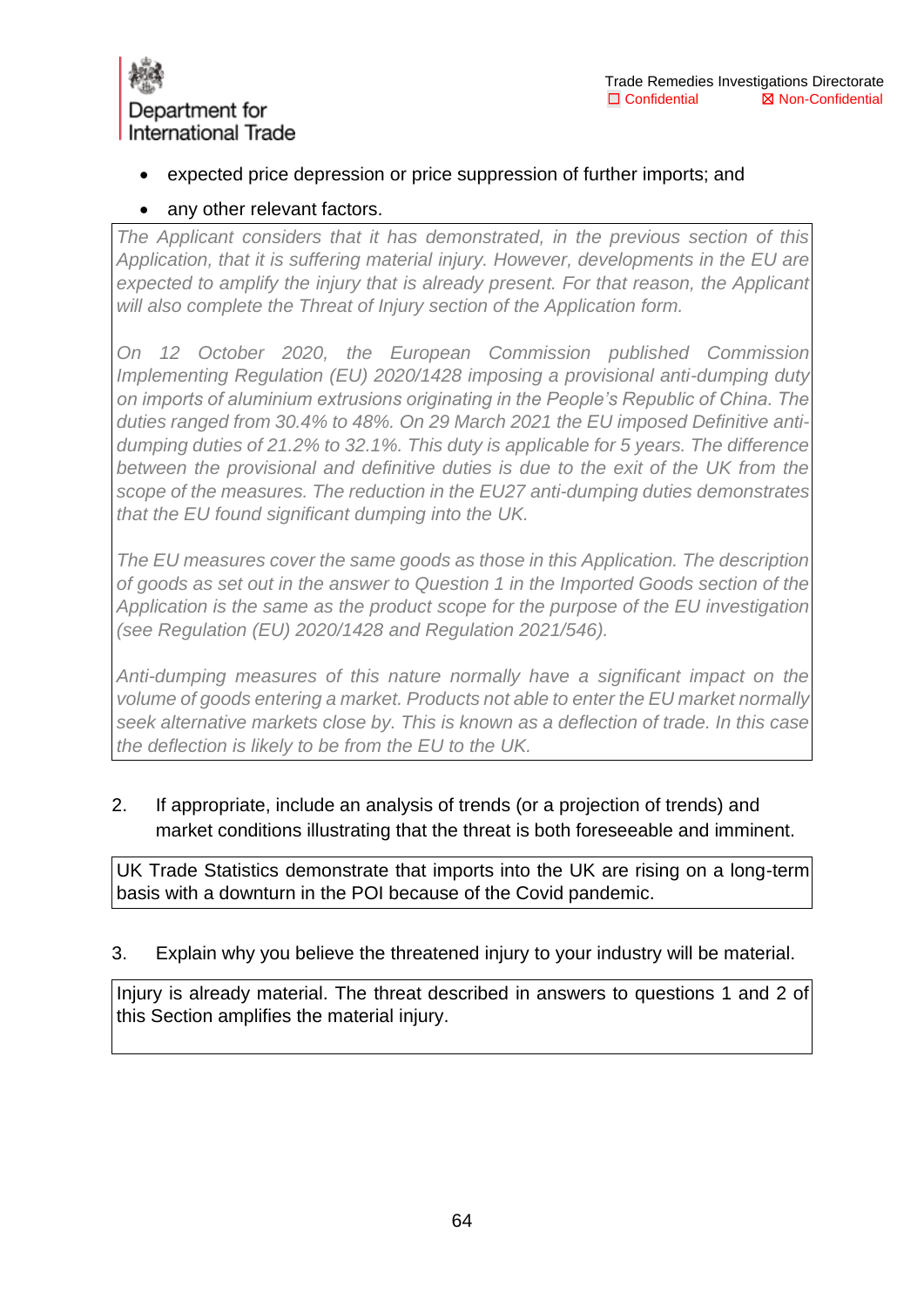

- expected price depression or price suppression of further imports; and
- any other relevant factors.

*The Applicant considers that it has demonstrated, in the previous section of this Application, that it is suffering material injury. However, developments in the EU are expected to amplify the injury that is already present. For that reason, the Applicant will also complete the Threat of Injury section of the Application form.* 

*On 12 October 2020, the European Commission published Commission Implementing Regulation (EU) 2020/1428 imposing a provisional anti-dumping duty on imports of aluminium extrusions originating in the People's Republic of China. The*  duties ranged from 30.4% to 48%. On 29 March 2021 the EU imposed Definitive anti*dumping duties of 21.2% to 32.1%. This duty is applicable for 5 years. The difference*  between the provisional and definitive duties is due to the exit of the UK from the *scope of the measures. The reduction in the EU27 anti-dumping duties demonstrates that the EU found significant dumping into the UK.*

*The EU measures cover the same goods as those in this Application. The description of goods as set out in the answer to Question 1 in the Imported Goods section of the Application is the same as the product scope for the purpose of the EU investigation (see Regulation (EU) 2020/1428 and Regulation 2021/546).* 

*Anti-dumping measures of this nature normally have a significant impact on the volume of goods entering a market. Products not able to enter the EU market normally seek alternative markets close by. This is known as a deflection of trade. In this case the deflection is likely to be from the EU to the UK.*

2. If appropriate, include an analysis of trends (or a projection of trends) and market conditions illustrating that the threat is both foreseeable and imminent.

UK Trade Statistics demonstrate that imports into the UK are rising on a long-term basis with a downturn in the POI because of the Covid pandemic.

3. Explain why you believe the threatened injury to your industry will be material.

Injury is already material. The threat described in answers to questions 1 and 2 of this Section amplifies the material injury.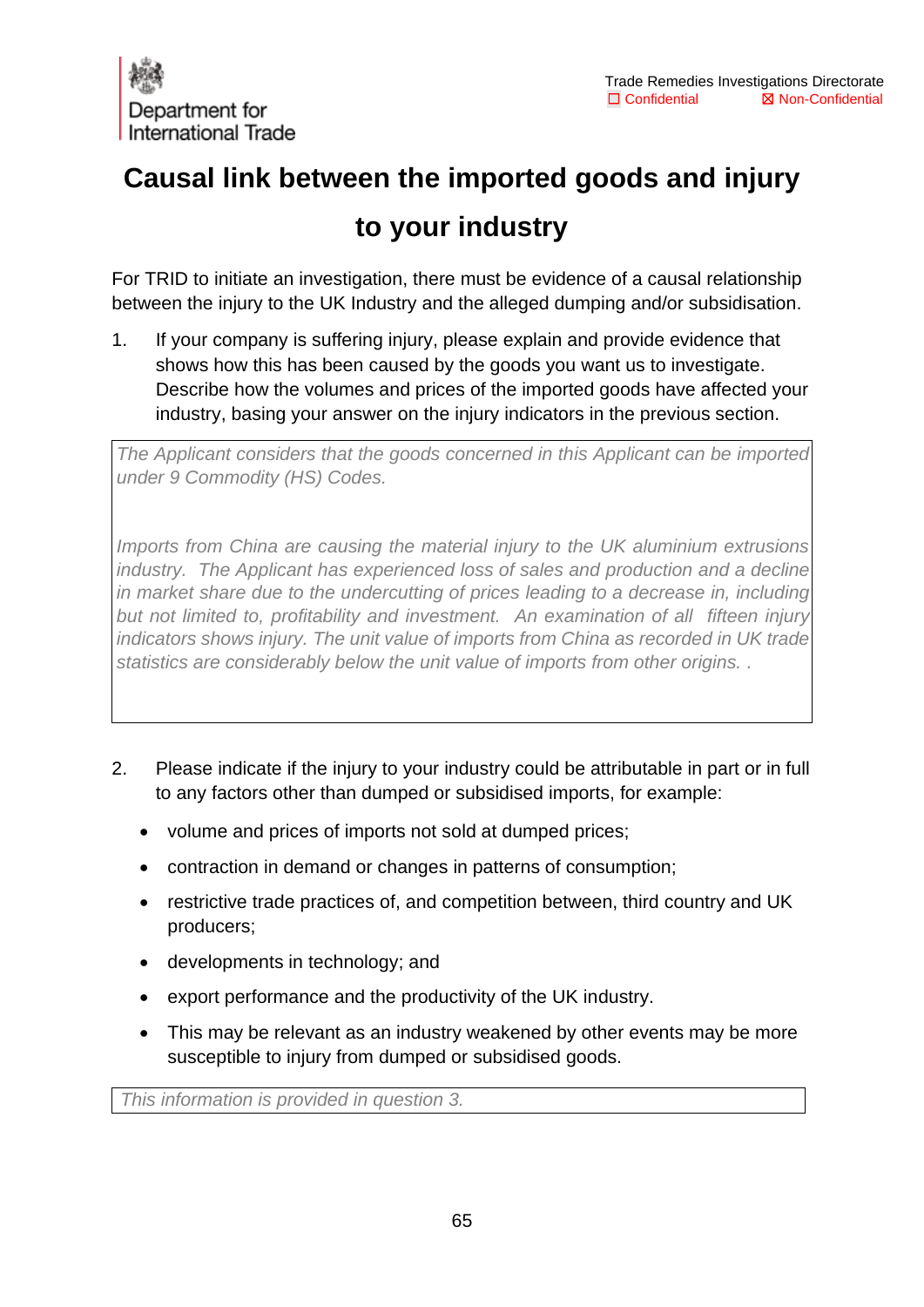# <span id="page-64-0"></span>**Causal link between the imported goods and injury to your industry**

For TRID to initiate an investigation, there must be evidence of a causal relationship between the injury to the UK Industry and the alleged dumping and/or subsidisation.

1. If your company is suffering injury, please explain and provide evidence that shows how this has been caused by the goods you want us to investigate. Describe how the volumes and prices of the imported goods have affected your industry, basing your answer on the injury indicators in the previous section.

*The Applicant considers that the goods concerned in this Applicant can be imported under 9 Commodity (HS) Codes.* 

*Imports from China are causing the material injury to the UK aluminium extrusions industry. The Applicant has experienced loss of sales and production and a decline in market share due to the undercutting of prices leading to a decrease in, including but not limited to, profitability and investment. An examination of all fifteen injury indicators shows injury. The unit value of imports from China as recorded in UK trade statistics are considerably below the unit value of imports from other origins. .* 

- 2. Please indicate if the injury to your industry could be attributable in part or in full to any factors other than dumped or subsidised imports, for example:
	- volume and prices of imports not sold at dumped prices;
	- contraction in demand or changes in patterns of consumption;
	- restrictive trade practices of, and competition between, third country and UK producers;
	- developments in technology; and
	- export performance and the productivity of the UK industry.
	- This may be relevant as an industry weakened by other events may be more susceptible to injury from dumped or subsidised goods.

*This information is provided in question 3.*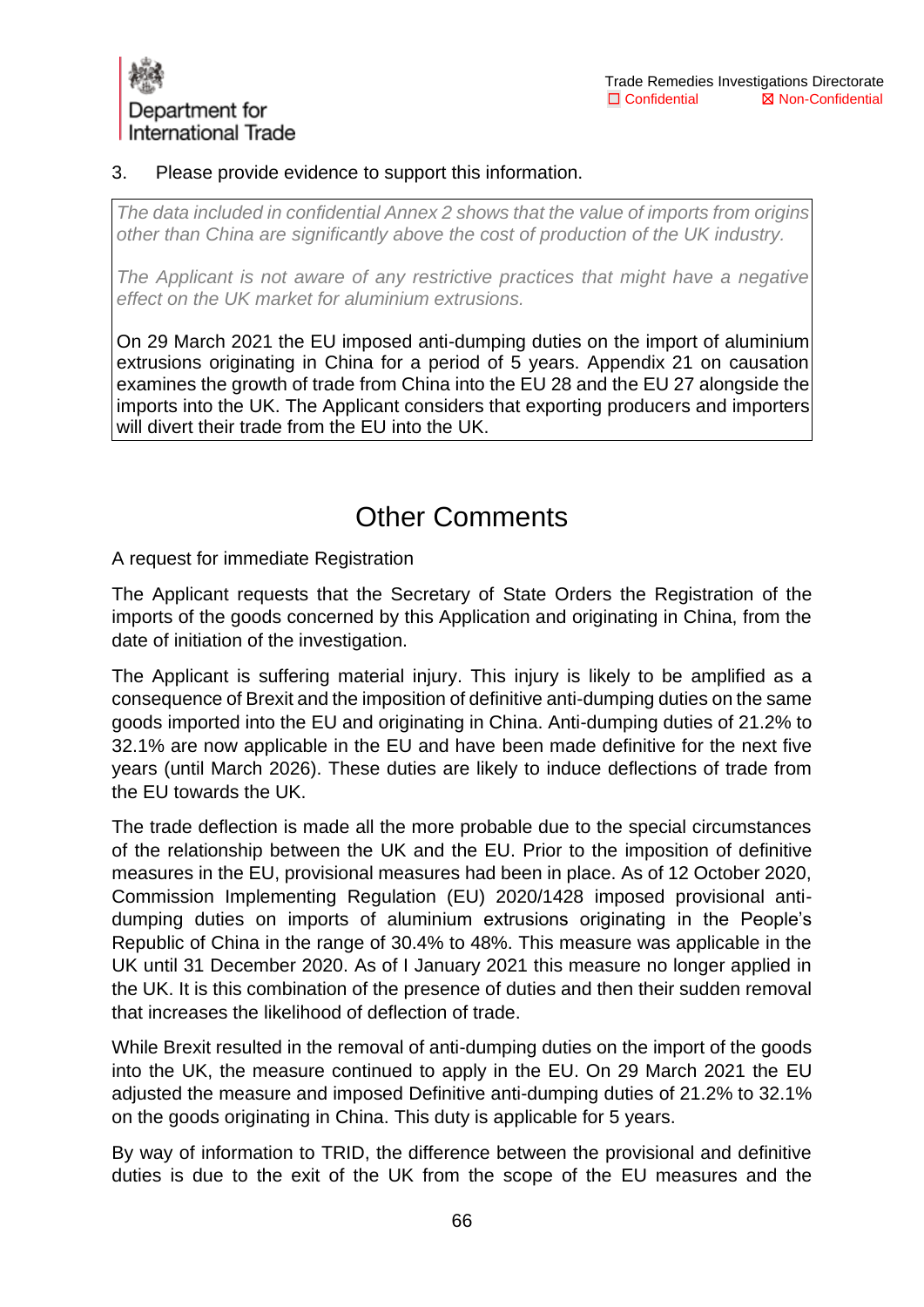

#### 3. Please provide evidence to support this information.

*The data included in confidential Annex 2 shows that the value of imports from origins other than China are significantly above the cost of production of the UK industry.*

*The Applicant is not aware of any restrictive practices that might have a negative effect on the UK market for aluminium extrusions.* 

On 29 March 2021 the EU imposed anti-dumping duties on the import of aluminium extrusions originating in China for a period of 5 years. Appendix 21 on causation examines the growth of trade from China into the EU 28 and the EU 27 alongside the imports into the UK. The Applicant considers that exporting producers and importers will divert their trade from the EU into the UK.

## Other Comments

A request for immediate Registration

The Applicant requests that the Secretary of State Orders the Registration of the imports of the goods concerned by this Application and originating in China, from the date of initiation of the investigation.

The Applicant is suffering material injury. This injury is likely to be amplified as a consequence of Brexit and the imposition of definitive anti-dumping duties on the same goods imported into the EU and originating in China. Anti-dumping duties of 21.2% to 32.1% are now applicable in the EU and have been made definitive for the next five years (until March 2026). These duties are likely to induce deflections of trade from the EU towards the UK.

The trade deflection is made all the more probable due to the special circumstances of the relationship between the UK and the EU. Prior to the imposition of definitive measures in the EU, provisional measures had been in place. As of 12 October 2020, Commission Implementing Regulation (EU) 2020/1428 imposed provisional antidumping duties on imports of aluminium extrusions originating in the People's Republic of China in the range of 30.4% to 48%. This measure was applicable in the UK until 31 December 2020. As of I January 2021 this measure no longer applied in the UK. It is this combination of the presence of duties and then their sudden removal that increases the likelihood of deflection of trade.

While Brexit resulted in the removal of anti-dumping duties on the import of the goods into the UK, the measure continued to apply in the EU. On 29 March 2021 the EU adjusted the measure and imposed Definitive anti-dumping duties of 21.2% to 32.1% on the goods originating in China. This duty is applicable for 5 years.

By way of information to TRID, the difference between the provisional and definitive duties is due to the exit of the UK from the scope of the EU measures and the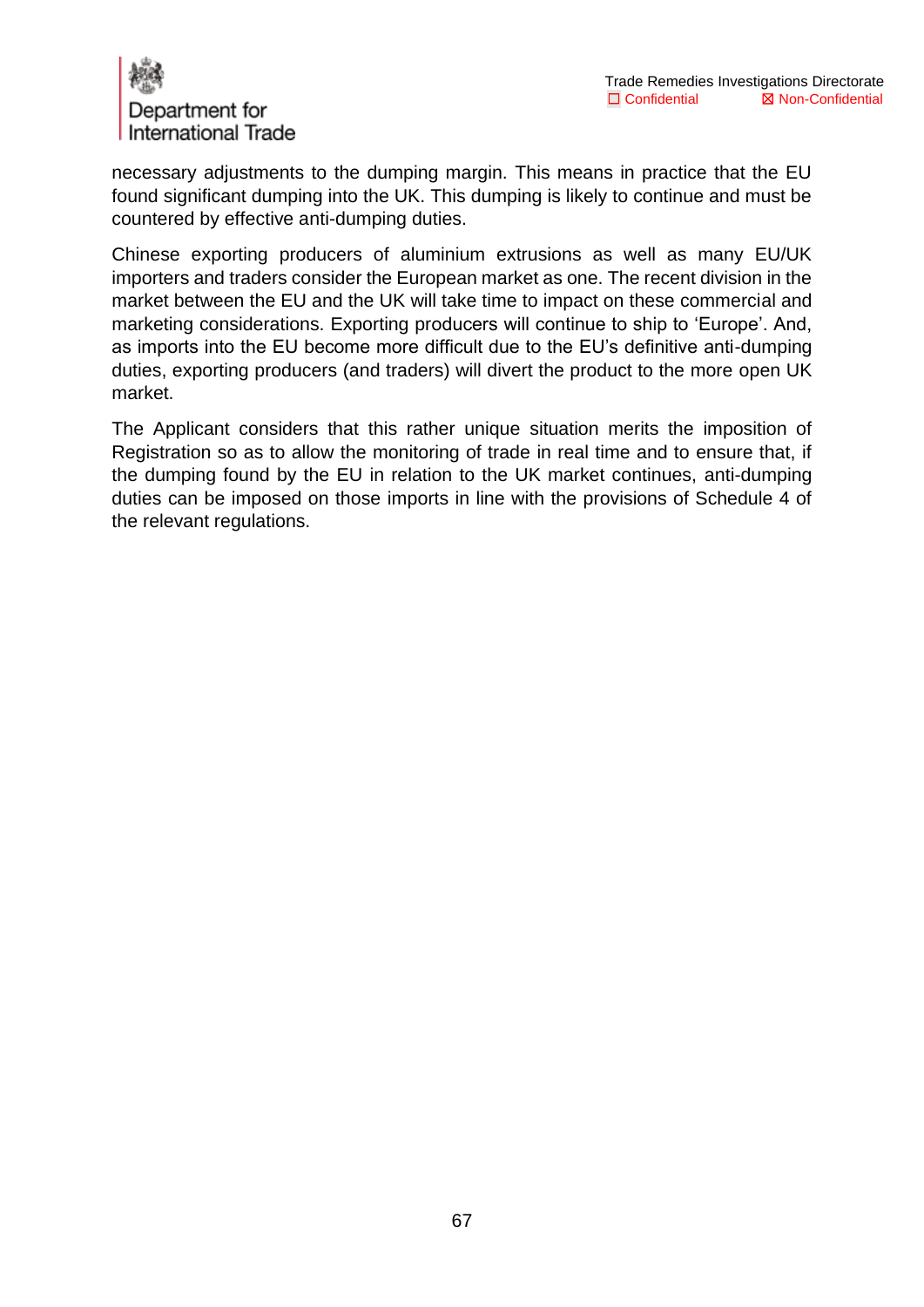

necessary adjustments to the dumping margin. This means in practice that the EU found significant dumping into the UK. This dumping is likely to continue and must be countered by effective anti-dumping duties.

Chinese exporting producers of aluminium extrusions as well as many EU/UK importers and traders consider the European market as one. The recent division in the market between the EU and the UK will take time to impact on these commercial and marketing considerations. Exporting producers will continue to ship to 'Europe'. And, as imports into the EU become more difficult due to the EU's definitive anti-dumping duties, exporting producers (and traders) will divert the product to the more open UK market.

The Applicant considers that this rather unique situation merits the imposition of Registration so as to allow the monitoring of trade in real time and to ensure that, if the dumping found by the EU in relation to the UK market continues, anti-dumping duties can be imposed on those imports in line with the provisions of Schedule 4 of the relevant regulations.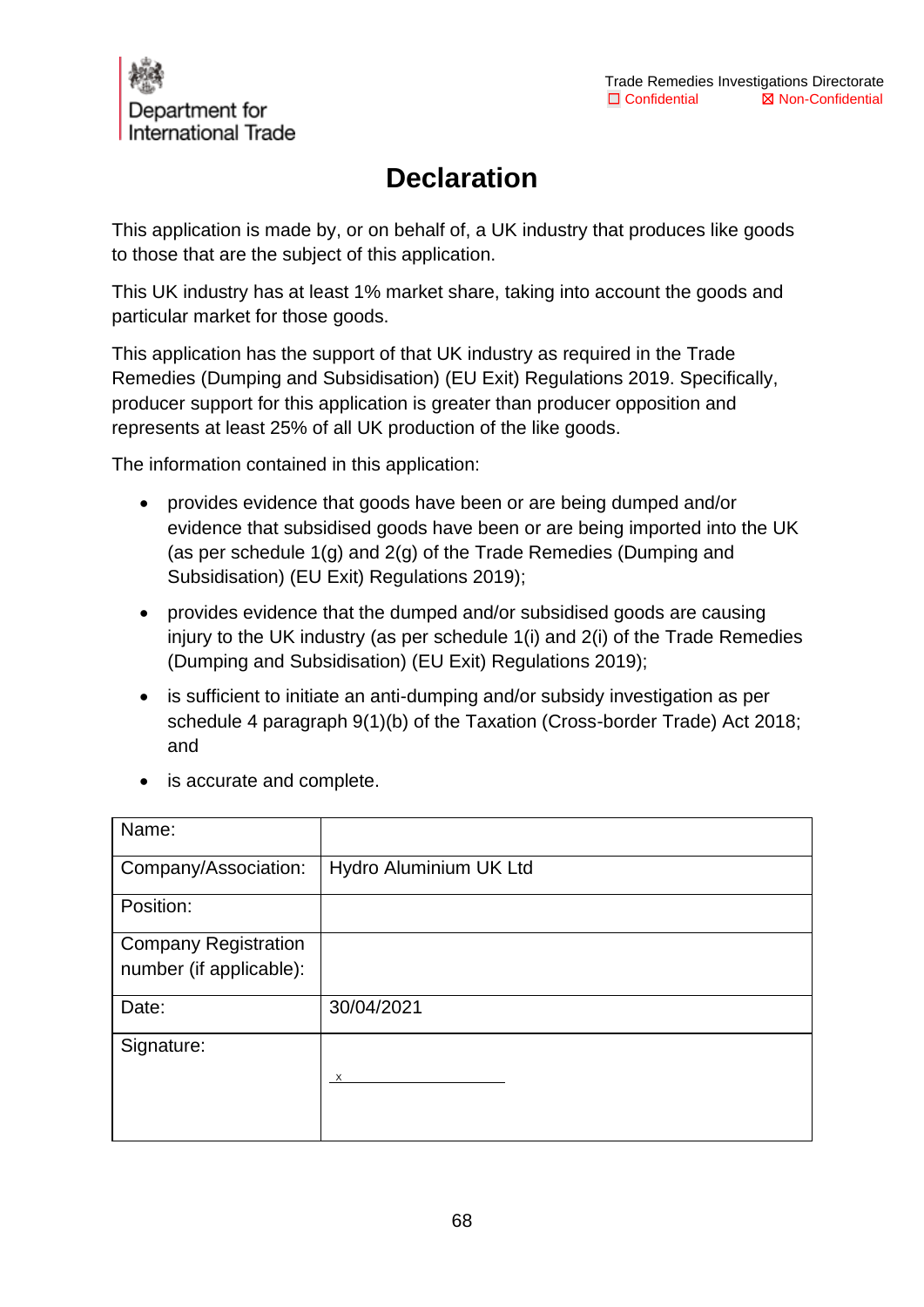

# **Declaration**

<span id="page-67-0"></span>This application is made by, or on behalf of, a UK industry that produces like goods to those that are the subject of this application.

This UK industry has at least 1% market share, taking into account the goods and particular market for those goods.

This application has the support of that UK industry as required in the Trade Remedies (Dumping and Subsidisation) (EU Exit) Regulations 2019. Specifically, producer support for this application is greater than producer opposition and represents at least 25% of all UK production of the like goods.

The information contained in this application:

- provides evidence that goods have been or are being dumped and/or evidence that subsidised goods have been or are being imported into the UK (as per schedule 1(g) and 2(g) of the Trade Remedies (Dumping and Subsidisation) (EU Exit) Regulations 2019);
- provides evidence that the dumped and/or subsidised goods are causing injury to the UK industry (as per schedule 1(i) and 2(i) of the Trade Remedies (Dumping and Subsidisation) (EU Exit) Regulations 2019);
- is sufficient to initiate an anti-dumping and/or subsidy investigation as per schedule 4 paragraph 9(1)(b) of the Taxation (Cross-border Trade) Act 2018; and

| Name:                                                  |                        |
|--------------------------------------------------------|------------------------|
| Company/Association:                                   | Hydro Aluminium UK Ltd |
| Position:                                              |                        |
| <b>Company Registration</b><br>number (if applicable): |                        |
| Date:                                                  | 30/04/2021             |
| Signature:                                             |                        |
|                                                        | $\mathsf{X}$           |

• is accurate and complete.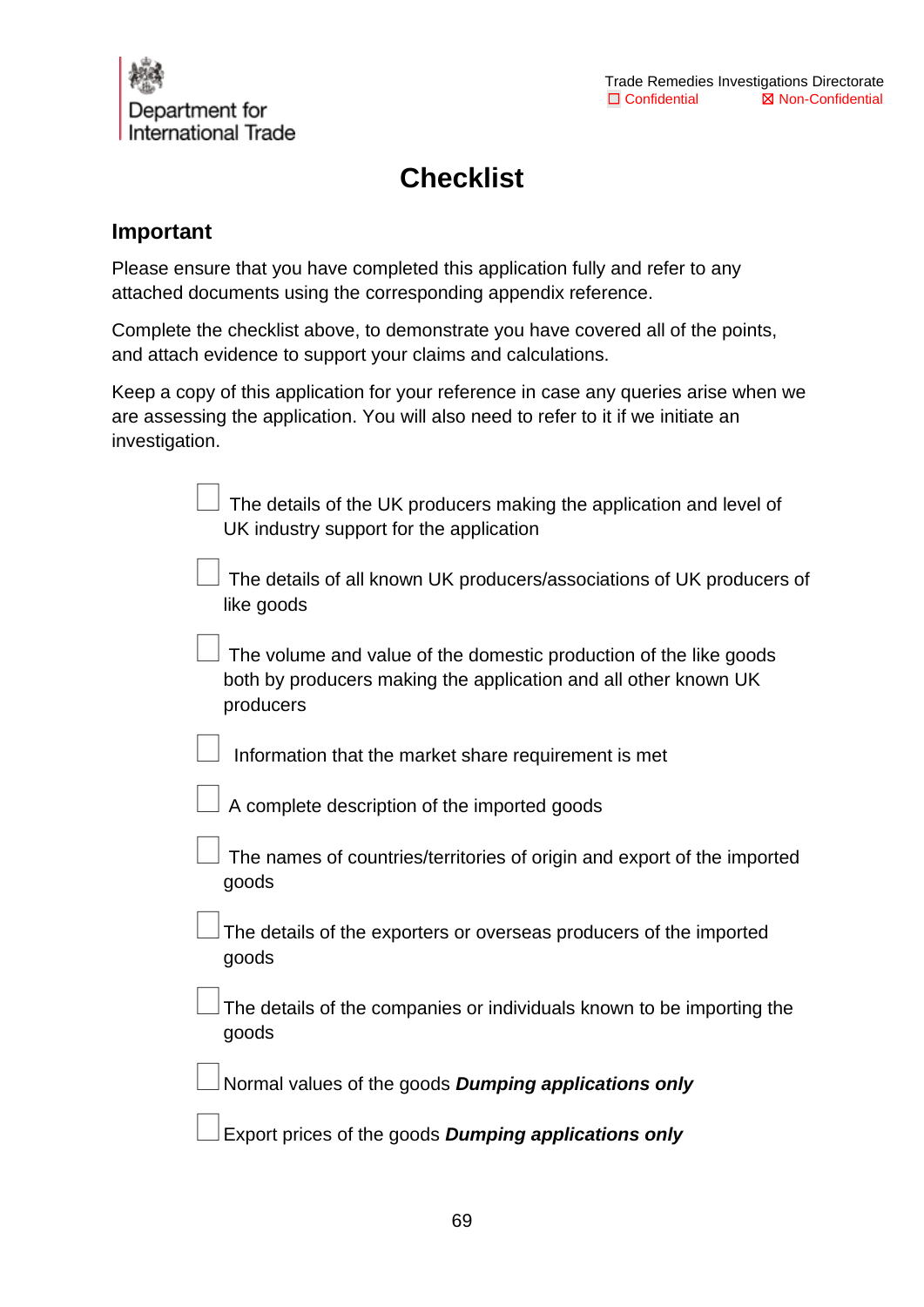

# **Checklist**

#### <span id="page-68-0"></span>**Important**

Please ensure that you have completed this application fully and refer to any attached documents using the corresponding appendix reference.

Complete the checklist above, to demonstrate you have covered all of the points, and attach evidence to support your claims and calculations.

Keep a copy of this application for your reference in case any queries arise when we are assessing the application. You will also need to refer to it if we initiate an investigation.

| The details of the UK producers making the application and level of<br>UK industry support for the application                                    |
|---------------------------------------------------------------------------------------------------------------------------------------------------|
| The details of all known UK producers/associations of UK producers of<br>like goods                                                               |
| The volume and value of the domestic production of the like goods<br>both by producers making the application and all other known UK<br>producers |
| Information that the market share requirement is met                                                                                              |
| A complete description of the imported goods                                                                                                      |
| The names of countries/territories of origin and export of the imported<br>goods                                                                  |
| The details of the exporters or overseas producers of the imported<br>goods                                                                       |
| The details of the companies or individuals known to be importing the<br>goods                                                                    |
| Normal values of the goods <b>Dumping applications only</b>                                                                                       |
| Export prices of the goods <b>Dumping applications only</b>                                                                                       |